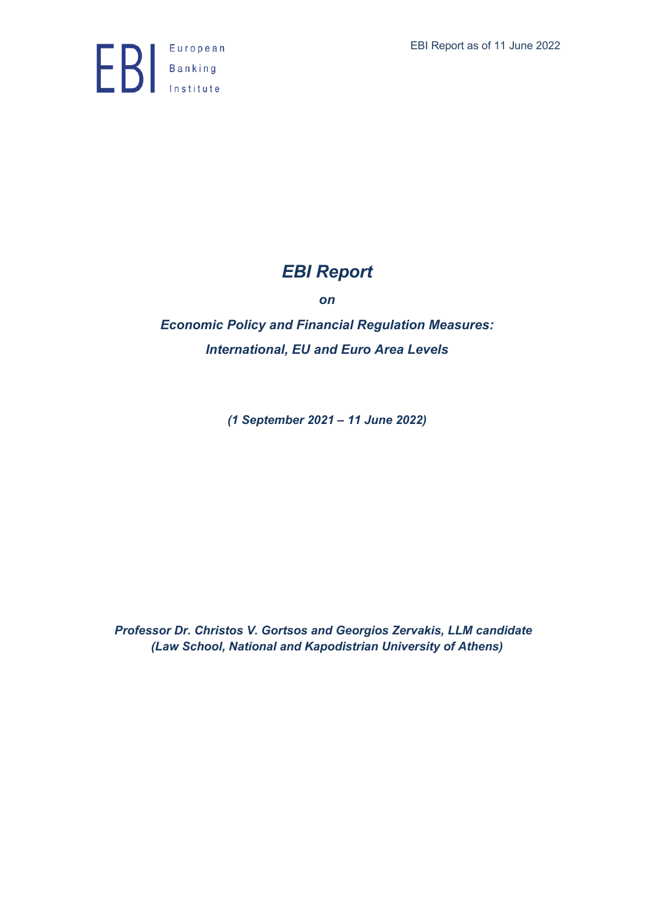

# *EBI Report*

*on*

*Economic Policy and Financial Regulation Measures: International, EU and Euro Area Levels*

*(1 September 2021 – 11 June 2022)*

*Professor Dr. Christos V. Gortsos and Georgios Zervakis, LLM candidate (Law School, National and Kapodistrian University of Athens)*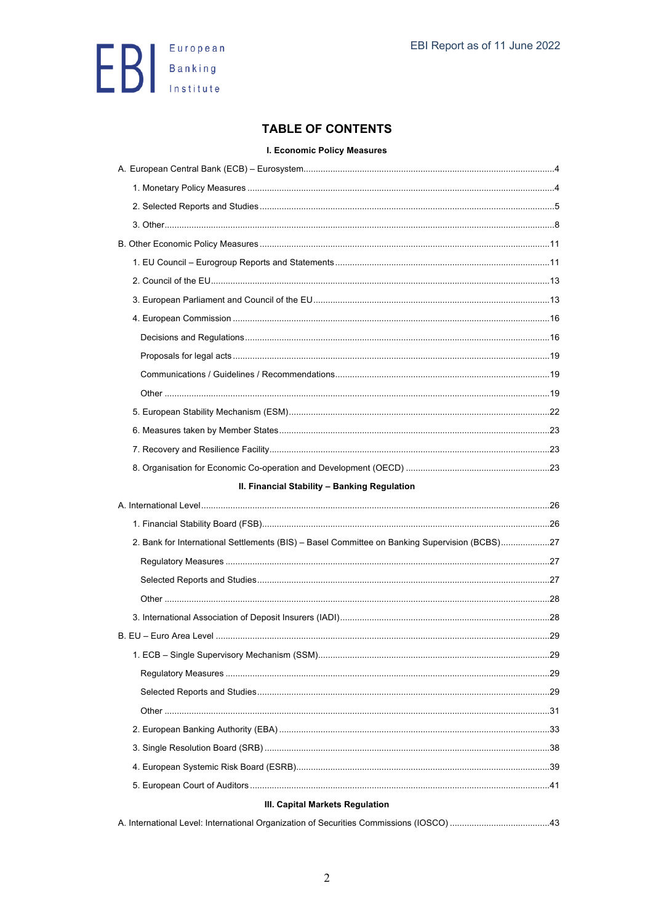

# **TABLE OF CONTENTS**

#### I. Economic Policy Measures

| II. Financial Stability - Banking Regulation                                                  |  |
|-----------------------------------------------------------------------------------------------|--|
|                                                                                               |  |
|                                                                                               |  |
|                                                                                               |  |
| 2. Bank for International Settlements (BIS) - Basel Committee on Banking Supervision (BCBS)27 |  |
|                                                                                               |  |
|                                                                                               |  |
|                                                                                               |  |
|                                                                                               |  |
|                                                                                               |  |
|                                                                                               |  |
|                                                                                               |  |
|                                                                                               |  |
|                                                                                               |  |
|                                                                                               |  |
|                                                                                               |  |
|                                                                                               |  |
|                                                                                               |  |
| III. Capital Markets Regulation                                                               |  |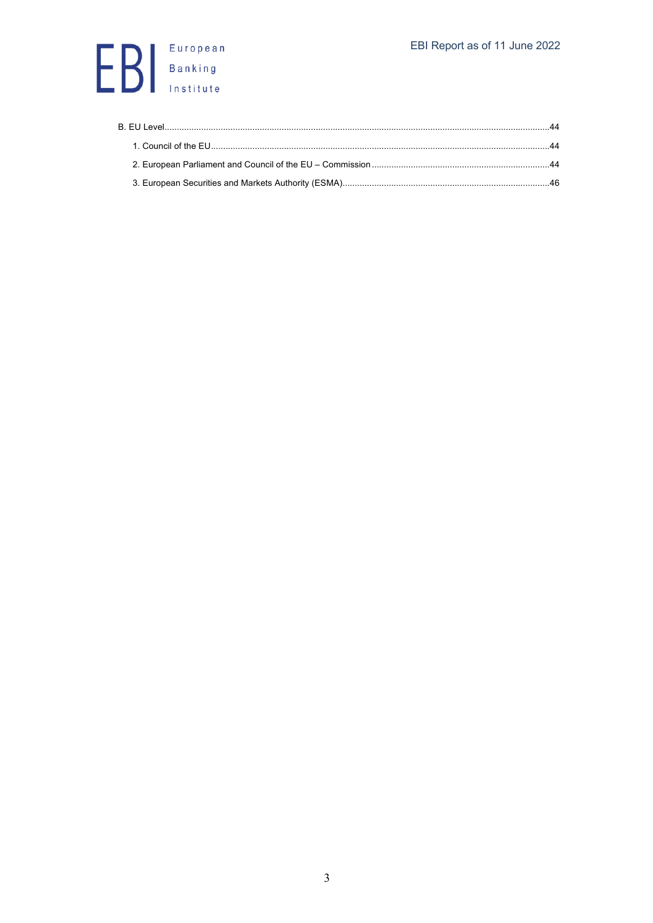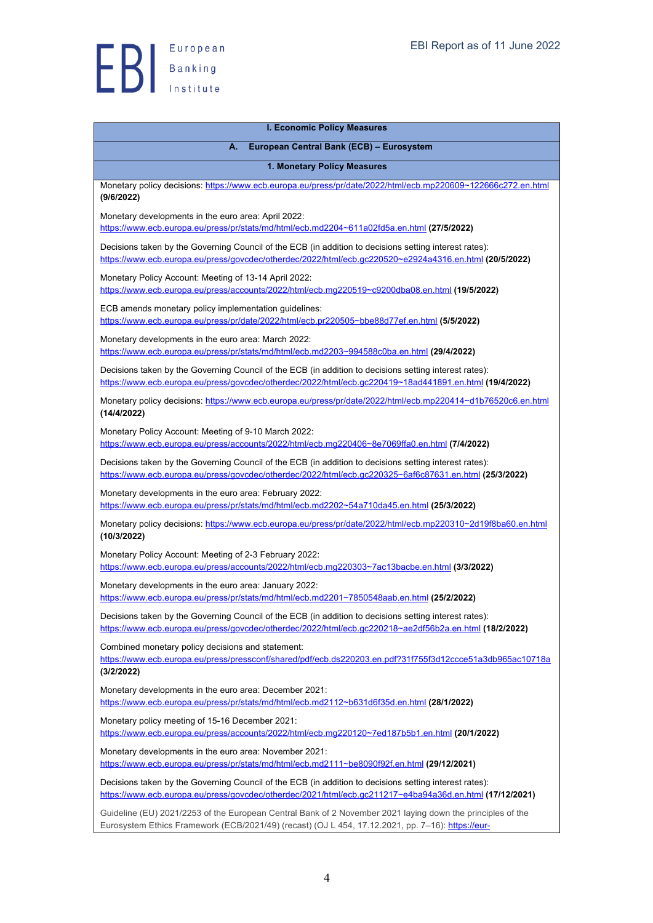| <b>I. Economic Policy Measures</b>                                                                                                                                                                                |
|-------------------------------------------------------------------------------------------------------------------------------------------------------------------------------------------------------------------|
| European Central Bank (ECB) - Eurosystem<br>А.                                                                                                                                                                    |
| 1. Monetary Policy Measures                                                                                                                                                                                       |
| Monetary policy decisions: https://www.ecb.europa.eu/press/pr/date/2022/html/ecb.mp220609~122666c272.en.html<br>(9/6/2022)                                                                                        |
| Monetary developments in the euro area: April 2022:<br>https://www.ecb.europa.eu/press/pr/stats/md/html/ecb.md2204~611a02fd5a.en.html (27/5/2022)                                                                 |
| Decisions taken by the Governing Council of the ECB (in addition to decisions setting interest rates):<br>https://www.ecb.europa.eu/press/govcdec/otherdec/2022/html/ecb.gc220520~e2924a4316.en.html (20/5/2022)  |
| Monetary Policy Account: Meeting of 13-14 April 2022:<br>https://www.ecb.europa.eu/press/accounts/2022/html/ecb.mg220519~c9200dba08.en.html (19/5/2022)                                                           |
| ECB amends monetary policy implementation guidelines:<br>https://www.ecb.europa.eu/press/pr/date/2022/html/ecb.pr220505~bbe88d77ef.en.html (5/5/2022)                                                             |
| Monetary developments in the euro area: March 2022:<br>https://www.ecb.europa.eu/press/pr/stats/md/html/ecb.md2203~994588c0ba.en.html (29/4/2022)                                                                 |
| Decisions taken by the Governing Council of the ECB (in addition to decisions setting interest rates):<br>https://www.ecb.europa.eu/press/govcdec/otherdec/2022/html/ecb.gc220419~18ad441891.en.html (19/4/2022)  |
| Monetary policy decisions: https://www.ecb.europa.eu/press/pr/date/2022/html/ecb.mp220414~d1b76520c6.en.html<br>(14/4/2022)                                                                                       |
| Monetary Policy Account: Meeting of 9-10 March 2022:<br>https://www.ecb.europa.eu/press/accounts/2022/html/ecb.mg220406~8e7069ffa0.en.html (7/4/2022)                                                             |
| Decisions taken by the Governing Council of the ECB (in addition to decisions setting interest rates):<br>https://www.ecb.europa.eu/press/govcdec/otherdec/2022/html/ecb.gc220325~6af6c87631.en.html (25/3/2022)  |
| Monetary developments in the euro area: February 2022:<br>https://www.ecb.europa.eu/press/pr/stats/md/html/ecb.md2202~54a710da45.en.html (25/3/2022)                                                              |
| Monetary policy decisions: https://www.ecb.europa.eu/press/pr/date/2022/html/ecb.mp220310~2d19f8ba60.en.html<br>(10/3/2022)                                                                                       |
| Monetary Policy Account: Meeting of 2-3 February 2022:<br>https://www.ecb.europa.eu/press/accounts/2022/html/ecb.mg220303~7ac13bacbe.en.html (3/3/2022)                                                           |
| Monetary developments in the euro area: January 2022:<br>https://www.ecb.europa.eu/press/pr/stats/md/html/ecb.md2201~7850548aab.en.html (25/2/2022)                                                               |
| Decisions taken by the Governing Council of the ECB (in addition to decisions setting interest rates):<br>https://www.ecb.europa.eu/press/govcdec/otherdec/2022/html/ecb.gc220218~ae2df56b2a.en.html (18/2/2022)  |
| Combined monetary policy decisions and statement:<br>https://www.ecb.europa.eu/press/pressconf/shared/pdf/ecb.ds220203.en.pdf?31f755f3d12ccce51a3db965ac10718a<br>(3/2/2022)                                      |
| Monetary developments in the euro area: December 2021:<br>https://www.ecb.europa.eu/press/pr/stats/md/html/ecb.md2112~b631d6f35d.en.html (28/1/2022)                                                              |
| Monetary policy meeting of 15-16 December 2021:<br>https://www.ecb.europa.eu/press/accounts/2022/html/ecb.mg220120~7ed187b5b1.en.html (20/1/2022)                                                                 |
| Monetary developments in the euro area: November 2021:<br>https://www.ecb.europa.eu/press/pr/stats/md/html/ecb.md2111~be8090f92f.en.html (29/12/2021)                                                             |
| Decisions taken by the Governing Council of the ECB (in addition to decisions setting interest rates):<br>https://www.ecb.europa.eu/press/govcdec/otherdec/2021/html/ecb.gc211217~e4ba94a36d.en.html (17/12/2021) |
| Guideline (EU) 2021/2253 of the European Central Bank of 2 November 2021 laying down the principles of the<br>Eurosystem Ethics Framework (ECB/2021/49) (recast) (OJ L 454, 17.12.2021, pp. 7-16): https://eur-   |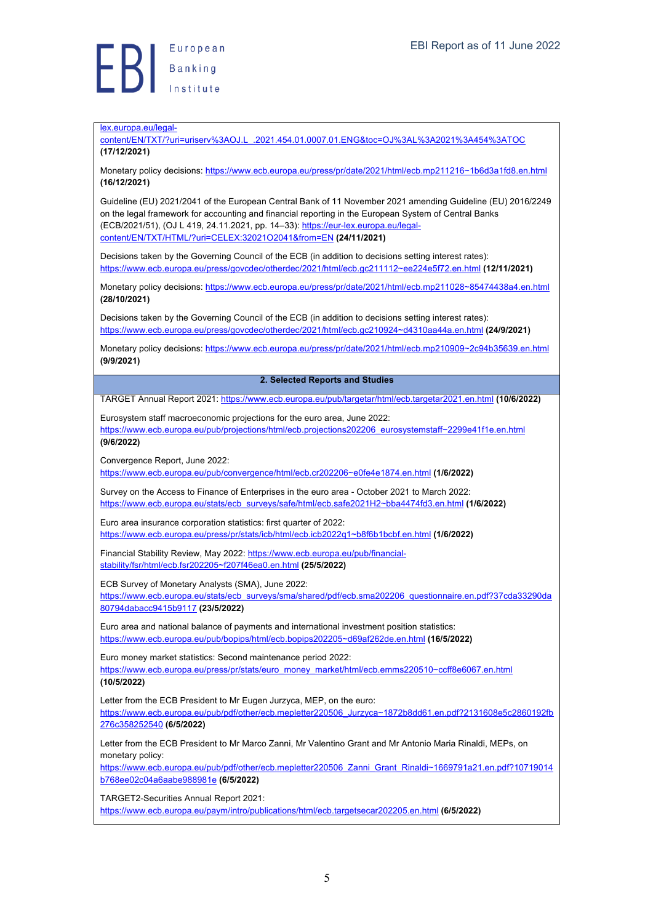

#### lex.europa.eu/legal-

content/EN/TXT/?uri=uriserv%3AOJ.L\_.2021.454.01.0007.01.ENG&toc=OJ%3AL%3A2021%3A454%3ATOC **(17/12/2021)**

Monetary policy decisions: https://www.ecb.europa.eu/press/pr/date/2021/html/ecb.mp211216~1b6d3a1fd8.en.html **(16/12/2021)**

Guideline (EU) 2021/2041 of the European Central Bank of 11 November 2021 amending Guideline (EU) 2016/2249 on the legal framework for accounting and financial reporting in the European System of Central Banks (ECB/2021/51), (OJ L 419, 24.11.2021, pp. 14–33): https://eur-lex.europa.eu/legalcontent/EN/TXT/HTML/?uri=CELEX:32021O2041&from=EN **(24/11/2021)**

Decisions taken by the Governing Council of the ECB (in addition to decisions setting interest rates): https://www.ecb.europa.eu/press/govcdec/otherdec/2021/html/ecb.gc211112~ee224e5f72.en.html **(12/11/2021)**

Monetary policy decisions: https://www.ecb.europa.eu/press/pr/date/2021/html/ecb.mp211028~85474438a4.en.html **(28/10/2021)**

Decisions taken by the Governing Council of the ECB (in addition to decisions setting interest rates): https://www.ecb.europa.eu/press/govcdec/otherdec/2021/html/ecb.gc210924~d4310aa44a.en.html **(24/9/2021)**

Monetary policy decisions: https://www.ecb.europa.eu/press/pr/date/2021/html/ecb.mp210909~2c94b35639.en.html **(9/9/2021)**

#### **2. Selected Reports and Studies**

TARGET Annual Report 2021: https://www.ecb.europa.eu/pub/targetar/html/ecb.targetar2021.en.html **(10/6/2022)**

Eurosystem staff macroeconomic projections for the euro area, June 2022:

https://www.ecb.europa.eu/pub/projections/html/ecb.projections202206\_eurosystemstaff~2299e41f1e.en.html **(9/6/2022)**

Convergence Report, June 2022:

https://www.ecb.europa.eu/pub/convergence/html/ecb.cr202206~e0fe4e1874.en.html **(1/6/2022)**

Survey on the Access to Finance of Enterprises in the euro area - October 2021 to March 2022: https://www.ecb.europa.eu/stats/ecb\_surveys/safe/html/ecb.safe2021H2~bba4474fd3.en.html **(1/6/2022)**

Euro area insurance corporation statistics: first quarter of 2022: https://www.ecb.europa.eu/press/pr/stats/icb/html/ecb.icb2022q1~b8f6b1bcbf.en.html **(1/6/2022)**

Financial Stability Review, May 2022: https://www.ecb.europa.eu/pub/financialstability/fsr/html/ecb.fsr202205~f207f46ea0.en.html **(25/5/2022)**

ECB Survey of Monetary Analysts (SMA), June 2022:

https://www.ecb.europa.eu/stats/ecb\_surveys/sma/shared/pdf/ecb.sma202206\_questionnaire.en.pdf?37cda33290da 80794dabacc9415b9117 **(23/5/2022)**

Euro area and national balance of payments and international investment position statistics: https://www.ecb.europa.eu/pub/bopips/html/ecb.bopips202205~d69af262de.en.html **(16/5/2022)**

Euro money market statistics: Second maintenance period 2022: https://www.ecb.europa.eu/press/pr/stats/euro\_money\_market/html/ecb.emms220510~ccff8e6067.en.html **(10/5/2022)**

Letter from the ECB President to Mr Eugen Jurzyca, MEP, on the euro: https://www.ecb.europa.eu/pub/pdf/other/ecb.mepletter220506\_Jurzyca~1872b8dd61.en.pdf?2131608e5c2860192fb

276c358252540 **(6/5/2022)**

Letter from the ECB President to Mr Marco Zanni, Mr Valentino Grant and Mr Antonio Maria Rinaldi, MEPs, on monetary policy:

https://www.ecb.europa.eu/pub/pdf/other/ecb.mepletter220506\_Zanni\_Grant\_Rinaldi~1669791a21.en.pdf?10719014 b768ee02c04a6aabe988981e **(6/5/2022)**

TARGET2-Securities Annual Report 2021: https://www.ecb.europa.eu/paym/intro/publications/html/ecb.targetsecar202205.en.html **(6/5/2022)**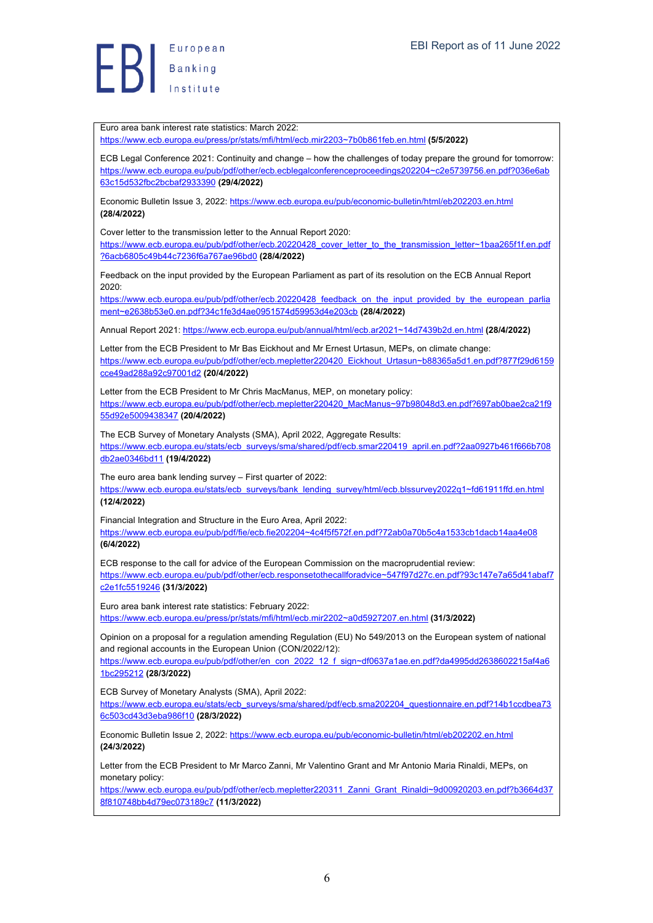Euro area bank interest rate statistics: March 2022:

https://www.ecb.europa.eu/press/pr/stats/mfi/html/ecb.mir2203~7b0b861feb.en.html **(5/5/2022)**

ECB Legal Conference 2021: Continuity and change – how the challenges of today prepare the ground for tomorrow: https://www.ecb.europa.eu/pub/pdf/other/ecb.ecblegalconferenceproceedings202204~c2e5739756.en.pdf?036e6ab 63c15d532fbc2bcbaf2933390 **(29/4/2022)**

Economic Bulletin Issue 3, 2022: https://www.ecb.europa.eu/pub/economic-bulletin/html/eb202203.en.html **(28/4/2022)**

Cover letter to the transmission letter to the Annual Report 2020:

https://www.ecb.europa.eu/pub/pdf/other/ecb.20220428\_cover\_letter\_to\_the\_transmission\_letter~1baa265f1f.en.pdf ?6acb6805c49b44c7236f6a767ae96bd0 **(28/4/2022)**

Feedback on the input provided by the European Parliament as part of its resolution on the ECB Annual Report 2020:

https://www.ecb.europa.eu/pub/pdf/other/ecb.20220428\_feedback\_on\_the\_input\_provided\_by\_the\_european\_parlia ment~e2638b53e0.en.pdf?34c1fe3d4ae0951574d59953d4e203cb **(28/4/2022)**

Annual Report 2021: https://www.ecb.europa.eu/pub/annual/html/ecb.ar2021~14d7439b2d.en.html **(28/4/2022)**

Letter from the ECB President to Mr Bas Eickhout and Mr Ernest Urtasun, MEPs, on climate change: https://www.ecb.europa.eu/pub/pdf/other/ecb.mepletter220420\_Eickhout\_Urtasun~b88365a5d1.en.pdf?877f29d6159 cce49ad288a92c97001d2 **(20/4/2022)**

Letter from the ECB President to Mr Chris MacManus, MEP, on monetary policy: https://www.ecb.europa.eu/pub/pdf/other/ecb.mepletter220420\_MacManus~97b98048d3.en.pdf?697ab0bae2ca21f9 55d92e5009438347 **(20/4/2022)**

The ECB Survey of Monetary Analysts (SMA), April 2022, Aggregate Results: https://www.ecb.europa.eu/stats/ecb\_surveys/sma/shared/pdf/ecb.smar220419\_april.en.pdf?2aa0927b461f666b708 db2ae0346bd11 **(19/4/2022)**

The euro area bank lending survey – First quarter of 2022: https://www.ecb.europa.eu/stats/ecb\_surveys/bank\_lending\_survey/html/ecb.blssurvey2022q1~fd61911ffd.en.html **(12/4/2022)**

Financial Integration and Structure in the Euro Area, April 2022: https://www.ecb.europa.eu/pub/pdf/fie/ecb.fie202204~4c4f5f572f.en.pdf?72ab0a70b5c4a1533cb1dacb14aa4e08 **(6/4/2022)**

ECB response to the call for advice of the European Commission on the macroprudential review: https://www.ecb.europa.eu/pub/pdf/other/ecb.responsetothecallforadvice~547f97d27c.en.pdf?93c147e7a65d41abaf7 c2e1fc5519246 **(31/3/2022)**

Euro area bank interest rate statistics: February 2022:

https://www.ecb.europa.eu/press/pr/stats/mfi/html/ecb.mir2202~a0d5927207.en.html **(31/3/2022)**

Opinion on a proposal for a regulation amending Regulation (EU) No 549/2013 on the European system of national and regional accounts in the European Union (CON/2022/12):

https://www.ecb.europa.eu/pub/pdf/other/en\_con\_2022\_12\_f\_sign~df0637a1ae.en.pdf?da4995dd2638602215af4a6 1bc295212 **(28/3/2022)**

ECB Survey of Monetary Analysts (SMA), April 2022:

https://www.ecb.europa.eu/stats/ecb\_surveys/sma/shared/pdf/ecb.sma202204\_questionnaire.en.pdf?14b1ccdbea73 6c503cd43d3eba986f10 **(28/3/2022)**

Economic Bulletin Issue 2, 2022: https://www.ecb.europa.eu/pub/economic-bulletin/html/eb202202.en.html **(24/3/2022)**

Letter from the ECB President to Mr Marco Zanni, Mr Valentino Grant and Mr Antonio Maria Rinaldi, MEPs, on monetary policy:

https://www.ecb.europa.eu/pub/pdf/other/ecb.mepletter220311\_Zanni\_Grant\_Rinaldi~9d00920203.en.pdf?b3664d37 8f810748bb4d79ec073189c7 **(11/3/2022)**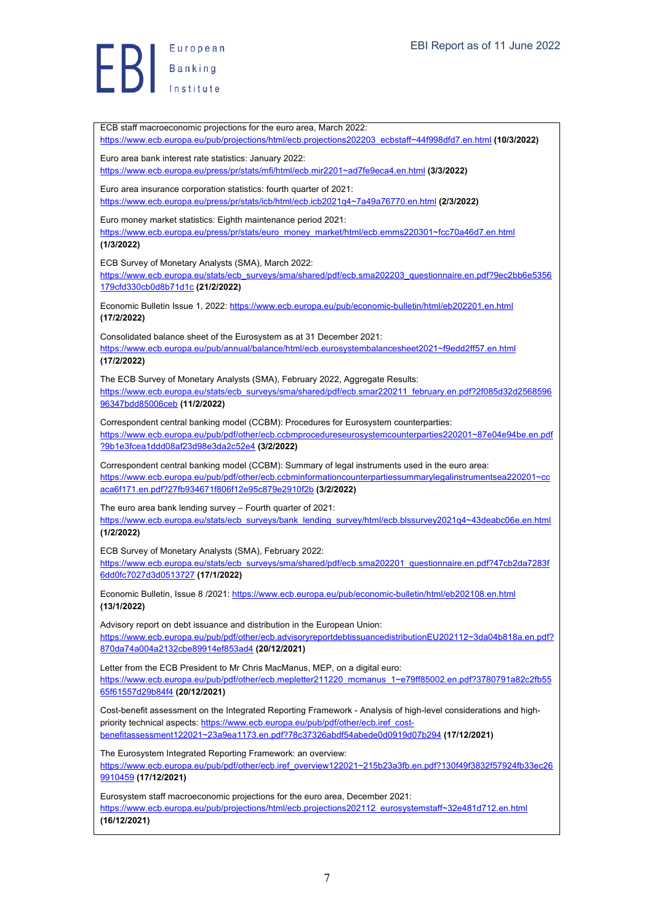European  $\left\{\right\}$  Banking

ECB staff macroeconomic projections for the euro area, March 2022: https://www.ecb.europa.eu/pub/projections/html/ecb.projections202203\_ecbstaff~44f998dfd7.en.html **(10/3/2022)** Euro area bank interest rate statistics: January 2022: https://www.ecb.europa.eu/press/pr/stats/mfi/html/ecb.mir2201~ad7fe9eca4.en.html **(3/3/2022)** Euro area insurance corporation statistics: fourth quarter of 2021: https://www.ecb.europa.eu/press/pr/stats/icb/html/ecb.icb2021q4~7a49a76770.en.html **(2/3/2022)** Euro money market statistics: Eighth maintenance period 2021: https://www.ecb.europa.eu/press/pr/stats/euro\_money\_market/html/ecb.emms220301~fcc70a46d7.en.html **(1/3/2022)** ECB Survey of Monetary Analysts (SMA), March 2022: https://www.ecb.europa.eu/stats/ecb\_surveys/sma/shared/pdf/ecb.sma202203\_questionnaire.en.pdf?9ec2bb6e5356 179cfd330cb0d8b71d1c **(21/2/2022)** Economic Bulletin Issue 1, 2022: https://www.ecb.europa.eu/pub/economic-bulletin/html/eb202201.en.html **(17/2/2022)** Consolidated balance sheet of the Eurosystem as at 31 December 2021: https://www.ecb.europa.eu/pub/annual/balance/html/ecb.eurosystembalancesheet2021~f9edd2ff57.en.html **(17/2/2022)** The ECB Survey of Monetary Analysts (SMA), February 2022, Aggregate Results: https://www.ecb.europa.eu/stats/ecb\_surveys/sma/shared/pdf/ecb.smar220211\_february.en.pdf?2f085d32d2568596 96347bdd85006ceb **(11/2/2022)** Correspondent central banking model (CCBM): Procedures for Eurosystem counterparties: https://www.ecb.europa.eu/pub/pdf/other/ecb.ccbmprocedureseurosystemcounterparties220201~87e04e94be.en.pdf ?9b1e3fcea1ddd08af23d98e3da2c52e4 **(3/2/2022)** Correspondent central banking model (CCBM): Summary of legal instruments used in the euro area: https://www.ecb.europa.eu/pub/pdf/other/ecb.ccbminformationcounterpartiessummarylegalinstrumentsea220201~cc aca6f171.en.pdf?27fb934671f806f12e95c879e2910f2b **(3/2/2022)** The euro area bank lending survey – Fourth quarter of 2021: https://www.ecb.europa.eu/stats/ecb\_surveys/bank\_lending\_survey/html/ecb.blssurvey2021q4~43deabc06e.en.html **(1/2/2022)** ECB Survey of Monetary Analysts (SMA), February 2022: https://www.ecb.europa.eu/stats/ecb\_surveys/sma/shared/pdf/ecb.sma202201\_questionnaire.en.pdf?47cb2da7283f 6dd0fc7027d3d0513727 **(17/1/2022)** Economic Bulletin, Issue 8 /2021: https://www.ecb.europa.eu/pub/economic-bulletin/html/eb202108.en.html **(13/1/2022)** Advisory report on debt issuance and distribution in the European Union: https://www.ecb.europa.eu/pub/pdf/other/ecb.advisoryreportdebtissuancedistributionEU202112~3da04b818a.en.pdf? 870da74a004a2132cbe89914ef853ad4 **(20/12/2021)** Letter from the ECB President to Mr Chris MacManus, MEP, on a digital euro: https://www.ecb.europa.eu/pub/pdf/other/ecb.mepletter211220\_mcmanus\_1~e79ff85002.en.pdf?3780791a82c2fb55 65f61557d29b84f4 **(20/12/2021)** Cost-benefit assessment on the Integrated Reporting Framework - Analysis of high-level considerations and highpriority technical aspects: https://www.ecb.europa.eu/pub/pdf/other/ecb.iref\_costbenefitassessment122021~23a9ea1173.en.pdf?78c37326abdf54abede0d0919d07b294 **(17/12/2021)** The Eurosystem Integrated Reporting Framework: an overview: https://www.ecb.europa.eu/pub/pdf/other/ecb.iref\_overview122021~215b23a3fb.en.pdf?130f49f3832f57924fb33ec26 9910459 **(17/12/2021)** Eurosystem staff macroeconomic projections for the euro area, December 2021: https://www.ecb.europa.eu/pub/projections/html/ecb.projections202112\_eurosystemstaff~32e481d712.en.html **(16/12/2021)**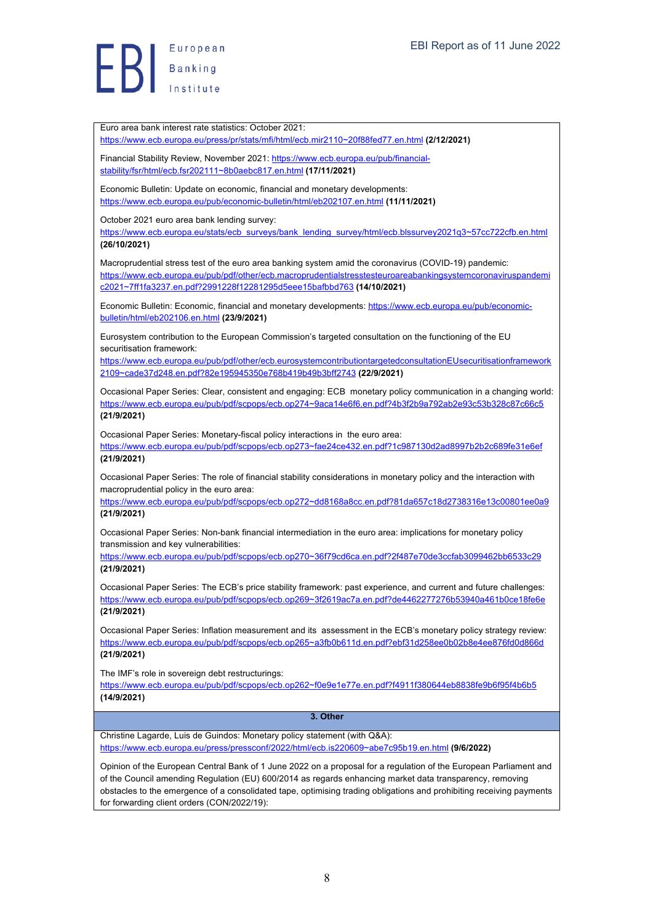European  $\left| \begin{array}{c} \end{array} \right|$  Banking

Euro area bank interest rate statistics: October 2021:

https://www.ecb.europa.eu/press/pr/stats/mfi/html/ecb.mir2110~20f88fed77.en.html **(2/12/2021)**

Financial Stability Review, November 2021: https://www.ecb.europa.eu/pub/financialstability/fsr/html/ecb.fsr202111~8b0aebc817.en.html **(17/11/2021)**

Economic Bulletin: Update on economic, financial and monetary developments: https://www.ecb.europa.eu/pub/economic-bulletin/html/eb202107.en.html **(11/11/2021)**

October 2021 euro area bank lending survey:

https://www.ecb.europa.eu/stats/ecb\_surveys/bank\_lending\_survey/html/ecb.blssurvey2021q3~57cc722cfb.en.html **(26/10/2021)**

Macroprudential stress test of the euro area banking system amid the coronavirus (COVID-19) pandemic: https://www.ecb.europa.eu/pub/pdf/other/ecb.macroprudentialstresstesteuroareabankingsystemcoronaviruspandemi c2021~7ff1fa3237.en.pdf?2991228f12281295d5eee15bafbbd763 **(14/10/2021)**

Economic Bulletin: Economic, financial and monetary developments: https://www.ecb.europa.eu/pub/economicbulletin/html/eb202106.en.html **(23/9/2021)**

Eurosystem contribution to the European Commission's targeted consultation on the functioning of the EU securitisation framework:

https://www.ecb.europa.eu/pub/pdf/other/ecb.eurosystemcontributiontargetedconsultationEUsecuritisationframework 2109~cade37d248.en.pdf?82e195945350e768b419b49b3bff2743 **(22/9/2021)**

Occasional Paper Series: Clear, consistent and engaging: ECB monetary policy communication in a changing world: https://www.ecb.europa.eu/pub/pdf/scpops/ecb.op274~9aca14e6f6.en.pdf?4b3f2b9a792ab2e93c53b328c87c66c5 **(21/9/2021)**

Occasional Paper Series: Monetary-fiscal policy interactions in the euro area: https://www.ecb.europa.eu/pub/pdf/scpops/ecb.op273~fae24ce432.en.pdf?1c987130d2ad8997b2b2c689fe31e6ef **(21/9/2021)**

Occasional Paper Series: The role of financial stability considerations in monetary policy and the interaction with macroprudential policy in the euro area:

https://www.ecb.europa.eu/pub/pdf/scpops/ecb.op272~dd8168a8cc.en.pdf?81da657c18d2738316e13c00801ee0a9 **(21/9/2021)**

Occasional Paper Series: Non-bank financial intermediation in the euro area: implications for monetary policy transmission and key vulnerabilities:

https://www.ecb.europa.eu/pub/pdf/scpops/ecb.op270~36f79cd6ca.en.pdf?2f487e70de3ccfab3099462bb6533c29 **(21/9/2021)**

Occasional Paper Series: The ECB's price stability framework: past experience, and current and future challenges: https://www.ecb.europa.eu/pub/pdf/scpops/ecb.op269~3f2619ac7a.en.pdf?de4462277276b53940a461b0ce18fe6e **(21/9/2021)**

Occasional Paper Series: Inflation measurement and its assessment in the ECB's monetary policy strategy review: https://www.ecb.europa.eu/pub/pdf/scpops/ecb.op265~a3fb0b611d.en.pdf?ebf31d258ee0b02b8e4ee876fd0d866d **(21/9/2021)**

The IMF's role in sovereign debt restructurings:

https://www.ecb.europa.eu/pub/pdf/scpops/ecb.op262~f0e9e1e77e.en.pdf?f4911f380644eb8838fe9b6f95f4b6b5 **(14/9/2021)**

#### **3. Other**

Christine Lagarde, Luis de Guindos: Monetary policy statement (with Q&A): https://www.ecb.europa.eu/press/pressconf/2022/html/ecb.is220609~abe7c95b19.en.html **(9/6/2022)**

Opinion of the European Central Bank of 1 June 2022 on a proposal for a regulation of the European Parliament and of the Council amending Regulation (EU) 600/2014 as regards enhancing market data transparency, removing obstacles to the emergence of a consolidated tape, optimising trading obligations and prohibiting receiving payments for forwarding client orders (CON/2022/19):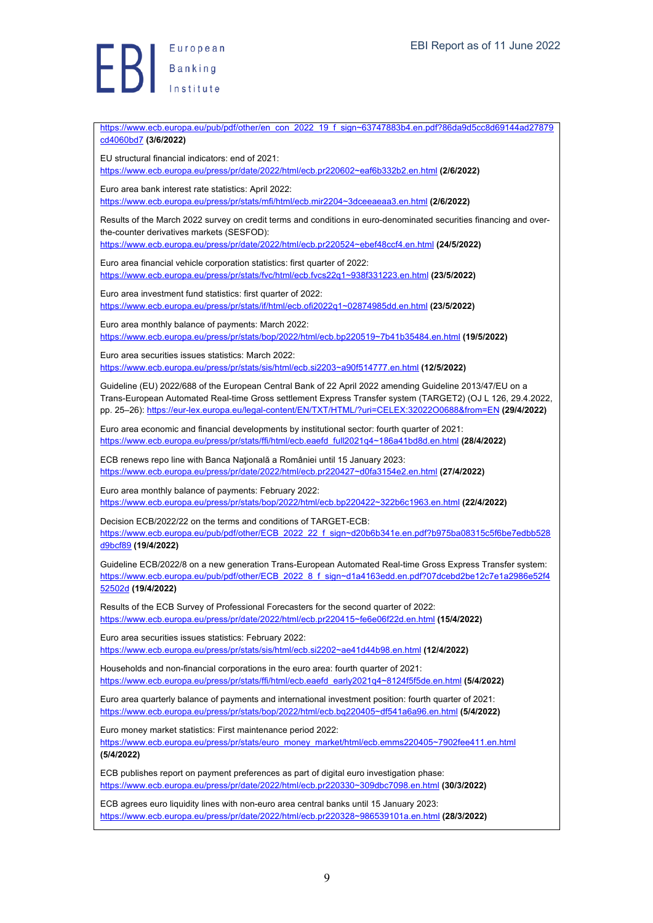European  $\left| \begin{array}{c} 1 \end{array} \right|$  Banking

https://www.ecb.europa.eu/pub/pdf/other/en\_con\_2022\_19\_f\_sign~63747883b4.en.pdf?86da9d5cc8d69144ad27879 cd4060bd7 **(3/6/2022)** EU structural financial indicators: end of 2021: https://www.ecb.europa.eu/press/pr/date/2022/html/ecb.pr220602~eaf6b332b2.en.html **(2/6/2022)** Euro area bank interest rate statistics: April 2022: https://www.ecb.europa.eu/press/pr/stats/mfi/html/ecb.mir2204~3dceeaeaa3.en.html **(2/6/2022)** Results of the March 2022 survey on credit terms and conditions in euro-denominated securities financing and overthe-counter derivatives markets (SESFOD): https://www.ecb.europa.eu/press/pr/date/2022/html/ecb.pr220524~ebef48ccf4.en.html **(24/5/2022)** Euro area financial vehicle corporation statistics: first quarter of 2022: https://www.ecb.europa.eu/press/pr/stats/fvc/html/ecb.fvcs22q1~938f331223.en.html **(23/5/2022)** Euro area investment fund statistics: first quarter of 2022: https://www.ecb.europa.eu/press/pr/stats/if/html/ecb.ofi2022q1~02874985dd.en.html **(23/5/2022)** Euro area monthly balance of payments: March 2022: https://www.ecb.europa.eu/press/pr/stats/bop/2022/html/ecb.bp220519~7b41b35484.en.html **(19/5/2022)** Euro area securities issues statistics: March 2022: https://www.ecb.europa.eu/press/pr/stats/sis/html/ecb.si2203~a90f514777.en.html **(12/5/2022)** Guideline (EU) 2022/688 of the European Central Bank of 22 April 2022 amending Guideline 2013/47/EU on a Trans-European Automated Real-time Gross settlement Express Transfer system (TARGET2) (OJ L 126, 29.4.2022, pp. 25–26): https://eur-lex.europa.eu/legal-content/EN/TXT/HTML/?uri=CELEX:32022O0688&from=EN **(29/4/2022)** Euro area economic and financial developments by institutional sector: fourth quarter of 2021: https://www.ecb.europa.eu/press/pr/stats/ffi/html/ecb.eaefd\_full2021q4~186a41bd8d.en.html **(28/4/2022)** ECB renews repo line with Banca Naţională a României until 15 January 2023: https://www.ecb.europa.eu/press/pr/date/2022/html/ecb.pr220427~d0fa3154e2.en.html **(27/4/2022)** Euro area monthly balance of payments: February 2022: https://www.ecb.europa.eu/press/pr/stats/bop/2022/html/ecb.bp220422~322b6c1963.en.html **(22/4/2022)** Decision ECB/2022/22 on the terms and conditions of TARGET-ECB: https://www.ecb.europa.eu/pub/pdf/other/ECB\_2022\_22\_f\_sign~d20b6b341e.en.pdf?b975ba08315c5f6be7edbb528 d9bcf89 **(19/4/2022)** Guideline ECB/2022/8 on a new generation Trans-European Automated Real-time Gross Express Transfer system: https://www.ecb.europa.eu/pub/pdf/other/ECB\_2022\_8\_f\_sign~d1a4163edd.en.pdf?07dcebd2be12c7e1a2986e52f4 52502d **(19/4/2022)** Results of the ECB Survey of Professional Forecasters for the second quarter of 2022: https://www.ecb.europa.eu/press/pr/date/2022/html/ecb.pr220415~fe6e06f22d.en.html **(15/4/2022)** Euro area securities issues statistics: February 2022: https://www.ecb.europa.eu/press/pr/stats/sis/html/ecb.si2202~ae41d44b98.en.html **(12/4/2022)** Households and non-financial corporations in the euro area: fourth quarter of 2021: https://www.ecb.europa.eu/press/pr/stats/ffi/html/ecb.eaefd\_early2021q4~8124f5f5de.en.html **(5/4/2022)** Euro area quarterly balance of payments and international investment position: fourth quarter of 2021: https://www.ecb.europa.eu/press/pr/stats/bop/2022/html/ecb.bq220405~df541a6a96.en.html **(5/4/2022)** Euro money market statistics: First maintenance period 2022: https://www.ecb.europa.eu/press/pr/stats/euro\_money\_market/html/ecb.emms220405~7902fee411.en.html **(5/4/2022)** ECB publishes report on payment preferences as part of digital euro investigation phase: https://www.ecb.europa.eu/press/pr/date/2022/html/ecb.pr220330~309dbc7098.en.html **(30/3/2022)** ECB agrees euro liquidity lines with non-euro area central banks until 15 January 2023: https://www.ecb.europa.eu/press/pr/date/2022/html/ecb.pr220328~986539101a.en.html **(28/3/2022)**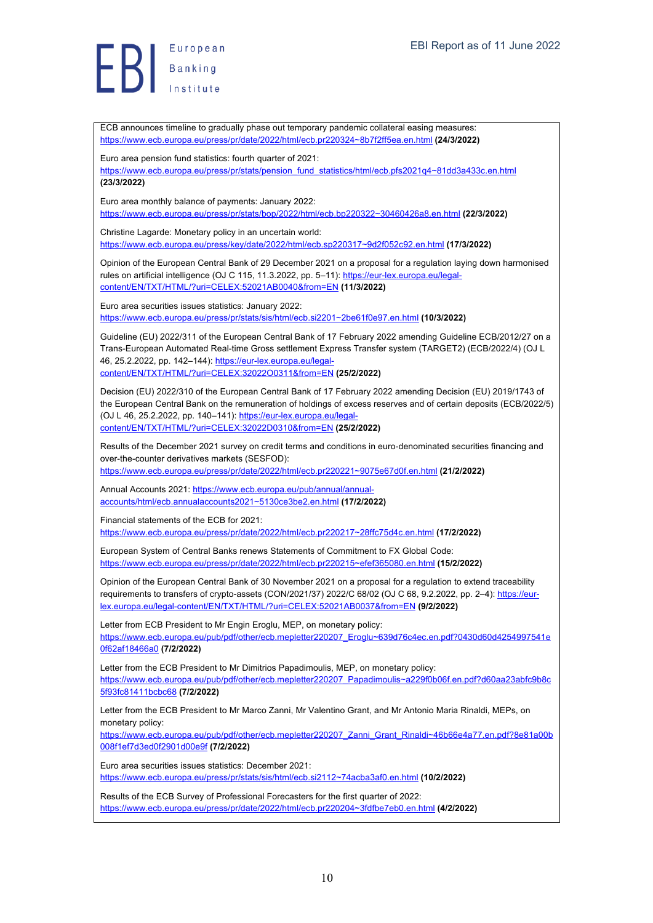

ECB announces timeline to gradually phase out temporary pandemic collateral easing measures: https://www.ecb.europa.eu/press/pr/date/2022/html/ecb.pr220324~8b7f2ff5ea.en.html **(24/3/2022)**

Euro area pension fund statistics: fourth quarter of 2021:

https://www.ecb.europa.eu/press/pr/stats/pension\_fund\_statistics/html/ecb.pfs2021q4~81dd3a433c.en.html **(23/3/2022)**

Euro area monthly balance of payments: January 2022: https://www.ecb.europa.eu/press/pr/stats/bop/2022/html/ecb.bp220322~30460426a8.en.html **(22/3/2022)**

Christine Lagarde: Monetary policy in an uncertain world: https://www.ecb.europa.eu/press/key/date/2022/html/ecb.sp220317~9d2f052c92.en.html **(17/3/2022)**

Opinion of the European Central Bank of 29 December 2021 on a proposal for a regulation laying down harmonised rules on artificial intelligence (OJ C 115, 11.3.2022, pp. 5–11): https://eur-lex.europa.eu/legalcontent/EN/TXT/HTML/?uri=CELEX:52021AB0040&from=EN **(11/3/2022)**

Euro area securities issues statistics: January 2022: https://www.ecb.europa.eu/press/pr/stats/sis/html/ecb.si2201~2be61f0e97.en.html **(10/3/2022)**

Guideline (EU) 2022/311 of the European Central Bank of 17 February 2022 amending Guideline ECB/2012/27 on a Trans-European Automated Real-time Gross settlement Express Transfer system (TARGET2) (ECB/2022/4) (OJ L 46, 25.2.2022, pp. 142–144): https://eur-lex.europa.eu/legalcontent/EN/TXT/HTML/?uri=CELEX:32022O0311&from=EN **(25/2/2022)**

Decision (EU) 2022/310 of the European Central Bank of 17 February 2022 amending Decision (EU) 2019/1743 of the European Central Bank on the remuneration of holdings of excess reserves and of certain deposits (ECB/2022/5) (OJ L 46, 25.2.2022, pp. 140–141): https://eur-lex.europa.eu/legalcontent/EN/TXT/HTML/?uri=CELEX:32022D0310&from=EN **(25/2/2022)**

Results of the December 2021 survey on credit terms and conditions in euro-denominated securities financing and over-the-counter derivatives markets (SESFOD): https://www.ecb.europa.eu/press/pr/date/2022/html/ecb.pr220221~9075e67d0f.en.html **(21/2/2022)**

Annual Accounts 2021: https://www.ecb.europa.eu/pub/annual/annual-

accounts/html/ecb.annualaccounts2021~5130ce3be2.en.html **(17/2/2022)**

Financial statements of the ECB for 2021:

https://www.ecb.europa.eu/press/pr/date/2022/html/ecb.pr220217~28ffc75d4c.en.html **(17/2/2022)**

European System of Central Banks renews Statements of Commitment to FX Global Code: https://www.ecb.europa.eu/press/pr/date/2022/html/ecb.pr220215~efef365080.en.html **(15/2/2022)**

Opinion of the European Central Bank of 30 November 2021 on a proposal for a regulation to extend traceability requirements to transfers of crypto-assets (CON/2021/37) 2022/C 68/02 (OJ C 68, 9.2.2022, pp. 2-4): https://eurlex.europa.eu/legal-content/EN/TXT/HTML/?uri=CELEX:52021AB0037&from=EN **(9/2/2022)**

Letter from ECB President to Mr Engin Eroglu, MEP, on monetary policy: https://www.ecb.europa.eu/pub/pdf/other/ecb.mepletter220207\_Eroglu~639d76c4ec.en.pdf?0430d60d4254997541e 0f62af18466a0 **(7/2/2022)**

Letter from the ECB President to Mr Dimitrios Papadimoulis, MEP, on monetary policy: https://www.ecb.europa.eu/pub/pdf/other/ecb.mepletter220207\_Papadimoulis~a229f0b06f.en.pdf?d60aa23abfc9b8c 5f93fc81411bcbc68 **(7/2/2022)**

Letter from the ECB President to Mr Marco Zanni, Mr Valentino Grant, and Mr Antonio Maria Rinaldi, MEPs, on monetary policy:

https://www.ecb.europa.eu/pub/pdf/other/ecb.mepletter220207\_Zanni\_Grant\_Rinaldi~46b66e4a77.en.pdf?8e81a00b 008f1ef7d3ed0f2901d00e9f **(7/2/2022)**

Euro area securities issues statistics: December 2021: https://www.ecb.europa.eu/press/pr/stats/sis/html/ecb.si2112~74acba3af0.en.html **(10/2/2022)**

Results of the ECB Survey of Professional Forecasters for the first quarter of 2022: https://www.ecb.europa.eu/press/pr/date/2022/html/ecb.pr220204~3fdfbe7eb0.en.html **(4/2/2022)**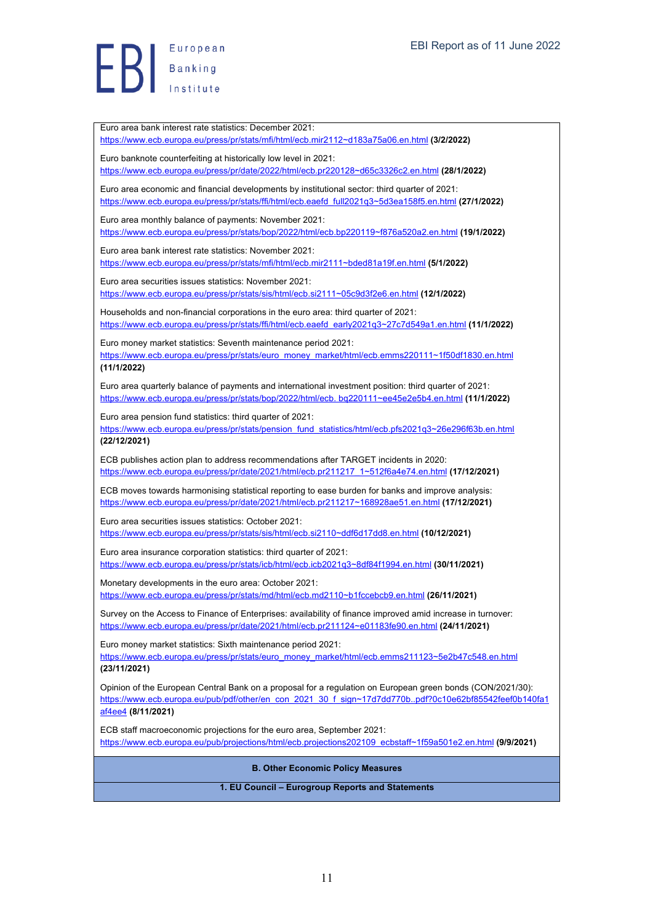European  $EB$   $B$   $B$   $B$  anking

Euro area bank interest rate statistics: December 2021:

https://www.ecb.europa.eu/press/pr/stats/mfi/html/ecb.mir2112~d183a75a06.en.html **(3/2/2022)**

Euro banknote counterfeiting at historically low level in 2021: https://www.ecb.europa.eu/press/pr/date/2022/html/ecb.pr220128~d65c3326c2.en.html **(28/1/2022)** Euro area economic and financial developments by institutional sector: third quarter of 2021: https://www.ecb.europa.eu/press/pr/stats/ffi/html/ecb.eaefd\_full2021q3~5d3ea158f5.en.html **(27/1/2022)** Euro area monthly balance of payments: November 2021: https://www.ecb.europa.eu/press/pr/stats/bop/2022/html/ecb.bp220119~f876a520a2.en.html **(19/1/2022)** Euro area bank interest rate statistics: November 2021: https://www.ecb.europa.eu/press/pr/stats/mfi/html/ecb.mir2111~bded81a19f.en.html **(5/1/2022)** Euro area securities issues statistics: November 2021: https://www.ecb.europa.eu/press/pr/stats/sis/html/ecb.si2111~05c9d3f2e6.en.html **(12/1/2022)** Households and non-financial corporations in the euro area: third quarter of 2021: https://www.ecb.europa.eu/press/pr/stats/ffi/html/ecb.eaefd\_early2021q3~27c7d549a1.en.html **(11/1/2022)** Euro money market statistics: Seventh maintenance period 2021: https://www.ecb.europa.eu/press/pr/stats/euro\_money\_market/html/ecb.emms220111~1f50df1830.en.html **(11/1/2022)** Euro area quarterly balance of payments and international investment position: third quarter of 2021: https://www.ecb.europa.eu/press/pr/stats/bop/2022/html/ecb. bq220111~ee45e2e5b4.en.html **(11/1/2022)** Euro area pension fund statistics: third quarter of 2021: https://www.ecb.europa.eu/press/pr/stats/pension\_fund\_statistics/html/ecb.pfs2021q3~26e296f63b.en.html **(22/12/2021)** ECB publishes action plan to address recommendations after TARGET incidents in 2020: https://www.ecb.europa.eu/press/pr/date/2021/html/ecb.pr211217\_1~512f6a4e74.en.html **(17/12/2021)** ECB moves towards harmonising statistical reporting to ease burden for banks and improve analysis: https://www.ecb.europa.eu/press/pr/date/2021/html/ecb.pr211217~168928ae51.en.html **(17/12/2021)** Euro area securities issues statistics: October 2021: https://www.ecb.europa.eu/press/pr/stats/sis/html/ecb.si2110~ddf6d17dd8.en.html **(10/12/2021)** Euro area insurance corporation statistics: third quarter of 2021: https://www.ecb.europa.eu/press/pr/stats/icb/html/ecb.icb2021q3~8df84f1994.en.html **(30/11/2021)** Monetary developments in the euro area: October 2021: https://www.ecb.europa.eu/press/pr/stats/md/html/ecb.md2110~b1fccebcb9.en.html **(26/11/2021)** Survey on the Access to Finance of Enterprises: availability of finance improved amid increase in turnover: https://www.ecb.europa.eu/press/pr/date/2021/html/ecb.pr211124~e01183fe90.en.html **(24/11/2021)** Euro money market statistics: Sixth maintenance period 2021: https://www.ecb.europa.eu/press/pr/stats/euro\_money\_market/html/ecb.emms211123~5e2b47c548.en.html **(23/11/2021)** Opinion of the European Central Bank on a proposal for a regulation on European green bonds (CON/2021/30): https://www.ecb.europa.eu/pub/pdf/other/en\_con\_2021\_30\_f\_sign~17d7dd770b..pdf?0c10e62bf85542feef0b140fa1 af4ee4 **(8/11/2021)** ECB staff macroeconomic projections for the euro area, September 2021: https://www.ecb.europa.eu/pub/projections/html/ecb.projections202109\_ecbstaff~1f59a501e2.en.html **(9/9/2021) B. Other Economic Policy Measures 1. EU Council – Eurogroup Reports and Statements**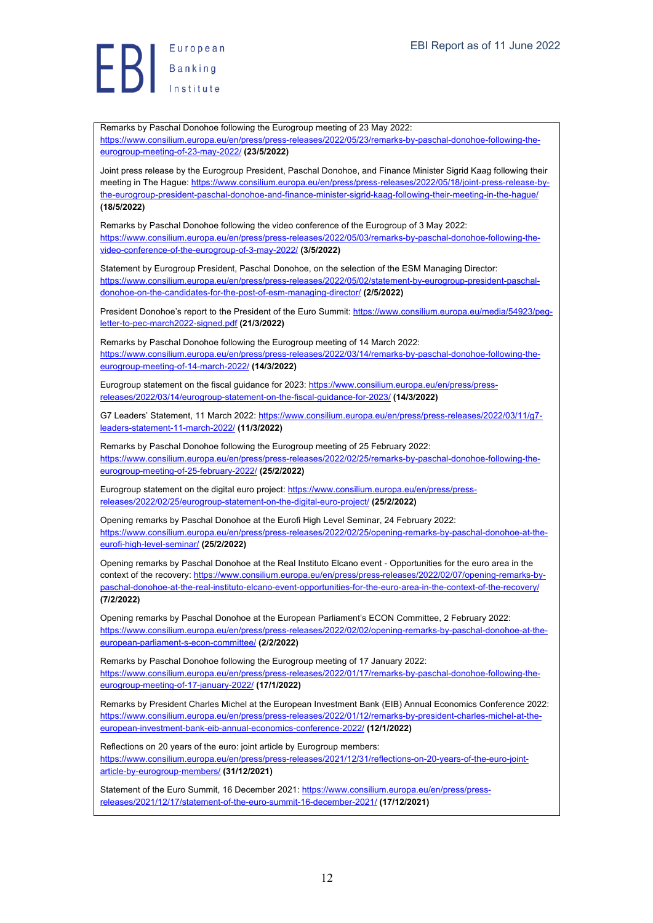Remarks by Paschal Donohoe following the Eurogroup meeting of 23 May 2022: https://www.consilium.europa.eu/en/press/press-releases/2022/05/23/remarks-by-paschal-donohoe-following-theeurogroup-meeting-of-23-may-2022/ **(23/5/2022)**

Joint press release by the Eurogroup President, Paschal Donohoe, and Finance Minister Sigrid Kaag following their meeting in The Hague: https://www.consilium.europa.eu/en/press/press-releases/2022/05/18/joint-press-release-bythe-eurogroup-president-paschal-donohoe-and-finance-minister-sigrid-kaag-following-their-meeting-in-the-hague/ **(18/5/2022)**

Remarks by Paschal Donohoe following the video conference of the Eurogroup of 3 May 2022: https://www.consilium.europa.eu/en/press/press-releases/2022/05/03/remarks-by-paschal-donohoe-following-thevideo-conference-of-the-eurogroup-of-3-may-2022/ **(3/5/2022)**

Statement by Eurogroup President, Paschal Donohoe, on the selection of the ESM Managing Director: https://www.consilium.europa.eu/en/press/press-releases/2022/05/02/statement-by-eurogroup-president-paschaldonohoe-on-the-candidates-for-the-post-of-esm-managing-director/ **(2/5/2022)**

President Donohoe's report to the President of the Euro Summit: https://www.consilium.europa.eu/media/54923/pegletter-to-pec-march2022-signed.pdf **(21/3/2022)**

Remarks by Paschal Donohoe following the Eurogroup meeting of 14 March 2022: https://www.consilium.europa.eu/en/press/press-releases/2022/03/14/remarks-by-paschal-donohoe-following-theeurogroup-meeting-of-14-march-2022/ **(14/3/2022)**

Eurogroup statement on the fiscal guidance for 2023: https://www.consilium.europa.eu/en/press/pressreleases/2022/03/14/eurogroup-statement-on-the-fiscal-guidance-for-2023/ **(14/3/2022)**

G7 Leaders' Statement, 11 March 2022: https://www.consilium.europa.eu/en/press/press-releases/2022/03/11/g7 leaders-statement-11-march-2022/ **(11/3/2022)**

Remarks by Paschal Donohoe following the Eurogroup meeting of 25 February 2022: https://www.consilium.europa.eu/en/press/press-releases/2022/02/25/remarks-by-paschal-donohoe-following-theeurogroup-meeting-of-25-february-2022/ **(25/2/2022)**

Eurogroup statement on the digital euro project: https://www.consilium.europa.eu/en/press/pressreleases/2022/02/25/eurogroup-statement-on-the-digital-euro-project/ **(25/2/2022)**

Opening remarks by Paschal Donohoe at the Eurofi High Level Seminar, 24 February 2022: https://www.consilium.europa.eu/en/press/press-releases/2022/02/25/opening-remarks-by-paschal-donohoe-at-theeurofi-high-level-seminar/ **(25/2/2022)**

Opening remarks by Paschal Donohoe at the Real Instituto Elcano event - Opportunities for the euro area in the context of the recovery: https://www.consilium.europa.eu/en/press/press-releases/2022/02/07/opening-remarks-bypaschal-donohoe-at-the-real-instituto-elcano-event-opportunities-for-the-euro-area-in-the-context-of-the-recovery/ **(7/2/2022)**

Opening remarks by Paschal Donohoe at the European Parliament's ECON Committee, 2 February 2022: https://www.consilium.europa.eu/en/press/press-releases/2022/02/02/opening-remarks-by-paschal-donohoe-at-theeuropean-parliament-s-econ-committee/ **(2/2/2022)**

Remarks by Paschal Donohoe following the Eurogroup meeting of 17 January 2022: https://www.consilium.europa.eu/en/press/press-releases/2022/01/17/remarks-by-paschal-donohoe-following-theeurogroup-meeting-of-17-january-2022/ **(17/1/2022)**

Remarks by President Charles Michel at the European Investment Bank (EIB) Annual Economics Conference 2022: https://www.consilium.europa.eu/en/press/press-releases/2022/01/12/remarks-by-president-charles-michel-at-theeuropean-investment-bank-eib-annual-economics-conference-2022/ **(12/1/2022)**

Reflections on 20 years of the euro: joint article by Eurogroup members: https://www.consilium.europa.eu/en/press/press-releases/2021/12/31/reflections-on-20-years-of-the-euro-jointarticle-by-eurogroup-members/ **(31/12/2021)**

Statement of the Euro Summit, 16 December 2021: https://www.consilium.europa.eu/en/press/pressreleases/2021/12/17/statement-of-the-euro-summit-16-december-2021/ **(17/12/2021)**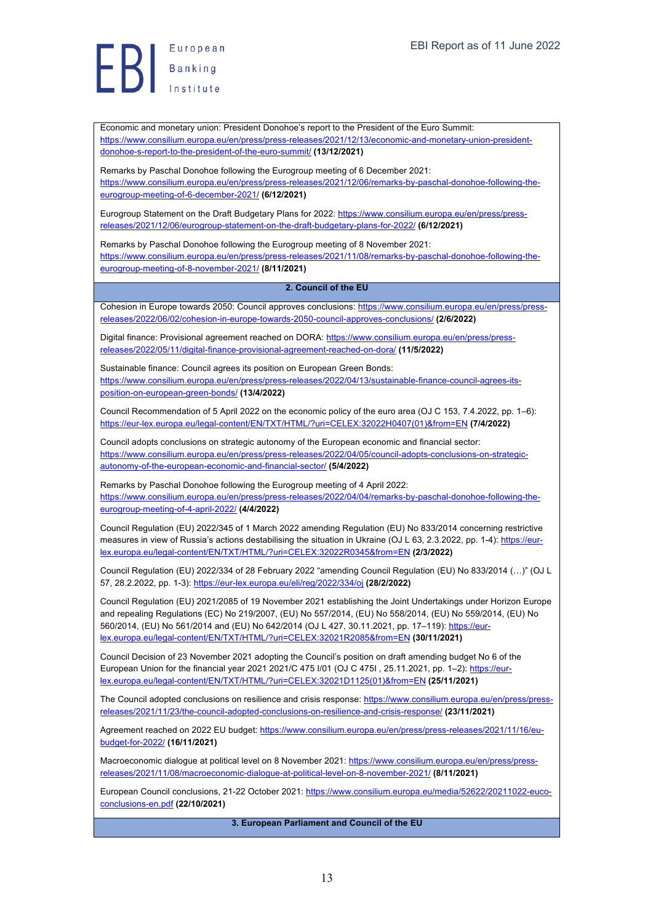Economic and monetary union: President Donohoe's report to the President of the Euro Summit: https://www.consilium.europa.eu/en/press/press-releases/2021/12/13/economic-and-monetary-union-presidentdonohoe-s-report-to-the-president-of-the-euro-summit/ **(13/12/2021)**

Remarks by Paschal Donohoe following the Eurogroup meeting of 6 December 2021: https://www.consilium.europa.eu/en/press/press-releases/2021/12/06/remarks-by-paschal-donohoe-following-theeurogroup-meeting-of-6-december-2021/ **(6/12/2021)**

Eurogroup Statement on the Draft Budgetary Plans for 2022: https://www.consilium.europa.eu/en/press/pressreleases/2021/12/06/eurogroup-statement-on-the-draft-budgetary-plans-for-2022/ **(6/12/2021)**

Remarks by Paschal Donohoe following the Eurogroup meeting of 8 November 2021: https://www.consilium.europa.eu/en/press/press-releases/2021/11/08/remarks-by-paschal-donohoe-following-theeurogroup-meeting-of-8-november-2021/ **(8/11/2021)**

#### **2. Council of the EU**

Cohesion in Europe towards 2050: Council approves conclusions: https://www.consilium.europa.eu/en/press/pressreleases/2022/06/02/cohesion-in-europe-towards-2050-council-approves-conclusions/ **(2/6/2022)**

Digital finance: Provisional agreement reached on DORA: https://www.consilium.europa.eu/en/press/pressreleases/2022/05/11/digital-finance-provisional-agreement-reached-on-dora/ **(11/5/2022)**

Sustainable finance: Council agrees its position on European Green Bonds: https://www.consilium.europa.eu/en/press/press-releases/2022/04/13/sustainable-finance-council-agrees-itsposition-on-european-green-bonds/ **(13/4/2022)**

Council Recommendation of 5 April 2022 on the economic policy of the euro area (OJ C 153, 7.4.2022, pp. 1–6): https://eur-lex.europa.eu/legal-content/EN/TXT/HTML/?uri=CELEX:32022H0407(01)&from=EN **(7/4/2022)**

Council adopts conclusions on strategic autonomy of the European economic and financial sector: https://www.consilium.europa.eu/en/press/press-releases/2022/04/05/council-adopts-conclusions-on-strategicautonomy-of-the-european-economic-and-financial-sector/ **(5/4/2022)**

Remarks by Paschal Donohoe following the Eurogroup meeting of 4 April 2022: https://www.consilium.europa.eu/en/press/press-releases/2022/04/04/remarks-by-paschal-donohoe-following-theeurogroup-meeting-of-4-april-2022/ **(4/4/2022)**

Council Regulation (EU) 2022/345 of 1 March 2022 amending Regulation (EU) No 833/2014 concerning restrictive measures in view of Russia's actions destabilising the situation in Ukraine (OJ L 63, 2.3.2022, pp. 1-4): https://eurlex.europa.eu/legal-content/EN/TXT/HTML/?uri=CELEX:32022R0345&from=EN **(2/3/2022)**

Council Regulation (EU) 2022/334 of 28 February 2022 "amending Council Regulation (EU) No 833/2014 (…)" (OJ L 57, 28.2.2022, pp. 1-3): https://eur-lex.europa.eu/eli/reg/2022/334/oj **(28/2/2022)**

Council Regulation (EU) 2021/2085 of 19 November 2021 establishing the Joint Undertakings under Horizon Europe and repealing Regulations (EC) No 219/2007, (EU) No 557/2014, (EU) No 558/2014, (EU) No 559/2014, (EU) No 560/2014, (EU) No 561/2014 and (EU) No 642/2014 (OJ L 427, 30.11.2021, pp. 17-119): https://eurlex.europa.eu/legal-content/EN/TXT/HTML/?uri=CELEX:32021R2085&from=EN **(30/11/2021)**

Council Decision of 23 November 2021 adopting the Council's position on draft amending budget No 6 of the European Union for the financial year 2021 2021/C 475 I/01 (OJ C 475I , 25.11.2021, pp. 1–2): https://eurlex.europa.eu/legal-content/EN/TXT/HTML/?uri=CELEX:32021D1125(01)&from=EN **(25/11/2021)**

The Council adopted conclusions on resilience and crisis response: https://www.consilium.europa.eu/en/press/pressreleases/2021/11/23/the-council-adopted-conclusions-on-resilience-and-crisis-response/ **(23/11/2021)**

Agreement reached on 2022 EU budget: https://www.consilium.europa.eu/en/press/press-releases/2021/11/16/eubudget-for-2022/ **(16/11/2021)**

Macroeconomic dialogue at political level on 8 November 2021: https://www.consilium.europa.eu/en/press/pressreleases/2021/11/08/macroeconomic-dialogue-at-political-level-on-8-november-2021/ **(8/11/2021)**

European Council conclusions, 21-22 October 2021: https://www.consilium.europa.eu/media/52622/20211022-eucoconclusions-en.pdf **(22/10/2021)**

**3. European Parliament and Council of the EU**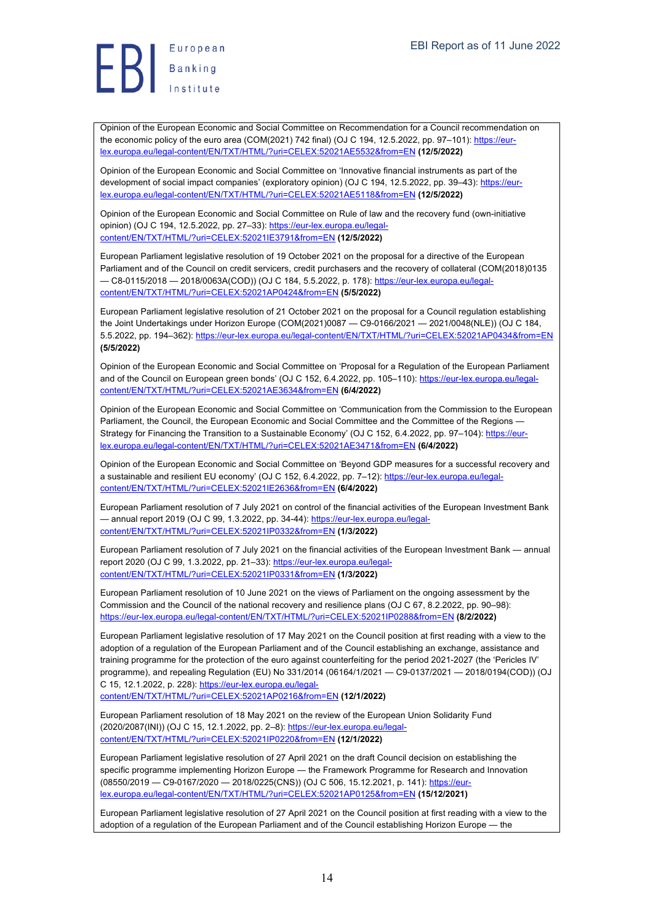Opinion of the European Economic and Social Committee on Recommendation for a Council recommendation on the economic policy of the euro area (COM(2021) 742 final) (OJ C 194, 12.5.2022, pp. 97–101): https://eurlex.europa.eu/legal-content/EN/TXT/HTML/?uri=CELEX:52021AE5532&from=EN **(12/5/2022)**

Opinion of the European Economic and Social Committee on 'Innovative financial instruments as part of the development of social impact companies' (exploratory opinion) (OJ C 194, 12.5.2022, pp. 39–43): https://eurlex.europa.eu/legal-content/EN/TXT/HTML/?uri=CELEX:52021AE5118&from=EN **(12/5/2022)**

Opinion of the European Economic and Social Committee on Rule of law and the recovery fund (own-initiative opinion) (OJ C 194, 12.5.2022, pp. 27–33): https://eur-lex.europa.eu/legalcontent/EN/TXT/HTML/?uri=CELEX:52021IE3791&from=EN **(12/5/2022)**

European Parliament legislative resolution of 19 October 2021 on the proposal for a directive of the European Parliament and of the Council on credit servicers, credit purchasers and the recovery of collateral (COM(2018)0135 — C8-0115/2018 — 2018/0063A(COD)) (OJ C 184, 5.5.2022, p. 178): https://eur-lex.europa.eu/legalcontent/EN/TXT/HTML/?uri=CELEX:52021AP0424&from=EN **(5/5/2022)**

European Parliament legislative resolution of 21 October 2021 on the proposal for a Council regulation establishing the Joint Undertakings under Horizon Europe (COM(2021)0087 — C9-0166/2021 — 2021/0048(NLE)) (OJ C 184, 5.5.2022, pp. 194–362): https://eur-lex.europa.eu/legal-content/EN/TXT/HTML/?uri=CELEX:52021AP0434&from=EN **(5/5/2022)**

Opinion of the European Economic and Social Committee on 'Proposal for a Regulation of the European Parliament and of the Council on European green bonds' (OJ C 152, 6.4.2022, pp. 105-110): https://eur-lex.europa.eu/legalcontent/EN/TXT/HTML/?uri=CELEX:52021AE3634&from=EN **(6/4/2022)**

Opinion of the European Economic and Social Committee on 'Communication from the Commission to the European Parliament, the Council, the European Economic and Social Committee and the Committee of the Regions -Strategy for Financing the Transition to a Sustainable Economy' (OJ C 152, 6.4.2022, pp. 97-104): https://eurlex.europa.eu/legal-content/EN/TXT/HTML/?uri=CELEX:52021AE3471&from=EN **(6/4/2022)**

Opinion of the European Economic and Social Committee on 'Beyond GDP measures for a successful recovery and a sustainable and resilient EU economy' (OJ C 152, 6.4.2022, pp. 7–12): https://eur-lex.europa.eu/legalcontent/EN/TXT/HTML/?uri=CELEX:52021IE2636&from=EN **(6/4/2022)**

European Parliament resolution of 7 July 2021 on control of the financial activities of the European Investment Bank — annual report 2019 (OJ C 99, 1.3.2022, pp. 34-44): https://eur-lex.europa.eu/legalcontent/EN/TXT/HTML/?uri=CELEX:52021IP0332&from=EN **(1/3/2022)**

European Parliament resolution of 7 July 2021 on the financial activities of the European Investment Bank — annual report 2020 (OJ C 99, 1.3.2022, pp. 21-33): https://eur-lex.europa.eu/legalcontent/EN/TXT/HTML/?uri=CELEX:52021IP0331&from=EN **(1/3/2022)**

European Parliament resolution of 10 June 2021 on the views of Parliament on the ongoing assessment by the Commission and the Council of the national recovery and resilience plans (OJ C 67, 8.2.2022, pp. 90–98): https://eur-lex.europa.eu/legal-content/EN/TXT/HTML/?uri=CELEX:52021IP0288&from=EN **(8/2/2022)**

European Parliament legislative resolution of 17 May 2021 on the Council position at first reading with a view to the adoption of a regulation of the European Parliament and of the Council establishing an exchange, assistance and training programme for the protection of the euro against counterfeiting for the period 2021-2027 (the 'Pericles IV' programme), and repealing Regulation (EU) No 331/2014 (06164/1/2021 — C9-0137/2021 — 2018/0194(COD)) (OJ C 15, 12.1.2022, p. 228): https://eur-lex.europa.eu/legal-

content/EN/TXT/HTML/?uri=CELEX:52021AP0216&from=EN **(12/1/2022)**

European Parliament resolution of 18 May 2021 on the review of the European Union Solidarity Fund (2020/2087(INI)) (OJ C 15, 12.1.2022, pp. 2–8): https://eur-lex.europa.eu/legalcontent/EN/TXT/HTML/?uri=CELEX:52021IP0220&from=EN **(12/1/2022)**

European Parliament legislative resolution of 27 April 2021 on the draft Council decision on establishing the specific programme implementing Horizon Europe — the Framework Programme for Research and Innovation (08550/2019 — C9-0167/2020 — 2018/0225(CNS)) (OJ C 506, 15.12.2021, p. 141): https://eurlex.europa.eu/legal-content/EN/TXT/HTML/?uri=CELEX:52021AP0125&from=EN **(15/12/2021)**

European Parliament legislative resolution of 27 April 2021 on the Council position at first reading with a view to the adoption of a regulation of the European Parliament and of the Council establishing Horizon Europe — the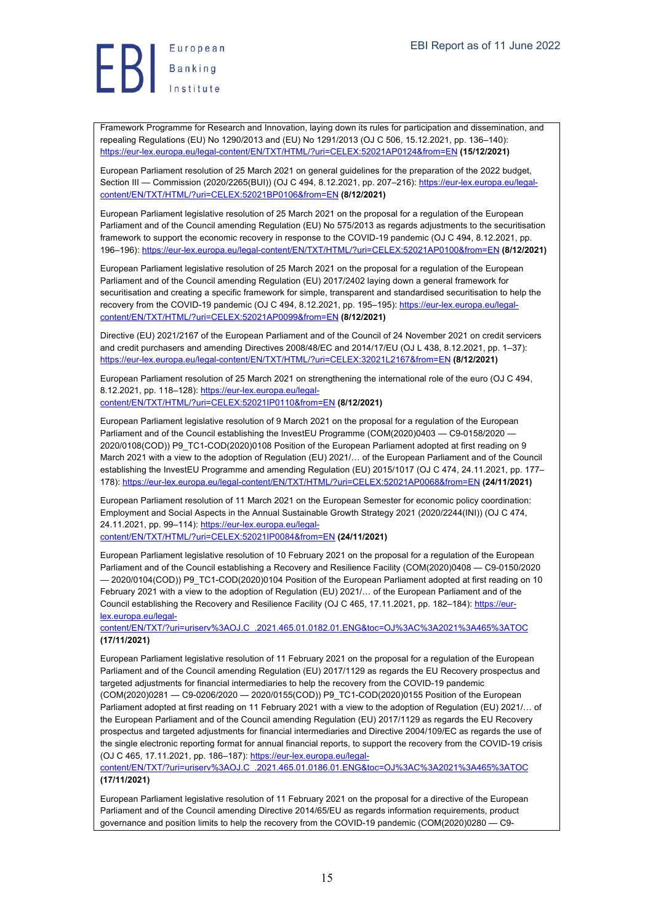

Framework Programme for Research and Innovation, laying down its rules for participation and dissemination, and repealing Regulations (EU) No 1290/2013 and (EU) No 1291/2013 (OJ C 506, 15.12.2021, pp. 136–140): https://eur-lex.europa.eu/legal-content/EN/TXT/HTML/?uri=CELEX:52021AP0124&from=EN **(15/12/2021)**

European Parliament resolution of 25 March 2021 on general guidelines for the preparation of the 2022 budget, Section III — Commission (2020/2265(BUI)) (OJ C 494, 8.12.2021, pp. 207-216): https://eur-lex.europa.eu/legalcontent/EN/TXT/HTML/?uri=CELEX:52021BP0106&from=EN **(8/12/2021)**

European Parliament legislative resolution of 25 March 2021 on the proposal for a regulation of the European Parliament and of the Council amending Regulation (EU) No 575/2013 as regards adjustments to the securitisation framework to support the economic recovery in response to the COVID-19 pandemic (OJ C 494, 8.12.2021, pp. 196–196): https://eur-lex.europa.eu/legal-content/EN/TXT/HTML/?uri=CELEX:52021AP0100&from=EN **(8/12/2021)**

European Parliament legislative resolution of 25 March 2021 on the proposal for a regulation of the European Parliament and of the Council amending Regulation (EU) 2017/2402 laying down a general framework for securitisation and creating a specific framework for simple, transparent and standardised securitisation to help the recovery from the COVID-19 pandemic (OJ C 494, 8.12.2021, pp. 195–195): https://eur-lex.europa.eu/legalcontent/EN/TXT/HTML/?uri=CELEX:52021AP0099&from=EN **(8/12/2021)**

Directive (EU) 2021/2167 of the European Parliament and of the Council of 24 November 2021 on credit servicers and credit purchasers and amending Directives 2008/48/EC and 2014/17/EU (OJ L 438, 8.12.2021, pp. 1–37): https://eur-lex.europa.eu/legal-content/EN/TXT/HTML/?uri=CELEX:32021L2167&from=EN **(8/12/2021)**

European Parliament resolution of 25 March 2021 on strengthening the international role of the euro (OJ C 494, 8.12.2021, pp. 118–128): https://eur-lex.europa.eu/legal-

content/EN/TXT/HTML/?uri=CELEX:52021IP0110&from=EN **(8/12/2021)**

European Parliament legislative resolution of 9 March 2021 on the proposal for a regulation of the European Parliament and of the Council establishing the InvestEU Programme (COM(2020)0403 - C9-0158/2020 -2020/0108(COD)) P9\_TC1-COD(2020)0108 Position of the European Parliament adopted at first reading on 9 March 2021 with a view to the adoption of Regulation (EU) 2021/… of the European Parliament and of the Council establishing the InvestEU Programme and amending Regulation (EU) 2015/1017 (OJ C 474, 24.11.2021, pp. 177– 178): https://eur-lex.europa.eu/legal-content/EN/TXT/HTML/?uri=CELEX:52021AP0068&from=EN **(24/11/2021)**

European Parliament resolution of 11 March 2021 on the European Semester for economic policy coordination: Employment and Social Aspects in the Annual Sustainable Growth Strategy 2021 (2020/2244(INI)) (OJ C 474, 24.11.2021, pp. 99-114): https://eur-lex.europa.eu/legal-

content/EN/TXT/HTML/?uri=CELEX:52021IP0084&from=EN **(24/11/2021)**

European Parliament legislative resolution of 10 February 2021 on the proposal for a regulation of the European Parliament and of the Council establishing a Recovery and Resilience Facility (COM(2020)0408 — C9-0150/2020 — 2020/0104(COD)) P9\_TC1-COD(2020)0104 Position of the European Parliament adopted at first reading on 10 February 2021 with a view to the adoption of Regulation (EU) 2021/… of the European Parliament and of the Council establishing the Recovery and Resilience Facility (OJ C 465, 17.11.2021, pp. 182-184): https://eurlex.europa.eu/legal-

content/EN/TXT/?uri=uriserv%3AOJ.C\_.2021.465.01.0182.01.ENG&toc=OJ%3AC%3A2021%3A465%3ATOC **(17/11/2021)**

European Parliament legislative resolution of 11 February 2021 on the proposal for a regulation of the European Parliament and of the Council amending Regulation (EU) 2017/1129 as regards the EU Recovery prospectus and targeted adjustments for financial intermediaries to help the recovery from the COVID-19 pandemic (COM(2020)0281 — C9-0206/2020 — 2020/0155(COD)) P9\_TC1-COD(2020)0155 Position of the European Parliament adopted at first reading on 11 February 2021 with a view to the adoption of Regulation (EU) 2021/… of the European Parliament and of the Council amending Regulation (EU) 2017/1129 as regards the EU Recovery prospectus and targeted adjustments for financial intermediaries and Directive 2004/109/EC as regards the use of the single electronic reporting format for annual financial reports, to support the recovery from the COVID-19 crisis (OJ C 465, 17.11.2021, pp. 186–187): https://eur-lex.europa.eu/legal-

content/EN/TXT/?uri=uriserv%3AOJ.C\_.2021.465.01.0186.01.ENG&toc=OJ%3AC%3A2021%3A465%3ATOC **(17/11/2021)**

European Parliament legislative resolution of 11 February 2021 on the proposal for a directive of the European Parliament and of the Council amending Directive 2014/65/EU as regards information requirements, product governance and position limits to help the recovery from the COVID-19 pandemic (COM(2020)0280 — C9-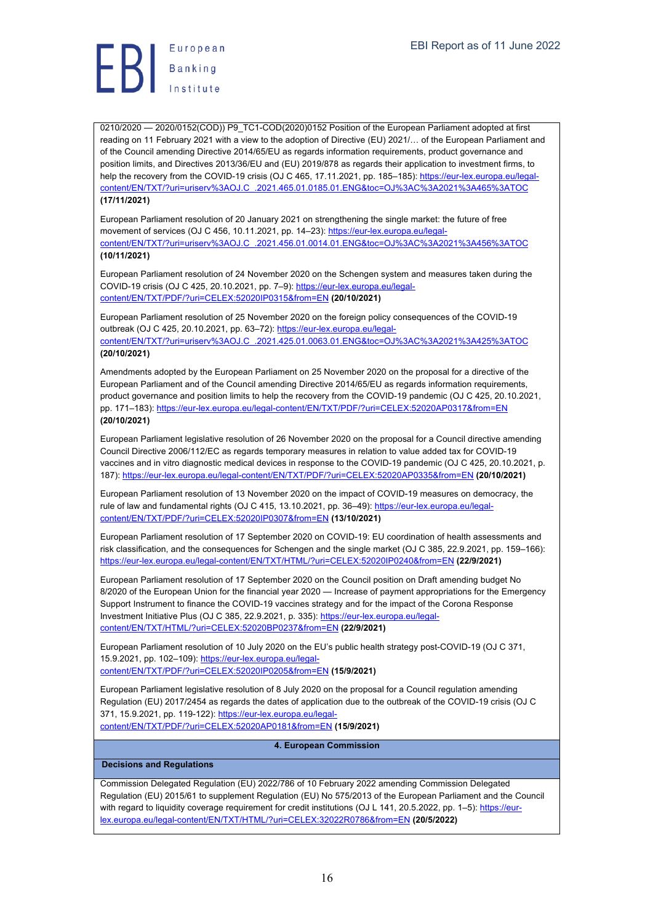0210/2020 - 2020/0152(COD)) P9\_TC1-COD(2020)0152 Position of the European Parliament adopted at first reading on 11 February 2021 with a view to the adoption of Directive (EU) 2021/… of the European Parliament and of the Council amending Directive 2014/65/EU as regards information requirements, product governance and position limits, and Directives 2013/36/EU and (EU) 2019/878 as regards their application to investment firms, to help the recovery from the COVID-19 crisis (OJ C 465, 17.11.2021, pp. 185–185); https://eur-lex.europa.eu/legalcontent/EN/TXT/?uri=uriserv%3AOJ.C\_.2021.465.01.0185.01.ENG&toc=OJ%3AC%3A2021%3A465%3ATOC **(17/11/2021)**

European Parliament resolution of 20 January 2021 on strengthening the single market: the future of free movement of services (OJ C 456, 10.11.2021, pp. 14–23): https://eur-lex.europa.eu/legalcontent/EN/TXT/?uri=uriserv%3AOJ.C\_.2021.456.01.0014.01.ENG&toc=OJ%3AC%3A2021%3A456%3ATOC **(10/11/2021)**

European Parliament resolution of 24 November 2020 on the Schengen system and measures taken during the COVID-19 crisis (OJ C 425, 20.10.2021, pp. 7–9): https://eur-lex.europa.eu/legalcontent/EN/TXT/PDF/?uri=CELEX:52020IP0315&from=EN **(20/10/2021)**

European Parliament resolution of 25 November 2020 on the foreign policy consequences of the COVID-19 outbreak (OJ C 425, 20.10.2021, pp. 63-72): https://eur-lex.europa.eu/legalcontent/EN/TXT/?uri=uriserv%3AOJ.C\_.2021.425.01.0063.01.ENG&toc=OJ%3AC%3A2021%3A425%3ATOC

## **(20/10/2021)**

Amendments adopted by the European Parliament on 25 November 2020 on the proposal for a directive of the European Parliament and of the Council amending Directive 2014/65/EU as regards information requirements, product governance and position limits to help the recovery from the COVID-19 pandemic (OJ C 425, 20.10.2021, pp. 171–183): https://eur-lex.europa.eu/legal-content/EN/TXT/PDF/?uri=CELEX:52020AP0317&from=EN **(20/10/2021)**

European Parliament legislative resolution of 26 November 2020 on the proposal for a Council directive amending Council Directive 2006/112/EC as regards temporary measures in relation to value added tax for COVID-19 vaccines and in vitro diagnostic medical devices in response to the COVID-19 pandemic (OJ C 425, 20.10.2021, p. 187): https://eur-lex.europa.eu/legal-content/EN/TXT/PDF/?uri=CELEX:52020AP0335&from=EN **(20/10/2021)**

European Parliament resolution of 13 November 2020 on the impact of COVID-19 measures on democracy, the rule of law and fundamental rights (OJ C 415, 13.10.2021, pp. 36-49): https://eur-lex.europa.eu/legalcontent/EN/TXT/PDF/?uri=CELEX:52020IP0307&from=EN **(13/10/2021)**

European Parliament resolution of 17 September 2020 on COVID-19: EU coordination of health assessments and risk classification, and the consequences for Schengen and the single market (OJ C 385, 22.9.2021, pp. 159–166): https://eur-lex.europa.eu/legal-content/EN/TXT/HTML/?uri=CELEX:52020IP0240&from=EN **(22/9/2021)**

European Parliament resolution of 17 September 2020 on the Council position on Draft amending budget No 8/2020 of the European Union for the financial year 2020 — Increase of payment appropriations for the Emergency Support Instrument to finance the COVID-19 vaccines strategy and for the impact of the Corona Response Investment Initiative Plus (OJ C 385, 22.9.2021, p. 335): https://eur-lex.europa.eu/legalcontent/EN/TXT/HTML/?uri=CELEX:52020BP0237&from=EN **(22/9/2021)**

European Parliament resolution of 10 July 2020 on the EU's public health strategy post-COVID-19 (OJ C 371, 15.9.2021, pp. 102–109): https://eur-lex.europa.eu/legalcontent/EN/TXT/PDF/?uri=CELEX:52020IP0205&from=EN **(15/9/2021)**

European Parliament legislative resolution of 8 July 2020 on the proposal for a Council regulation amending Regulation (EU) 2017/2454 as regards the dates of application due to the outbreak of the COVID-19 crisis (OJ C 371, 15.9.2021, pp. 119-122): https://eur-lex.europa.eu/legal-

content/EN/TXT/PDF/?uri=CELEX:52020AP0181&from=EN **(15/9/2021)**

#### **4. European Commission**

#### **Decisions and Regulations**

Commission Delegated Regulation (EU) 2022/786 of 10 February 2022 amending Commission Delegated Regulation (EU) 2015/61 to supplement Regulation (EU) No 575/2013 of the European Parliament and the Council with regard to liquidity coverage requirement for credit institutions (OJ L 141, 20.5.2022, pp. 1-5): https://eurlex.europa.eu/legal-content/EN/TXT/HTML/?uri=CELEX:32022R0786&from=EN **(20/5/2022)**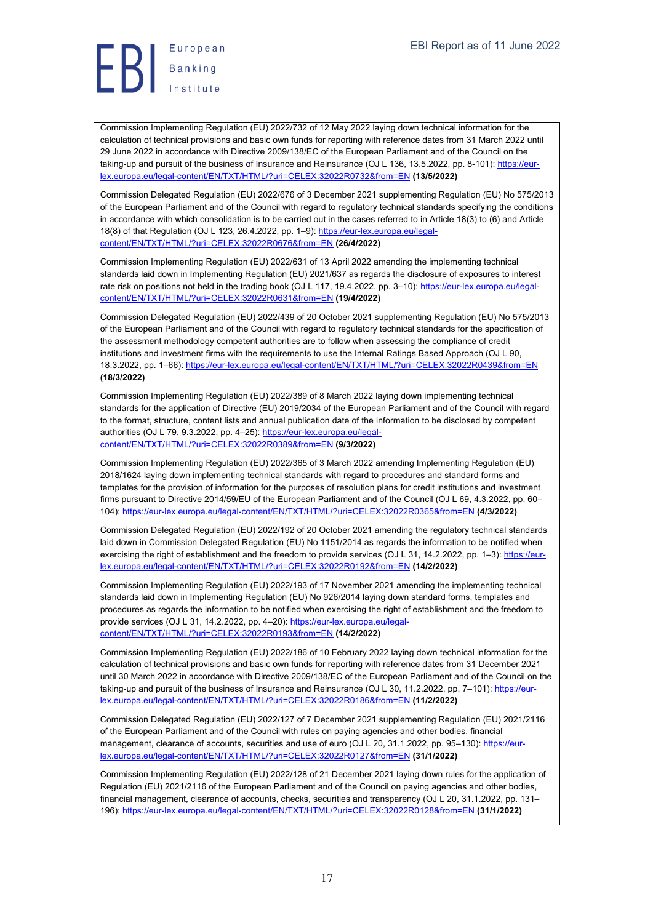Commission Implementing Regulation (EU) 2022/732 of 12 May 2022 laying down technical information for the calculation of technical provisions and basic own funds for reporting with reference dates from 31 March 2022 until 29 June 2022 in accordance with Directive 2009/138/EC of the European Parliament and of the Council on the taking-up and pursuit of the business of Insurance and Reinsurance (OJ L 136, 13.5.2022, pp. 8-101): https://eurlex.europa.eu/legal-content/EN/TXT/HTML/?uri=CELEX:32022R0732&from=EN **(13/5/2022)**

Commission Delegated Regulation (EU) 2022/676 of 3 December 2021 supplementing Regulation (EU) No 575/2013 of the European Parliament and of the Council with regard to regulatory technical standards specifying the conditions in accordance with which consolidation is to be carried out in the cases referred to in Article 18(3) to (6) and Article 18(8) of that Regulation (OJ L 123, 26.4.2022, pp. 1–9): https://eur-lex.europa.eu/legalcontent/EN/TXT/HTML/?uri=CELEX:32022R0676&from=EN **(26/4/2022)**

Commission Implementing Regulation (EU) 2022/631 of 13 April 2022 amending the implementing technical standards laid down in Implementing Regulation (EU) 2021/637 as regards the disclosure of exposures to interest rate risk on positions not held in the trading book (OJ L 117, 19.4.2022, pp. 3–10): https://eur-lex.europa.eu/legalcontent/EN/TXT/HTML/?uri=CELEX:32022R0631&from=EN **(19/4/2022)**

Commission Delegated Regulation (EU) 2022/439 of 20 October 2021 supplementing Regulation (EU) No 575/2013 of the European Parliament and of the Council with regard to regulatory technical standards for the specification of the assessment methodology competent authorities are to follow when assessing the compliance of credit institutions and investment firms with the requirements to use the Internal Ratings Based Approach (OJ L 90, 18.3.2022, pp. 1–66): https://eur-lex.europa.eu/legal-content/EN/TXT/HTML/?uri=CELEX:32022R0439&from=EN **(18/3/2022)**

Commission Implementing Regulation (EU) 2022/389 of 8 March 2022 laying down implementing technical standards for the application of Directive (EU) 2019/2034 of the European Parliament and of the Council with regard to the format, structure, content lists and annual publication date of the information to be disclosed by competent authorities (OJ L 79, 9.3.2022, pp. 4-25): https://eur-lex.europa.eu/legalcontent/EN/TXT/HTML/?uri=CELEX:32022R0389&from=EN **(9/3/2022)**

Commission Implementing Regulation (EU) 2022/365 of 3 March 2022 amending Implementing Regulation (EU) 2018/1624 laying down implementing technical standards with regard to procedures and standard forms and templates for the provision of information for the purposes of resolution plans for credit institutions and investment firms pursuant to Directive 2014/59/EU of the European Parliament and of the Council (OJ L 69, 4.3.2022, pp. 60– 104): https://eur-lex.europa.eu/legal-content/EN/TXT/HTML/?uri=CELEX:32022R0365&from=EN **(4/3/2022)**

Commission Delegated Regulation (EU) 2022/192 of 20 October 2021 amending the regulatory technical standards laid down in Commission Delegated Regulation (EU) No 1151/2014 as regards the information to be notified when exercising the right of establishment and the freedom to provide services (OJ L 31, 14.2.2022, pp. 1–3): https://eurlex.europa.eu/legal-content/EN/TXT/HTML/?uri=CELEX:32022R0192&from=EN **(14/2/2022)**

Commission Implementing Regulation (EU) 2022/193 of 17 November 2021 amending the implementing technical standards laid down in Implementing Regulation (EU) No 926/2014 laying down standard forms, templates and procedures as regards the information to be notified when exercising the right of establishment and the freedom to provide services (OJ L 31, 14.2.2022, pp. 4–20): https://eur-lex.europa.eu/legalcontent/EN/TXT/HTML/?uri=CELEX:32022R0193&from=EN **(14/2/2022)**

Commission Implementing Regulation (EU) 2022/186 of 10 February 2022 laying down technical information for the calculation of technical provisions and basic own funds for reporting with reference dates from 31 December 2021 until 30 March 2022 in accordance with Directive 2009/138/EC of the European Parliament and of the Council on the taking-up and pursuit of the business of Insurance and Reinsurance (OJ L 30, 11.2.2022, pp. 7–101): https://eurlex.europa.eu/legal-content/EN/TXT/HTML/?uri=CELEX:32022R0186&from=EN **(11/2/2022)**

Commission Delegated Regulation (EU) 2022/127 of 7 December 2021 supplementing Regulation (EU) 2021/2116 of the European Parliament and of the Council with rules on paying agencies and other bodies, financial management, clearance of accounts, securities and use of euro (OJ L 20, 31.1.2022, pp. 95–130): https://eurlex.europa.eu/legal-content/EN/TXT/HTML/?uri=CELEX:32022R0127&from=EN **(31/1/2022)**

Commission Implementing Regulation (EU) 2022/128 of 21 December 2021 laying down rules for the application of Regulation (EU) 2021/2116 of the European Parliament and of the Council on paying agencies and other bodies, financial management, clearance of accounts, checks, securities and transparency (OJ L 20, 31.1.2022, pp. 131– 196): https://eur-lex.europa.eu/legal-content/EN/TXT/HTML/?uri=CELEX:32022R0128&from=EN **(31/1/2022)**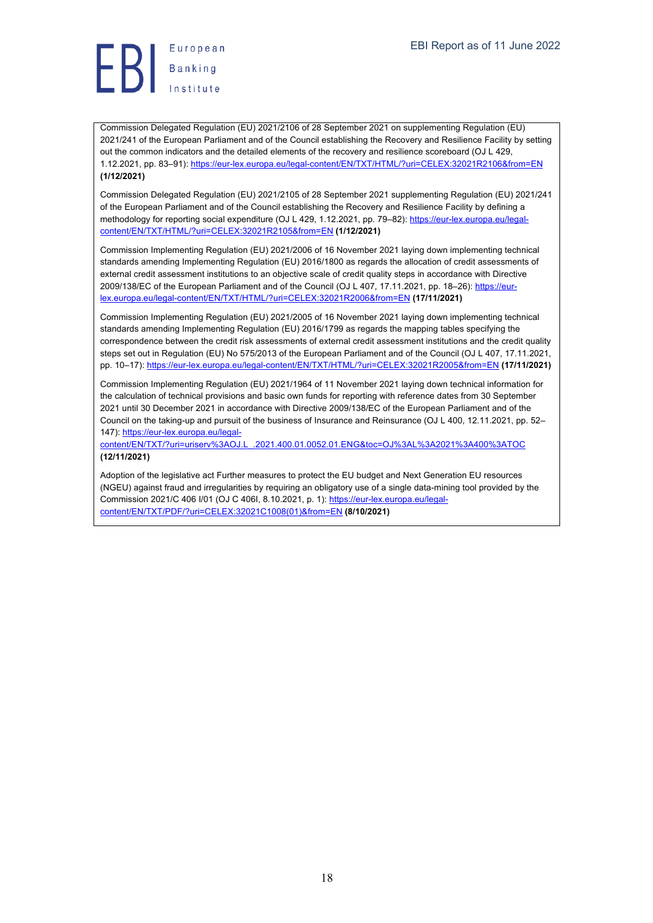European  $\left\{\right\}$  Banking

Commission Delegated Regulation (EU) 2021/2106 of 28 September 2021 on supplementing Regulation (EU) 2021/241 of the European Parliament and of the Council establishing the Recovery and Resilience Facility by setting out the common indicators and the detailed elements of the recovery and resilience scoreboard (OJ L 429, 1.12.2021, pp. 83–91): https://eur-lex.europa.eu/legal-content/EN/TXT/HTML/?uri=CELEX:32021R2106&from=EN **(1/12/2021)**

Commission Delegated Regulation (EU) 2021/2105 of 28 September 2021 supplementing Regulation (EU) 2021/241 of the European Parliament and of the Council establishing the Recovery and Resilience Facility by defining a methodology for reporting social expenditure (OJ L 429, 1.12.2021, pp. 79–82): https://eur-lex.europa.eu/legalcontent/EN/TXT/HTML/?uri=CELEX:32021R2105&from=EN **(1/12/2021)**

Commission Implementing Regulation (EU) 2021/2006 of 16 November 2021 laying down implementing technical standards amending Implementing Regulation (EU) 2016/1800 as regards the allocation of credit assessments of external credit assessment institutions to an objective scale of credit quality steps in accordance with Directive 2009/138/EC of the European Parliament and of the Council (OJ L 407, 17.11.2021, pp. 18–26): https://eurlex.europa.eu/legal-content/EN/TXT/HTML/?uri=CELEX:32021R2006&from=EN **(17/11/2021)**

Commission Implementing Regulation (EU) 2021/2005 of 16 November 2021 laying down implementing technical standards amending Implementing Regulation (EU) 2016/1799 as regards the mapping tables specifying the correspondence between the credit risk assessments of external credit assessment institutions and the credit quality steps set out in Regulation (EU) No 575/2013 of the European Parliament and of the Council (OJ L 407, 17.11.2021, pp. 10–17): https://eur-lex.europa.eu/legal-content/EN/TXT/HTML/?uri=CELEX:32021R2005&from=EN **(17/11/2021)**

Commission Implementing Regulation (EU) 2021/1964 of 11 November 2021 laying down technical information for the calculation of technical provisions and basic own funds for reporting with reference dates from 30 September 2021 until 30 December 2021 in accordance with Directive 2009/138/EC of the European Parliament and of the Council on the taking-up and pursuit of the business of Insurance and Reinsurance (OJ L 400, 12.11.2021, pp. 52– 147): https://eur-lex.europa.eu/legal-

content/EN/TXT/?uri=uriserv%3AOJ.L\_.2021.400.01.0052.01.ENG&toc=OJ%3AL%3A2021%3A400%3ATOC **(12/11/2021)**

Adoption of the legislative act Further measures to protect the EU budget and Next Generation EU resources (NGEU) against fraud and irregularities by requiring an obligatory use of a single data-mining tool provided by the Commission 2021/C 406 I/01 (OJ C 406I, 8.10.2021, p. 1): https://eur-lex.europa.eu/legalcontent/EN/TXT/PDF/?uri=CELEX:32021C1008(01)&from=EN **(8/10/2021)**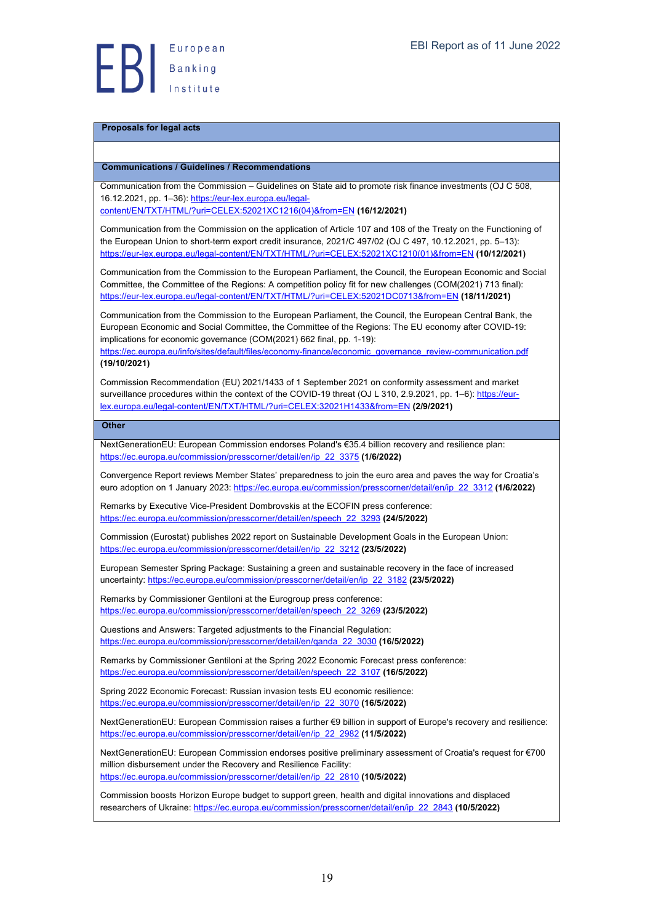# **Proposals for legal acts**

# **Communications / Guidelines / Recommendations**

| Communications / Guidennes / Recommendations                                                                                                                                                                                                                                                                                                                                                                             |
|--------------------------------------------------------------------------------------------------------------------------------------------------------------------------------------------------------------------------------------------------------------------------------------------------------------------------------------------------------------------------------------------------------------------------|
| Communication from the Commission - Guidelines on State aid to promote risk finance investments (OJ C 508,<br>16.12.2021, pp. 1-36): https://eur-lex.europa.eu/legal-<br>content/EN/TXT/HTML/?uri=CELEX:52021XC1216(04)&from=EN (16/12/2021)                                                                                                                                                                             |
| Communication from the Commission on the application of Article 107 and 108 of the Treaty on the Functioning of<br>the European Union to short-term export credit insurance, 2021/C 497/02 (OJ C 497, 10.12.2021, pp. 5-13):<br>https://eur-lex.europa.eu/legal-content/EN/TXT/HTML/?uri=CELEX:52021XC1210(01)&from=EN (10/12/2021)                                                                                      |
| Communication from the Commission to the European Parliament, the Council, the European Economic and Social<br>Committee, the Committee of the Regions: A competition policy fit for new challenges (COM(2021) 713 final):<br>https://eur-lex.europa.eu/legal-content/EN/TXT/HTML/?uri=CELEX:52021DC0713&from=EN (18/11/2021)                                                                                            |
| Communication from the Commission to the European Parliament, the Council, the European Central Bank, the<br>European Economic and Social Committee, the Committee of the Regions: The EU economy after COVID-19:<br>implications for economic governance (COM(2021) 662 final, pp. 1-19):<br>https://ec.europa.eu/info/sites/default/files/economy-finance/economic_governance_review-communication.pdf<br>(19/10/2021) |
| Commission Recommendation (EU) 2021/1433 of 1 September 2021 on conformity assessment and market<br>surveillance procedures within the context of the COVID-19 threat (OJ L 310, 2.9.2021, pp. 1-6): https://eur-<br>lex.europa.eu/legal-content/EN/TXT/HTML/?uri=CELEX:32021H1433&from=EN (2/9/2021)                                                                                                                    |
| <b>Other</b>                                                                                                                                                                                                                                                                                                                                                                                                             |
| NextGenerationEU: European Commission endorses Poland's €35.4 billion recovery and resilience plan:<br>https://ec.europa.eu/commission/presscorner/detail/en/ip 22 3375 (1/6/2022)                                                                                                                                                                                                                                       |
| Convergence Report reviews Member States' preparedness to join the euro area and paves the way for Croatia's<br>euro adoption on 1 January 2023: https://ec.europa.eu/commission/presscorner/detail/en/ip 22 3312 (1/6/2022)                                                                                                                                                                                             |
| Remarks by Executive Vice-President Dombrovskis at the ECOFIN press conference:<br>https://ec.europa.eu/commission/presscorner/detail/en/speech 22 3293 (24/5/2022)                                                                                                                                                                                                                                                      |
| Commission (Eurostat) publishes 2022 report on Sustainable Development Goals in the European Union:<br>https://ec.europa.eu/commission/presscorner/detail/en/ip 22 3212 (23/5/2022)                                                                                                                                                                                                                                      |
| European Semester Spring Package: Sustaining a green and sustainable recovery in the face of increased<br>uncertainty: https://ec.europa.eu/commission/presscorner/detail/en/ip 22 3182 (23/5/2022)                                                                                                                                                                                                                      |
| Remarks by Commissioner Gentiloni at the Eurogroup press conference:<br>https://ec.europa.eu/commission/presscorner/detail/en/speech 22 3269 (23/5/2022)                                                                                                                                                                                                                                                                 |
| Questions and Answers: Targeted adjustments to the Financial Regulation:<br>https://ec.europa.eu/commission/presscorner/detail/en/ganda_22_3030 (16/5/2022)                                                                                                                                                                                                                                                              |

Remarks by Commissioner Gentiloni at the Spring 2022 Economic Forecast press conference: https://ec.europa.eu/commission/presscorner/detail/en/speech\_22\_3107 **(16/5/2022)**

Spring 2022 Economic Forecast: Russian invasion tests EU economic resilience: https://ec.europa.eu/commission/presscorner/detail/en/ip\_22\_3070 **(16/5/2022)**

NextGenerationEU: European Commission raises a further €9 billion in support of Europe's recovery and resilience: https://ec.europa.eu/commission/presscorner/detail/en/ip\_22\_2982 **(11/5/2022)**

NextGenerationEU: European Commission endorses positive preliminary assessment of Croatia's request for €700 million disbursement under the Recovery and Resilience Facility: https://ec.europa.eu/commission/presscorner/detail/en/ip\_22\_2810 **(10/5/2022)**

Commission boosts Horizon Europe budget to support green, health and digital innovations and displaced researchers of Ukraine: https://ec.europa.eu/commission/presscorner/detail/en/ip\_22\_2843 **(10/5/2022)**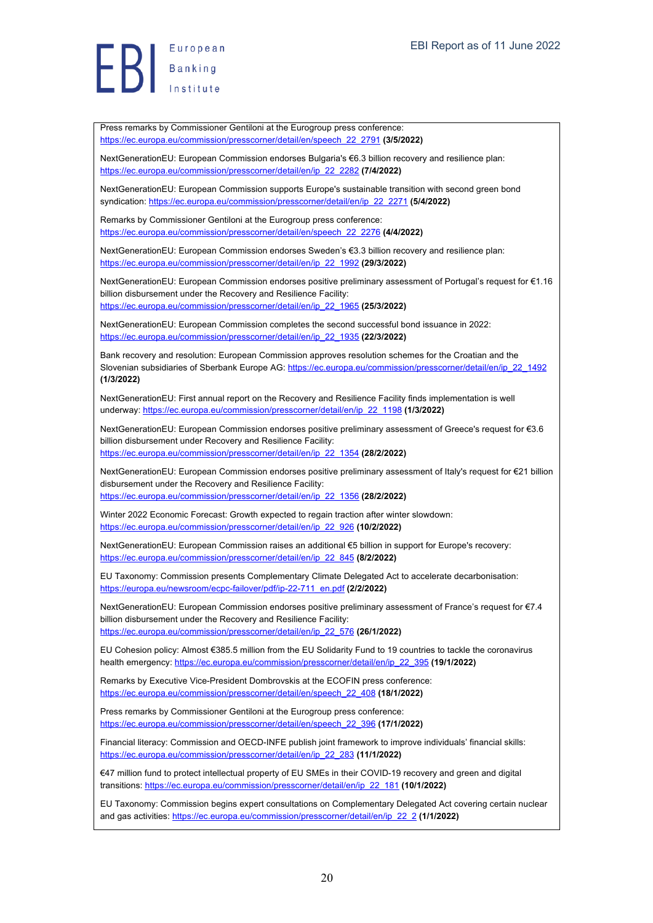Press remarks by Commissioner Gentiloni at the Eurogroup press conference: https://ec.europa.eu/commission/presscorner/detail/en/speech\_22\_2791 **(3/5/2022)**

NextGenerationEU: European Commission endorses Bulgaria's €6.3 billion recovery and resilience plan: https://ec.europa.eu/commission/presscorner/detail/en/ip\_22\_2282 **(7/4/2022)**

NextGenerationEU: European Commission supports Europe's sustainable transition with second green bond syndication: https://ec.europa.eu/commission/presscorner/detail/en/ip\_22\_2271 **(5/4/2022)**

Remarks by Commissioner Gentiloni at the Eurogroup press conference: https://ec.europa.eu/commission/presscorner/detail/en/speech\_22\_2276 **(4/4/2022)**

NextGenerationEU: European Commission endorses Sweden's €3.3 billion recovery and resilience plan: https://ec.europa.eu/commission/presscorner/detail/en/ip\_22\_1992 **(29/3/2022)**

NextGenerationEU: European Commission endorses positive preliminary assessment of Portugal's request for €1.16 billion disbursement under the Recovery and Resilience Facility: https://ec.europa.eu/commission/presscorner/detail/en/ip\_22\_1965 **(25/3/2022)**

NextGenerationEU: European Commission completes the second successful bond issuance in 2022: https://ec.europa.eu/commission/presscorner/detail/en/ip\_22\_1935 **(22/3/2022)**

Bank recovery and resolution: European Commission approves resolution schemes for the Croatian and the Slovenian subsidiaries of Sberbank Europe AG: https://ec.europa.eu/commission/presscorner/detail/en/ip\_22\_1492 **(1/3/2022)**

NextGenerationEU: First annual report on the Recovery and Resilience Facility finds implementation is well underway: https://ec.europa.eu/commission/presscorner/detail/en/ip\_22\_1198 **(1/3/2022)**

NextGenerationEU: European Commission endorses positive preliminary assessment of Greece's request for €3.6 billion disbursement under Recovery and Resilience Facility: https://ec.europa.eu/commission/presscorner/detail/en/ip\_22\_1354 **(28/2/2022)**

NextGenerationEU: European Commission endorses positive preliminary assessment of Italy's request for €21 billion disbursement under the Recovery and Resilience Facility: https://ec.europa.eu/commission/presscorner/detail/en/ip\_22\_1356 **(28/2/2022)**

Winter 2022 Economic Forecast: Growth expected to regain traction after winter slowdown: https://ec.europa.eu/commission/presscorner/detail/en/ip\_22\_926 **(10/2/2022)**

NextGenerationEU: European Commission raises an additional €5 billion in support for Europe's recovery: https://ec.europa.eu/commission/presscorner/detail/en/ip\_22\_845 **(8/2/2022)**

EU Taxonomy: Commission presents Complementary Climate Delegated Act to accelerate decarbonisation: https://europa.eu/newsroom/ecpc-failover/pdf/ip-22-711\_en.pdf **(2/2/2022)**

NextGenerationEU: European Commission endorses positive preliminary assessment of France's request for €7.4 billion disbursement under the Recovery and Resilience Facility: https://ec.europa.eu/commission/presscorner/detail/en/ip\_22\_576 **(26/1/2022)**

EU Cohesion policy: Almost €385.5 million from the EU Solidarity Fund to 19 countries to tackle the coronavirus health emergency: https://ec.europa.eu/commission/presscorner/detail/en/ip\_22\_395 **(19/1/2022)**

Remarks by Executive Vice-President Dombrovskis at the ECOFIN press conference: https://ec.europa.eu/commission/presscorner/detail/en/speech\_22\_408 **(18/1/2022)**

Press remarks by Commissioner Gentiloni at the Eurogroup press conference: https://ec.europa.eu/commission/presscorner/detail/en/speech\_22\_396 **(17/1/2022)**

Financial literacy: Commission and OECD-INFE publish joint framework to improve individuals' financial skills: https://ec.europa.eu/commission/presscorner/detail/en/ip\_22\_283 **(11/1/2022)**

€47 million fund to protect intellectual property of EU SMEs in their COVID-19 recovery and green and digital transitions: https://ec.europa.eu/commission/presscorner/detail/en/ip\_22\_181 **(10/1/2022)**

EU Taxonomy: Commission begins expert consultations on Complementary Delegated Act covering certain nuclear and gas activities: https://ec.europa.eu/commission/presscorner/detail/en/ip\_22\_2 **(1/1/2022)**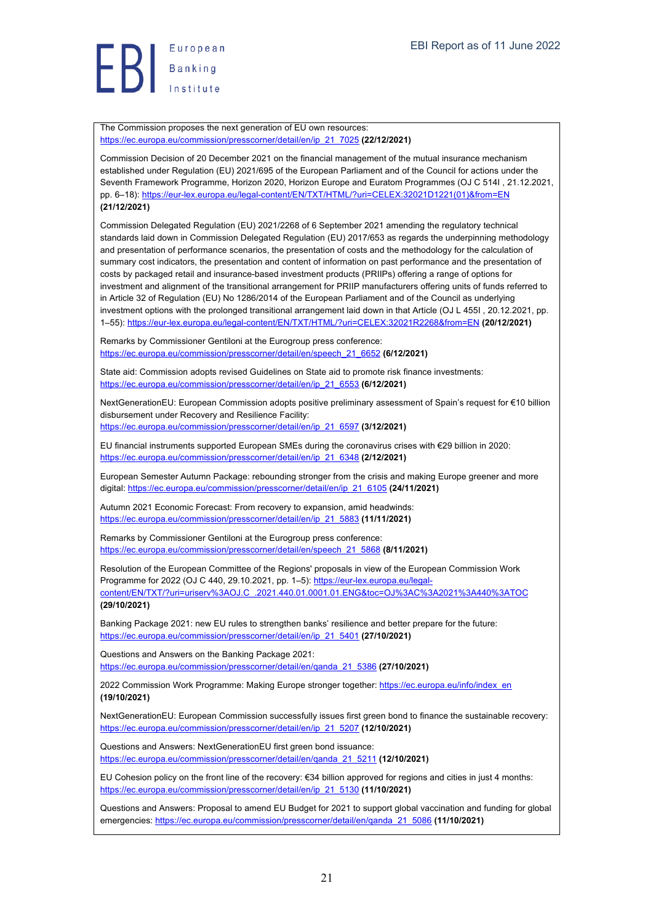

The Commission proposes the next generation of EU own resources: https://ec.europa.eu/commission/presscorner/detail/en/ip\_21\_7025 **(22/12/2021)**

Commission Decision of 20 December 2021 on the financial management of the mutual insurance mechanism established under Regulation (EU) 2021/695 of the European Parliament and of the Council for actions under the Seventh Framework Programme, Horizon 2020, Horizon Europe and Euratom Programmes (OJ C 514I , 21.12.2021, pp. 6–18): https://eur-lex.europa.eu/legal-content/EN/TXT/HTML/?uri=CELEX:32021D1221(01)&from=EN **(21/12/2021)**

Commission Delegated Regulation (EU) 2021/2268 of 6 September 2021 amending the regulatory technical standards laid down in Commission Delegated Regulation (EU) 2017/653 as regards the underpinning methodology and presentation of performance scenarios, the presentation of costs and the methodology for the calculation of summary cost indicators, the presentation and content of information on past performance and the presentation of costs by packaged retail and insurance-based investment products (PRIIPs) offering a range of options for investment and alignment of the transitional arrangement for PRIIP manufacturers offering units of funds referred to in Article 32 of Regulation (EU) No 1286/2014 of the European Parliament and of the Council as underlying investment options with the prolonged transitional arrangement laid down in that Article (OJ L 455I , 20.12.2021, pp. 1–55): https://eur-lex.europa.eu/legal-content/EN/TXT/HTML/?uri=CELEX:32021R2268&from=EN **(20/12/2021)**

Remarks by Commissioner Gentiloni at the Eurogroup press conference: https://ec.europa.eu/commission/presscorner/detail/en/speech\_21\_6652 **(6/12/2021)**

State aid: Commission adopts revised Guidelines on State aid to promote risk finance investments: https://ec.europa.eu/commission/presscorner/detail/en/ip\_21\_6553 **(6/12/2021)**

NextGenerationEU: European Commission adopts positive preliminary assessment of Spain's request for €10 billion disbursement under Recovery and Resilience Facility: https://ec.europa.eu/commission/presscorner/detail/en/ip\_21\_6597 **(3/12/2021)**

EU financial instruments supported European SMEs during the coronavirus crises with €29 billion in 2020: https://ec.europa.eu/commission/presscorner/detail/en/ip\_21\_6348 **(2/12/2021)**

European Semester Autumn Package: rebounding stronger from the crisis and making Europe greener and more digital: https://ec.europa.eu/commission/presscorner/detail/en/ip\_21\_6105 **(24/11/2021)**

Autumn 2021 Economic Forecast: From recovery to expansion, amid headwinds: https://ec.europa.eu/commission/presscorner/detail/en/ip\_21\_5883 **(11/11/2021)**

Remarks by Commissioner Gentiloni at the Eurogroup press conference: https://ec.europa.eu/commission/presscorner/detail/en/speech\_21\_5868 **(8/11/2021)**

Resolution of the European Committee of the Regions' proposals in view of the European Commission Work Programme for 2022 (OJ C 440, 29.10.2021, pp. 1-5): https://eur-lex.europa.eu/legalcontent/EN/TXT/?uri=uriserv%3AOJ.C\_.2021.440.01.0001.01.ENG&toc=OJ%3AC%3A2021%3A440%3ATOC **(29/10/2021)**

Banking Package 2021: new EU rules to strengthen banks' resilience and better prepare for the future: https://ec.europa.eu/commission/presscorner/detail/en/ip\_21\_5401 **(27/10/2021)**

Questions and Answers on the Banking Package 2021: https://ec.europa.eu/commission/presscorner/detail/en/qanda\_21\_5386 **(27/10/2021)**

2022 Commission Work Programme: Making Europe stronger together: https://ec.europa.eu/info/index\_en **(19/10/2021)**

NextGenerationEU: European Commission successfully issues first green bond to finance the sustainable recovery: https://ec.europa.eu/commission/presscorner/detail/en/ip\_21\_5207 **(12/10/2021)**

Questions and Answers: NextGenerationEU first green bond issuance: https://ec.europa.eu/commission/presscorner/detail/en/qanda\_21\_5211 **(12/10/2021)**

EU Cohesion policy on the front line of the recovery: €34 billion approved for regions and cities in just 4 months: https://ec.europa.eu/commission/presscorner/detail/en/ip\_21\_5130 **(11/10/2021)**

Questions and Answers: Proposal to amend EU Budget for 2021 to support global vaccination and funding for global emergencies: https://ec.europa.eu/commission/presscorner/detail/en/qanda\_21\_5086 **(11/10/2021)**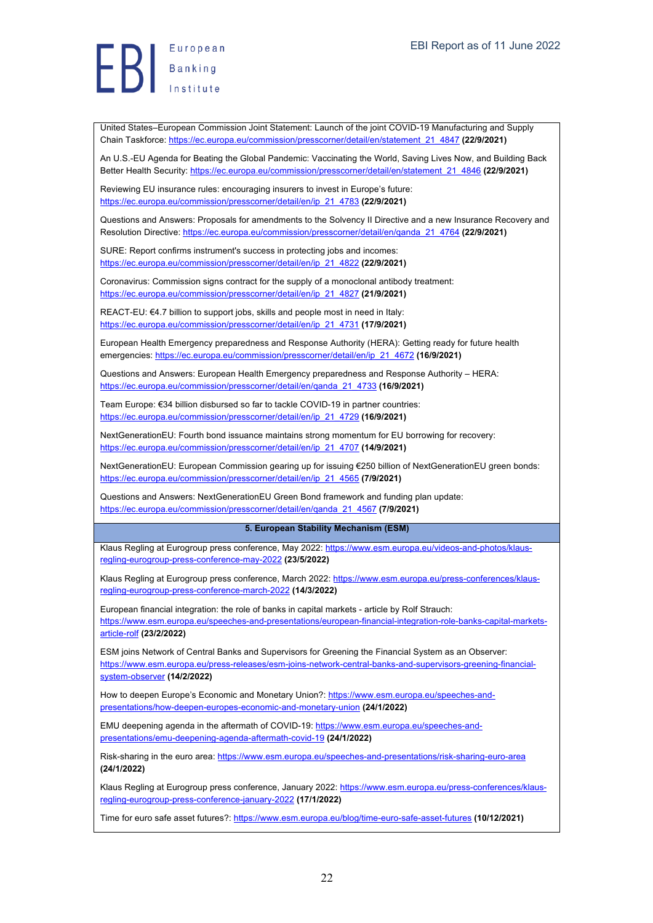European  $\left| \frac{1}{B} \right|$  Banking

United States–European Commission Joint Statement: Launch of the joint COVID-19 Manufacturing and Supply Chain Taskforce: https://ec.europa.eu/commission/presscorner/detail/en/statement\_21\_4847 **(22/9/2021)**

An U.S.-EU Agenda for Beating the Global Pandemic: Vaccinating the World, Saving Lives Now, and Building Back Better Health Security: https://ec.europa.eu/commission/presscorner/detail/en/statement\_21\_4846 **(22/9/2021)**

Reviewing EU insurance rules: encouraging insurers to invest in Europe's future: https://ec.europa.eu/commission/presscorner/detail/en/ip\_21\_4783 **(22/9/2021)**

Questions and Answers: Proposals for amendments to the Solvency II Directive and a new Insurance Recovery and Resolution Directive: https://ec.europa.eu/commission/presscorner/detail/en/qanda\_21\_4764 **(22/9/2021)**

SURE: Report confirms instrument's success in protecting jobs and incomes: https://ec.europa.eu/commission/presscorner/detail/en/ip\_21\_4822 **(22/9/2021)**

Coronavirus: Commission signs contract for the supply of a monoclonal antibody treatment: https://ec.europa.eu/commission/presscorner/detail/en/ip\_21\_4827 **(21/9/2021)**

REACT-EU: €4.7 billion to support jobs, skills and people most in need in Italy: https://ec.europa.eu/commission/presscorner/detail/en/ip\_21\_4731 **(17/9/2021)**

European Health Emergency preparedness and Response Authority (HERA): Getting ready for future health emergencies: https://ec.europa.eu/commission/presscorner/detail/en/ip\_21\_4672 **(16/9/2021)**

Questions and Answers: European Health Emergency preparedness and Response Authority – HERA: https://ec.europa.eu/commission/presscorner/detail/en/qanda\_21\_4733 **(16/9/2021)**

Team Europe: €34 billion disbursed so far to tackle COVID-19 in partner countries: https://ec.europa.eu/commission/presscorner/detail/en/ip\_21\_4729 **(16/9/2021)**

NextGenerationEU: Fourth bond issuance maintains strong momentum for EU borrowing for recovery: https://ec.europa.eu/commission/presscorner/detail/en/ip\_21\_4707 **(14/9/2021)**

NextGenerationEU: European Commission gearing up for issuing €250 billion of NextGenerationEU green bonds: https://ec.europa.eu/commission/presscorner/detail/en/ip\_21\_4565 **(7/9/2021)**

Questions and Answers: NextGenerationEU Green Bond framework and funding plan update: https://ec.europa.eu/commission/presscorner/detail/en/qanda\_21\_4567 **(7/9/2021)**

#### **5. European Stability Mechanism (ESM)**

Klaus Regling at Eurogroup press conference, May 2022: https://www.esm.europa.eu/videos-and-photos/klausregling-eurogroup-press-conference-may-2022 **(23/5/2022)**

Klaus Regling at Eurogroup press conference, March 2022: https://www.esm.europa.eu/press-conferences/klausregling-eurogroup-press-conference-march-2022 **(14/3/2022)**

European financial integration: the role of banks in capital markets - article by Rolf Strauch: https://www.esm.europa.eu/speeches-and-presentations/european-financial-integration-role-banks-capital-marketsarticle-rolf **(23/2/2022)**

ESM joins Network of Central Banks and Supervisors for Greening the Financial System as an Observer: https://www.esm.europa.eu/press-releases/esm-joins-network-central-banks-and-supervisors-greening-financialsystem-observer **(14/2/2022)**

How to deepen Europe's Economic and Monetary Union?: https://www.esm.europa.eu/speeches-andpresentations/how-deepen-europes-economic-and-monetary-union **(24/1/2022)**

EMU deepening agenda in the aftermath of COVID-19: https://www.esm.europa.eu/speeches-andpresentations/emu-deepening-agenda-aftermath-covid-19 **(24/1/2022)**

Risk-sharing in the euro area: https://www.esm.europa.eu/speeches-and-presentations/risk-sharing-euro-area **(24/1/2022)**

Klaus Regling at Eurogroup press conference, January 2022: https://www.esm.europa.eu/press-conferences/klausregling-eurogroup-press-conference-january-2022 **(17/1/2022)**

Time for euro safe asset futures?: https://www.esm.europa.eu/blog/time-euro-safe-asset-futures **(10/12/2021)**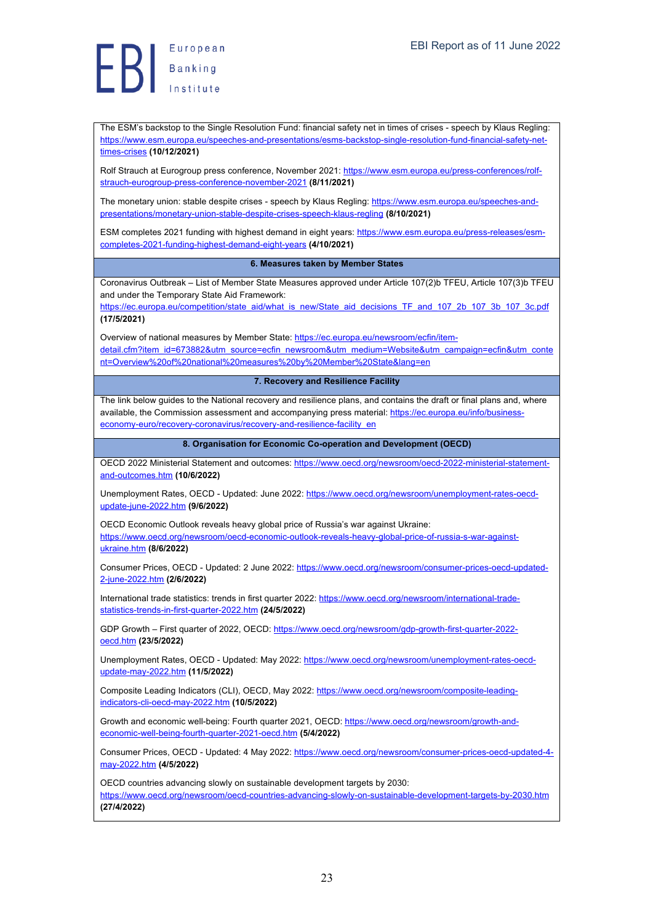European Banking<br>Banking<br>Institute

The ESM's backstop to the Single Resolution Fund: financial safety net in times of crises - speech by Klaus Regling: https://www.esm.europa.eu/speeches-and-presentations/esms-backstop-single-resolution-fund-financial-safety-nettimes-crises **(10/12/2021)**

Rolf Strauch at Eurogroup press conference, November 2021: https://www.esm.europa.eu/press-conferences/rolfstrauch-eurogroup-press-conference-november-2021 **(8/11/2021)**

The monetary union: stable despite crises - speech by Klaus Regling: https://www.esm.europa.eu/speeches-andpresentations/monetary-union-stable-despite-crises-speech-klaus-regling **(8/10/2021)**

ESM completes 2021 funding with highest demand in eight years: https://www.esm.europa.eu/press-releases/esmcompletes-2021-funding-highest-demand-eight-years **(4/10/2021)**

**6. Measures taken by Member States**

Coronavirus Outbreak – List of Member State Measures approved under Article 107(2)b TFEU, Article 107(3)b TFEU and under the Temporary State Aid Framework:

https://ec.europa.eu/competition/state\_aid/what\_is\_new/State\_aid\_decisions\_TF\_and\_107\_2b\_107\_3b\_107\_3c.pdf **(17/5/2021)**

Overview of national measures by Member State: https://ec.europa.eu/newsroom/ecfin/itemdetail.cfm?item\_id=673882&utm\_source=ecfin\_newsroom&utm\_medium=Website&utm\_campaign=ecfin&utm\_conte nt=Overview%20of%20national%20measures%20by%20Member%20State&lang=en

**7. Recovery and Resilience Facility**

The link below guides to the National recovery and resilience plans, and contains the draft or final plans and, where available, the Commission assessment and accompanying press material: https://ec.europa.eu/info/businesseconomy-euro/recovery-coronavirus/recovery-and-resilience-facility\_en

**8. Organisation for Economic Co-operation and Development (OECD)**

OECD 2022 Ministerial Statement and outcomes: https://www.oecd.org/newsroom/oecd-2022-ministerial-statementand-outcomes.htm **(10/6/2022)**

Unemployment Rates, OECD - Updated: June 2022: https://www.oecd.org/newsroom/unemployment-rates-oecdupdate-june-2022.htm **(9/6/2022)**

OECD Economic Outlook reveals heavy global price of Russia's war against Ukraine: https://www.oecd.org/newsroom/oecd-economic-outlook-reveals-heavy-global-price-of-russia-s-war-againstukraine.htm **(8/6/2022)**

Consumer Prices, OECD - Updated: 2 June 2022: https://www.oecd.org/newsroom/consumer-prices-oecd-updated-2-june-2022.htm **(2/6/2022)**

International trade statistics: trends in first quarter 2022: https://www.oecd.org/newsroom/international-tradestatistics-trends-in-first-quarter-2022.htm **(24/5/2022)**

GDP Growth - First quarter of 2022, OECD: https://www.oecd.org/newsroom/gdp-growth-first-quarter-2022oecd.htm **(23/5/2022)**

Unemployment Rates, OECD - Updated: May 2022: https://www.oecd.org/newsroom/unemployment-rates-oecdupdate-may-2022.htm **(11/5/2022)**

Composite Leading Indicators (CLI), OECD, May 2022: https://www.oecd.org/newsroom/composite-leadingindicators-cli-oecd-may-2022.htm **(10/5/2022)**

Growth and economic well-being: Fourth quarter 2021, OECD: https://www.oecd.org/newsroom/growth-andeconomic-well-being-fourth-quarter-2021-oecd.htm **(5/4/2022)**

Consumer Prices, OECD - Updated: 4 May 2022: https://www.oecd.org/newsroom/consumer-prices-oecd-updated-4may-2022.htm **(4/5/2022)**

OECD countries advancing slowly on sustainable development targets by 2030: https://www.oecd.org/newsroom/oecd-countries-advancing-slowly-on-sustainable-development-targets-by-2030.htm **(27/4/2022)**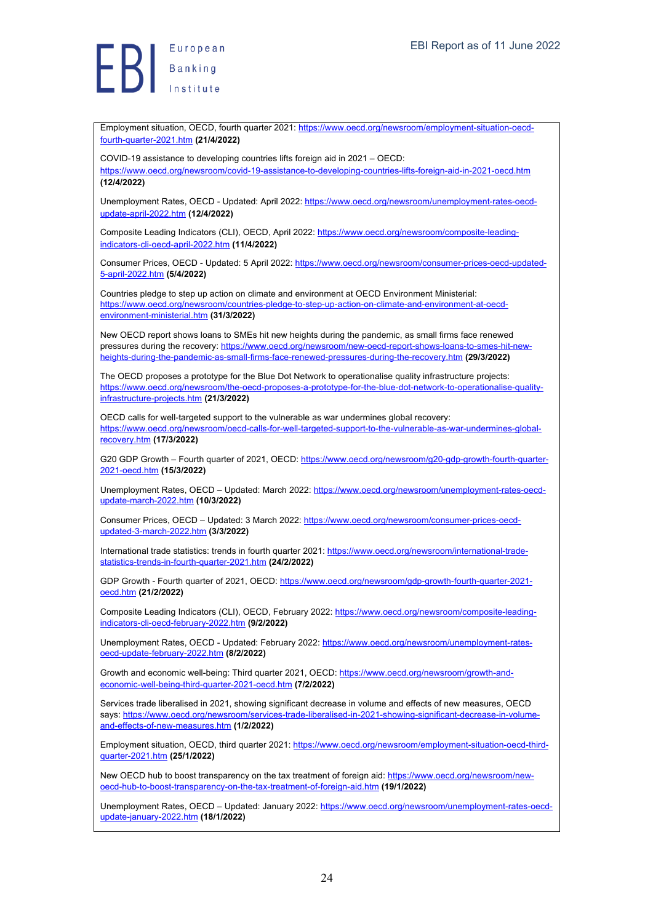Employment situation, OECD, fourth quarter 2021: https://www.oecd.org/newsroom/employment-situation-oecdfourth-quarter-2021.htm **(21/4/2022)**

COVID-19 assistance to developing countries lifts foreign aid in 2021 – OECD:

https://www.oecd.org/newsroom/covid-19-assistance-to-developing-countries-lifts-foreign-aid-in-2021-oecd.htm **(12/4/2022)**

Unemployment Rates, OECD - Updated: April 2022: https://www.oecd.org/newsroom/unemployment-rates-oecdupdate-april-2022.htm **(12/4/2022)**

Composite Leading Indicators (CLI), OECD, April 2022: https://www.oecd.org/newsroom/composite-leadingindicators-cli-oecd-april-2022.htm **(11/4/2022)**

Consumer Prices, OECD - Updated: 5 April 2022: https://www.oecd.org/newsroom/consumer-prices-oecd-updated-5-april-2022.htm **(5/4/2022)**

Countries pledge to step up action on climate and environment at OECD Environment Ministerial: https://www.oecd.org/newsroom/countries-pledge-to-step-up-action-on-climate-and-environment-at-oecdenvironment-ministerial.htm **(31/3/2022)**

New OECD report shows loans to SMEs hit new heights during the pandemic, as small firms face renewed pressures during the recovery: https://www.oecd.org/newsroom/new-oecd-report-shows-loans-to-smes-hit-newheights-during-the-pandemic-as-small-firms-face-renewed-pressures-during-the-recovery.htm **(29/3/2022)**

The OECD proposes a prototype for the Blue Dot Network to operationalise quality infrastructure projects: https://www.oecd.org/newsroom/the-oecd-proposes-a-prototype-for-the-blue-dot-network-to-operationalise-qualityinfrastructure-projects.htm **(21/3/2022)**

OECD calls for well-targeted support to the vulnerable as war undermines global recovery: https://www.oecd.org/newsroom/oecd-calls-for-well-targeted-support-to-the-vulnerable-as-war-undermines-globalrecovery.htm **(17/3/2022)**

G20 GDP Growth - Fourth quarter of 2021, OECD: https://www.oecd.org/newsroom/g20-gdp-growth-fourth-quarter-2021-oecd.htm **(15/3/2022)**

Unemployment Rates, OECD – Updated: March 2022: https://www.oecd.org/newsroom/unemployment-rates-oecdupdate-march-2022.htm **(10/3/2022)**

Consumer Prices, OECD - Updated: 3 March 2022: https://www.oecd.org/newsroom/consumer-prices-oecdupdated-3-march-2022.htm **(3/3/2022)**

International trade statistics: trends in fourth quarter 2021: https://www.oecd.org/newsroom/international-tradestatistics-trends-in-fourth-quarter-2021.htm **(24/2/2022)**

GDP Growth - Fourth quarter of 2021, OECD: https://www.oecd.org/newsroom/gdp-growth-fourth-quarter-2021oecd.htm **(21/2/2022)**

Composite Leading Indicators (CLI), OECD, February 2022: https://www.oecd.org/newsroom/composite-leadingindicators-cli-oecd-february-2022.htm **(9/2/2022)**

Unemployment Rates, OECD - Updated: February 2022: https://www.oecd.org/newsroom/unemployment-ratesoecd-update-february-2022.htm **(8/2/2022)**

Growth and economic well-being: Third quarter 2021, OECD: https://www.oecd.org/newsroom/growth-andeconomic-well-being-third-quarter-2021-oecd.htm **(7/2/2022)**

Services trade liberalised in 2021, showing significant decrease in volume and effects of new measures, OECD says: https://www.oecd.org/newsroom/services-trade-liberalised-in-2021-showing-significant-decrease-in-volumeand-effects-of-new-measures.htm **(1/2/2022)**

Employment situation, OECD, third quarter 2021: https://www.oecd.org/newsroom/employment-situation-oecd-thirdquarter-2021.htm **(25/1/2022)**

New OECD hub to boost transparency on the tax treatment of foreign aid: https://www.oecd.org/newsroom/newoecd-hub-to-boost-transparency-on-the-tax-treatment-of-foreign-aid.htm **(19/1/2022)**

Unemployment Rates, OECD – Updated: January 2022: https://www.oecd.org/newsroom/unemployment-rates-oecdupdate-january-2022.htm **(18/1/2022)**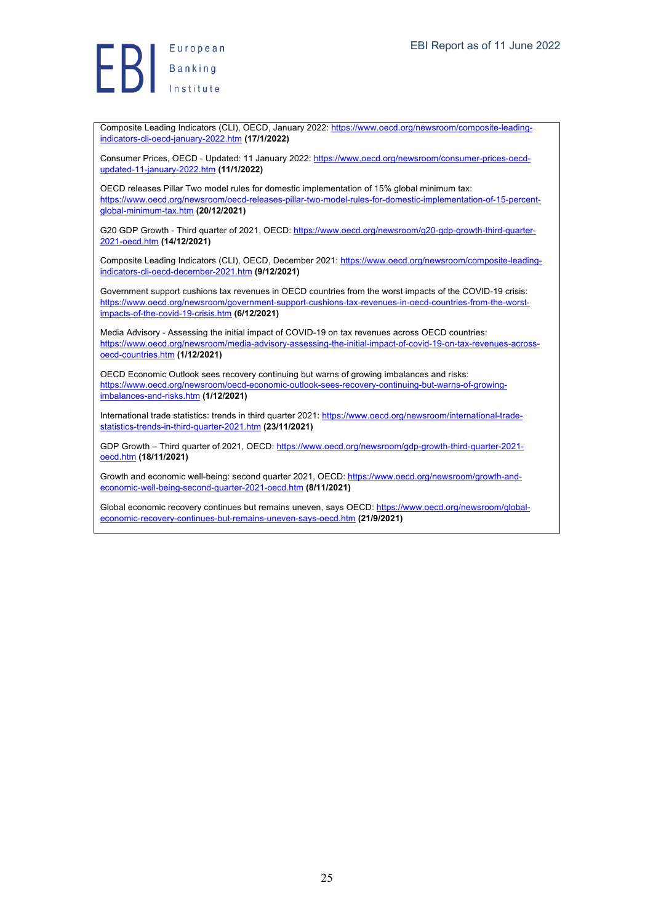European Europea<br>Banking<br>Institute

Composite Leading Indicators (CLI), OECD, January 2022: https://www.oecd.org/newsroom/composite-leadingindicators-cli-oecd-january-2022.htm **(17/1/2022)**

Consumer Prices, OECD - Updated: 11 January 2022: https://www.oecd.org/newsroom/consumer-prices-oecdupdated-11-january-2022.htm **(11/1/2022)**

OECD releases Pillar Two model rules for domestic implementation of 15% global minimum tax: https://www.oecd.org/newsroom/oecd-releases-pillar-two-model-rules-for-domestic-implementation-of-15-percentglobal-minimum-tax.htm **(20/12/2021)**

G20 GDP Growth - Third quarter of 2021, OECD: https://www.oecd.org/newsroom/g20-gdp-growth-third-quarter-2021-oecd.htm **(14/12/2021)**

Composite Leading Indicators (CLI), OECD, December 2021: https://www.oecd.org/newsroom/composite-leadingindicators-cli-oecd-december-2021.htm **(9/12/2021)**

Government support cushions tax revenues in OECD countries from the worst impacts of the COVID-19 crisis: https://www.oecd.org/newsroom/government-support-cushions-tax-revenues-in-oecd-countries-from-the-worstimpacts-of-the-covid-19-crisis.htm **(6/12/2021)**

Media Advisory - Assessing the initial impact of COVID-19 on tax revenues across OECD countries: https://www.oecd.org/newsroom/media-advisory-assessing-the-initial-impact-of-covid-19-on-tax-revenues-acrossoecd-countries.htm **(1/12/2021)**

OECD Economic Outlook sees recovery continuing but warns of growing imbalances and risks: https://www.oecd.org/newsroom/oecd-economic-outlook-sees-recovery-continuing-but-warns-of-growingimbalances-and-risks.htm **(1/12/2021)**

International trade statistics: trends in third quarter 2021: https://www.oecd.org/newsroom/international-tradestatistics-trends-in-third-quarter-2021.htm **(23/11/2021)**

GDP Growth – Third quarter of 2021, OECD: https://www.oecd.org/newsroom/gdp-growth-third-quarter-2021 oecd.htm **(18/11/2021)**

Growth and economic well-being: second quarter 2021, OECD: https://www.oecd.org/newsroom/growth-andeconomic-well-being-second-quarter-2021-oecd.htm **(8/11/2021)**

Global economic recovery continues but remains uneven, says OECD: https://www.oecd.org/newsroom/globaleconomic-recovery-continues-but-remains-uneven-says-oecd.htm **(21/9/2021)**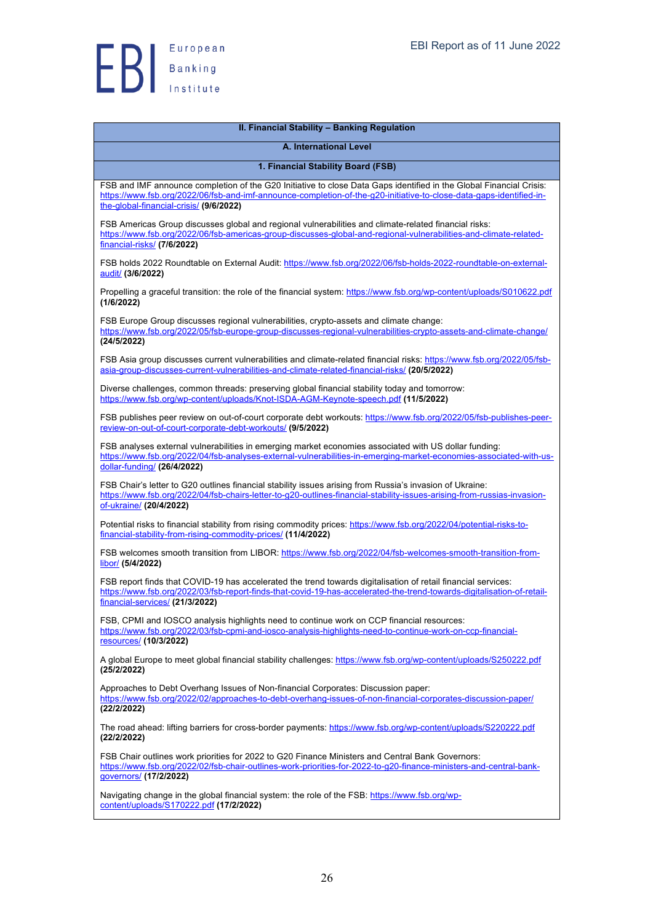

| II. Financial Stability - Banking Regulation                                                                                                                                                                                                                                          |
|---------------------------------------------------------------------------------------------------------------------------------------------------------------------------------------------------------------------------------------------------------------------------------------|
| A. International Level                                                                                                                                                                                                                                                                |
| 1. Financial Stability Board (FSB)                                                                                                                                                                                                                                                    |
| FSB and IMF announce completion of the G20 Initiative to close Data Gaps identified in the Global Financial Crisis:<br>https://www.fsb.org/2022/06/fsb-and-imf-announce-completion-of-the-q20-initiative-to-close-data-gaps-identified-in-<br>the-global-financial-crisis/ (9/6/2022) |
| FSB Americas Group discusses global and regional vulnerabilities and climate-related financial risks:<br>https://www.fsb.org/2022/06/fsb-americas-group-discusses-global-and-regional-vulnerabilities-and-climate-related-<br>financial-risks/ (7/6/2022)                             |
| FSB holds 2022 Roundtable on External Audit: https://www.fsb.org/2022/06/fsb-holds-2022-roundtable-on-external-<br>audit/ (3/6/2022)                                                                                                                                                  |
| Propelling a graceful transition: the role of the financial system: https://www.fsb.org/wp-content/uploads/S010622.pdf<br>(1/6/2022)                                                                                                                                                  |
| FSB Europe Group discusses regional vulnerabilities, crypto-assets and climate change:<br>https://www.fsb.org/2022/05/fsb-europe-group-discusses-regional-vulnerabilities-crypto-assets-and-climate-change/<br>(24/5/2022)                                                            |
| FSB Asia group discusses current vulnerabilities and climate-related financial risks: https://www.fsb.org/2022/05/fsb-<br>asia-group-discusses-current-vulnerabilities-and-climate-related-financial-risks/ (20/5/2022)                                                               |
| Diverse challenges, common threads: preserving global financial stability today and tomorrow:<br>https://www.fsb.org/wp-content/uploads/Knot-ISDA-AGM-Keynote-speech.pdf (11/5/2022)                                                                                                  |
| FSB publishes peer review on out-of-court corporate debt workouts: https://www.fsb.org/2022/05/fsb-publishes-peer-<br>review-on-out-of-court-corporate-debt-workouts/ (9/5/2022)                                                                                                      |
| FSB analyses external vulnerabilities in emerging market economies associated with US dollar funding:<br>https://www.fsb.org/2022/04/fsb-analyses-external-vulnerabilities-in-emerging-market-economies-associated-with-us-<br>dollar-funding/ (26/4/2022)                            |
| FSB Chair's letter to G20 outlines financial stability issues arising from Russia's invasion of Ukraine:<br>https://www.fsb.org/2022/04/fsb-chairs-letter-to-q20-outlines-financial-stability-issues-arising-from-russias-invasion-<br>of-ukraine/ (20/4/2022)                        |
| Potential risks to financial stability from rising commodity prices: https://www.fsb.org/2022/04/potential-risks-to-<br>financial-stability-from-rising-commodity-prices/ (11/4/2022)                                                                                                 |
| FSB welcomes smooth transition from LIBOR: https://www.fsb.org/2022/04/fsb-welcomes-smooth-transition-from-<br>libor/ (5/4/2022)                                                                                                                                                      |
| FSB report finds that COVID-19 has accelerated the trend towards digitalisation of retail financial services:<br>https://www.fsb.org/2022/03/fsb-report-finds-that-covid-19-has-accelerated-the-trend-towards-digitalisation-of-retail-<br>financial-services/ (21/3/2022)            |
| FSB, CPMI and IOSCO analysis highlights need to continue work on CCP financial resources:<br>https://www.fsb.org/2022/03/fsb-cpmi-and-iosco-analysis-highlights-need-to-continue-work-on-ccp-financial-<br><u>resources/</u> (10/3/2022)                                              |
| A global Europe to meet global financial stability challenges: https://www.fsb.org/wp-content/uploads/S250222.pdf<br>(25/2/2022)                                                                                                                                                      |
| Approaches to Debt Overhang Issues of Non-financial Corporates: Discussion paper:<br>https://www.fsb.org/2022/02/approaches-to-debt-overhang-issues-of-non-financial-corporates-discussion-paper/<br>(22/2/2022)                                                                      |
| The road ahead: lifting barriers for cross-border payments: https://www.fsb.org/wp-content/uploads/S220222.pdf<br>(22/2/2022)                                                                                                                                                         |
| FSB Chair outlines work priorities for 2022 to G20 Finance Ministers and Central Bank Governors:<br>https://www.fsb.org/2022/02/fsb-chair-outlines-work-priorities-for-2022-to-g20-finance-ministers-and-central-bank-<br>governors/ (17/2/2022)                                      |
| Navigating change in the global financial system: the role of the FSB: https://www.fsb.org/wp-<br>content/uploads/S170222.pdf (17/2/2022)                                                                                                                                             |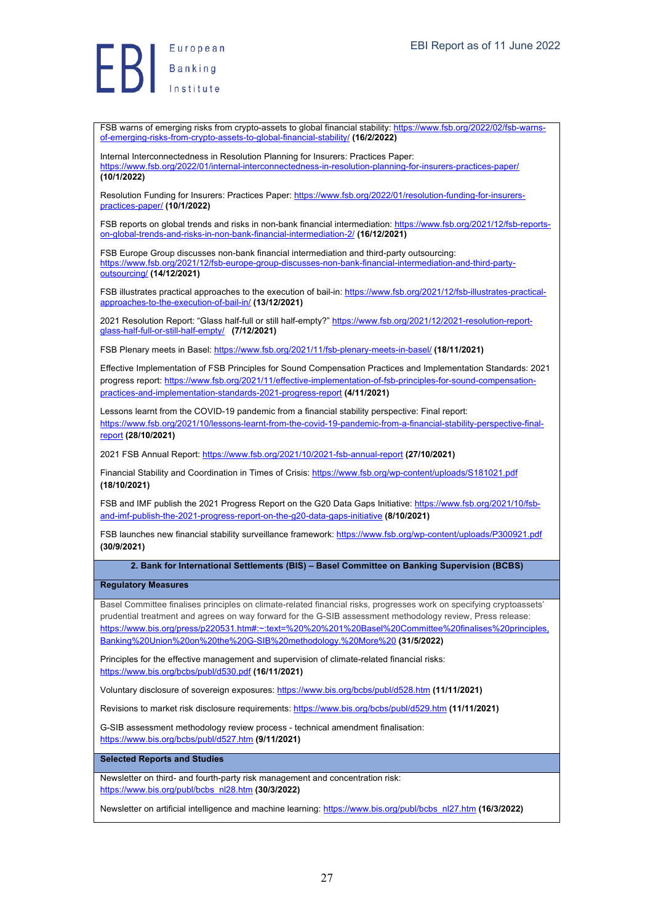FSB warns of emerging risks from crypto-assets to global financial stability: https://www.fsb.org/2022/02/fsb-warnsof-emerging-risks-from-crypto-assets-to-global-financial-stability/ **(16/2/2022)** Internal Interconnectedness in Resolution Planning for Insurers: Practices Paper:

https://www.fsb.org/2022/01/internal-interconnectedness-in-resolution-planning-for-insurers-practices-paper/ **(10/1/2022)**

Resolution Funding for Insurers: Practices Paper: https://www.fsb.org/2022/01/resolution-funding-for-insurerspractices-paper/ **(10/1/2022)**

FSB reports on global trends and risks in non-bank financial intermediation: https://www.fsb.org/2021/12/fsb-reportson-global-trends-and-risks-in-non-bank-financial-intermediation-2/ **(16/12/2021)**

FSB Europe Group discusses non-bank financial intermediation and third-party outsourcing: https://www.fsb.org/2021/12/fsb-europe-group-discusses-non-bank-financial-intermediation-and-third-partyoutsourcing/ **(14/12/2021)**

FSB illustrates practical approaches to the execution of bail-in: https://www.fsb.org/2021/12/fsb-illustrates-practicalapproaches-to-the-execution-of-bail-in/ **(13/12/2021)**

2021 Resolution Report: "Glass half-full or still half-empty?" https://www.fsb.org/2021/12/2021-resolution-reportglass-half-full-or-still-half-empty/ **(7/12/2021)**

FSB Plenary meets in Basel: https://www.fsb.org/2021/11/fsb-plenary-meets-in-basel/ **(18/11/2021)**

Effective Implementation of FSB Principles for Sound Compensation Practices and Implementation Standards: 2021 progress report: https://www.fsb.org/2021/11/effective-implementation-of-fsb-principles-for-sound-compensationpractices-and-implementation-standards-2021-progress-report **(4/11/2021)**

Lessons learnt from the COVID-19 pandemic from a financial stability perspective: Final report: https://www.fsb.org/2021/10/lessons-learnt-from-the-covid-19-pandemic-from-a-financial-stability-perspective-finalreport **(28/10/2021)**

2021 FSB Annual Report: https://www.fsb.org/2021/10/2021-fsb-annual-report **(27/10/2021)**

Financial Stability and Coordination in Times of Crisis: https://www.fsb.org/wp-content/uploads/S181021.pdf **(18/10/2021)**

FSB and IMF publish the 2021 Progress Report on the G20 Data Gaps Initiative: https://www.fsb.org/2021/10/fsband-imf-publish-the-2021-progress-report-on-the-g20-data-gaps-initiative **(8/10/2021)**

FSB launches new financial stability surveillance framework: https://www.fsb.org/wp-content/uploads/P300921.pdf **(30/9/2021)**

**2. Bank for International Settlements (BIS) – Basel Committee on Banking Supervision (BCBS)**

#### **Regulatory Measures**

Basel Committee finalises principles on climate-related financial risks, progresses work on specifying cryptoassets' prudential treatment and agrees on way forward for the G-SIB assessment methodology review, Press release: https://www.bis.org/press/p220531.htm#:~:text=%20%20%201%20Basel%20Committee%20finalises%20principles, Banking%20Union%20on%20the%20G-SIB%20methodology.%20More%20 **(31/5/2022)**

Principles for the effective management and supervision of climate-related financial risks: https://www.bis.org/bcbs/publ/d530.pdf **(16/11/2021)**

Voluntary disclosure of sovereign exposures: https://www.bis.org/bcbs/publ/d528.htm **(11/11/2021)**

Revisions to market risk disclosure requirements: https://www.bis.org/bcbs/publ/d529.htm **(11/11/2021)**

G-SIB assessment methodology review process - technical amendment finalisation: https://www.bis.org/bcbs/publ/d527.htm **(9/11/2021)**

**Selected Reports and Studies**

Newsletter on third- and fourth-party risk management and concentration risk: https://www.bis.org/publ/bcbs\_nl28.htm **(30/3/2022)**

Newsletter on artificial intelligence and machine learning: https://www.bis.org/publ/bcbs\_nl27.htm **(16/3/2022)**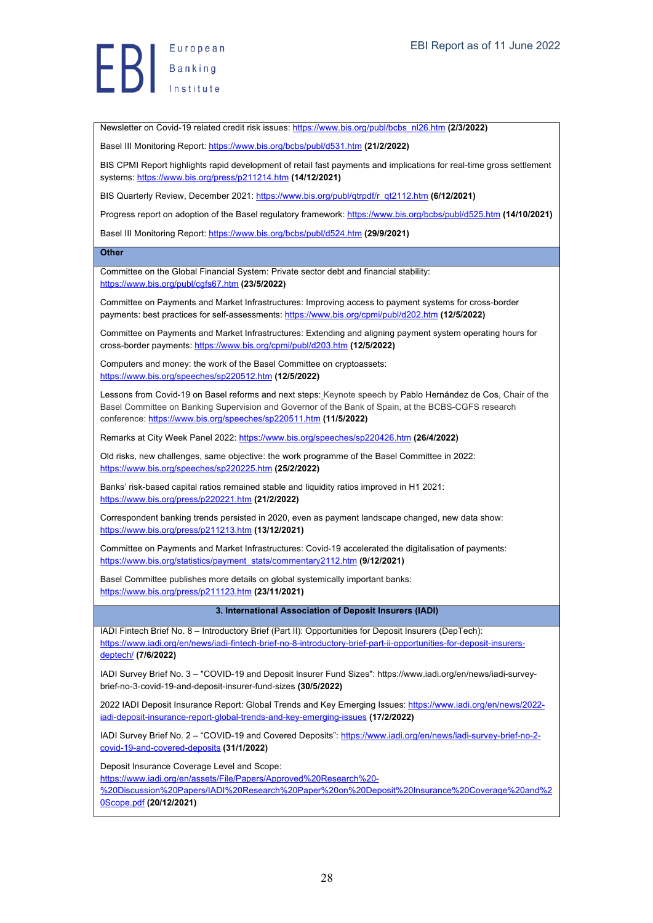Newsletter on Covid-19 related credit risk issues: https://www.bis.org/publ/bcbs\_nl26.htm **(2/3/2022)**

Basel III Monitoring Report: https://www.bis.org/bcbs/publ/d531.htm (21/2/2022)

BIS CPMI Report highlights rapid development of retail fast payments and implications for real-time gross settlement systems: https://www.bis.org/press/p211214.htm **(14/12/2021)**

BIS Quarterly Review, December 2021: https://www.bis.org/publ/qtrpdf/r\_qt2112.htm **(6/12/2021)**

Progress report on adoption of the Basel regulatory framework: https://www.bis.org/bcbs/publ/d525.htm **(14/10/2021)**

Basel III Monitoring Report: https://www.bis.org/bcbs/publ/d524.htm **(29/9/2021)**

#### **Other**

Committee on the Global Financial System: Private sector debt and financial stability: https://www.bis.org/publ/cgfs67.htm **(23/5/2022)**

Committee on Payments and Market Infrastructures: Improving access to payment systems for cross-border payments: best practices for self-assessments: https://www.bis.org/cpmi/publ/d202.htm **(12/5/2022)**

Committee on Payments and Market Infrastructures: Extending and aligning payment system operating hours for cross-border payments: https://www.bis.org/cpmi/publ/d203.htm **(12/5/2022)**

Computers and money: the work of the Basel Committee on cryptoassets: https://www.bis.org/speeches/sp220512.htm **(12/5/2022)**

Lessons from Covid-19 on Basel reforms and next steps: Keynote speech by Pablo Hernández de Cos, Chair of the Basel Committee on Banking Supervision and Governor of the Bank of Spain, at the BCBS-CGFS research conference: https://www.bis.org/speeches/sp220511.htm **(11/5/2022)**

Remarks at City Week Panel 2022: https://www.bis.org/speeches/sp220426.htm **(26/4/2022)**

Old risks, new challenges, same objective: the work programme of the Basel Committee in 2022: https://www.bis.org/speeches/sp220225.htm **(25/2/2022)**

Banks' risk-based capital ratios remained stable and liquidity ratios improved in H1 2021: https://www.bis.org/press/p220221.htm **(21/2/2022)**

Correspondent banking trends persisted in 2020, even as payment landscape changed, new data show: https://www.bis.org/press/p211213.htm **(13/12/2021)**

Committee on Payments and Market Infrastructures: Covid-19 accelerated the digitalisation of payments: https://www.bis.org/statistics/payment\_stats/commentary2112.htm **(9/12/2021)**

Basel Committee publishes more details on global systemically important banks: https://www.bis.org/press/p211123.htm **(23/11/2021)**

#### **3. International Association of Deposit Insurers (IADI)**

IADI Fintech Brief No. 8 – Introductory Brief (Part II): Opportunities for Deposit Insurers (DepTech): https://www.iadi.org/en/news/iadi-fintech-brief-no-8-introductory-brief-part-ii-opportunities-for-deposit-insurersdeptech/ **(7/6/2022)**

IADI Survey Brief No. 3 – "COVID-19 and Deposit Insurer Fund Sizes": https://www.iadi.org/en/news/iadi-surveybrief-no-3-covid-19-and-deposit-insurer-fund-sizes **(30/5/2022)**

2022 IADI Deposit Insurance Report: Global Trends and Key Emerging Issues: https://www.iadi.org/en/news/2022 iadi-deposit-insurance-report-global-trends-and-key-emerging-issues **(17/2/2022)**

IADI Survey Brief No. 2 – "COVID-19 and Covered Deposits": https://www.iadi.org/en/news/iadi-survey-brief-no-2 covid-19-and-covered-deposits **(31/1/2022)**

Deposit Insurance Coverage Level and Scope:

https://www.iadi.org/en/assets/File/Papers/Approved%20Research%20-

%20Discussion%20Papers/IADI%20Research%20Paper%20on%20Deposit%20Insurance%20Coverage%20and%2 0Scope.pdf **(20/12/2021)**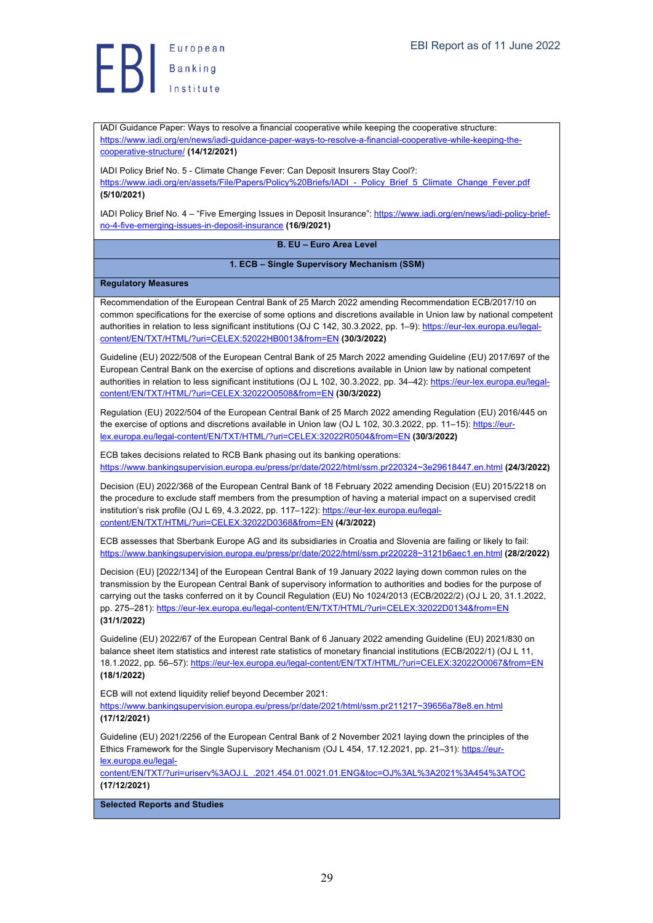IADI Guidance Paper: Ways to resolve a financial cooperative while keeping the cooperative structure: https://www.iadi.org/en/news/iadi-guidance-paper-ways-to-resolve-a-financial-cooperative-while-keeping-thecooperative-structure/ **(14/12/2021)**

IADI Policy Brief No. 5 - Climate Change Fever: Can Deposit Insurers Stay Cool?: https://www.iadi.org/en/assets/File/Papers/Policy%20Briefs/IADI - Policy\_Brief\_5\_Climate\_Change\_Fever.pdf **(5/10/2021)**

IADI Policy Brief No. 4 – "Five Emerging Issues in Deposit Insurance": https://www.iadi.org/en/news/iadi-policy-briefno-4-five-emerging-issues-in-deposit-insurance **(16/9/2021)**

**B. EU – Euro Area Level**

**1. ECB – Single Supervisory Mechanism (SSM)**

#### **Regulatory Measures**

Recommendation of the European Central Bank of 25 March 2022 amending Recommendation ECB/2017/10 on common specifications for the exercise of some options and discretions available in Union law by national competent authorities in relation to less significant institutions (OJ C 142, 30.3.2022, pp. 1–9): https://eur-lex.europa.eu/legalcontent/EN/TXT/HTML/?uri=CELEX:52022HB0013&from=EN **(30/3/2022)**

Guideline (EU) 2022/508 of the European Central Bank of 25 March 2022 amending Guideline (EU) 2017/697 of the European Central Bank on the exercise of options and discretions available in Union law by national competent authorities in relation to less significant institutions (OJ L 102, 30.3.2022, pp. 34–42): https://eur-lex.europa.eu/legalcontent/EN/TXT/HTML/?uri=CELEX:32022O0508&from=EN **(30/3/2022)**

Regulation (EU) 2022/504 of the European Central Bank of 25 March 2022 amending Regulation (EU) 2016/445 on the exercise of options and discretions available in Union law (OJ L 102, 30.3.2022, pp. 11–15): https://eurlex.europa.eu/legal-content/EN/TXT/HTML/?uri=CELEX:32022R0504&from=EN **(30/3/2022)**

ECB takes decisions related to RCB Bank phasing out its banking operations: https://www.bankingsupervision.europa.eu/press/pr/date/2022/html/ssm.pr220324~3e29618447.en.html **(24/3/2022)**

Decision (EU) 2022/368 of the European Central Bank of 18 February 2022 amending Decision (EU) 2015/2218 on the procedure to exclude staff members from the presumption of having a material impact on a supervised credit institution's risk profile (OJ L 69, 4.3.2022, pp. 117-122): https://eur-lex.europa.eu/legalcontent/EN/TXT/HTML/?uri=CELEX:32022D0368&from=EN **(4/3/2022)**

ECB assesses that Sberbank Europe AG and its subsidiaries in Croatia and Slovenia are failing or likely to fail: https://www.bankingsupervision.europa.eu/press/pr/date/2022/html/ssm.pr220228~3121b6aec1.en.html **(28/2/2022)**

Decision (EU) [2022/134] of the European Central Bank of 19 January 2022 laying down common rules on the transmission by the European Central Bank of supervisory information to authorities and bodies for the purpose of carrying out the tasks conferred on it by Council Regulation (EU) No 1024/2013 (ECB/2022/2) (OJ L 20, 31.1.2022, pp. 275-281): https://eur-lex.europa.eu/legal-content/EN/TXT/HTML/?uri=CELEX:32022D0134&from=EN **(31/1/2022)**

Guideline (EU) 2022/67 of the European Central Bank of 6 January 2022 amending Guideline (EU) 2021/830 on balance sheet item statistics and interest rate statistics of monetary financial institutions (ECB/2022/1) (OJ L 11, 18.1.2022, pp. 56–57): https://eur-lex.europa.eu/legal-content/EN/TXT/HTML/?uri=CELEX:32022O0067&from=EN **(18/1/2022)**

ECB will not extend liquidity relief beyond December 2021:

https://www.bankingsupervision.europa.eu/press/pr/date/2021/html/ssm.pr211217~39656a78e8.en.html **(17/12/2021)**

Guideline (EU) 2021/2256 of the European Central Bank of 2 November 2021 laying down the principles of the Ethics Framework for the Single Supervisory Mechanism (OJ L 454, 17.12.2021, pp. 21-31): https://eurlex.europa.eu/legal-

content/EN/TXT/?uri=uriserv%3AOJ.L\_.2021.454.01.0021.01.ENG&toc=OJ%3AL%3A2021%3A454%3ATOC **(17/12/2021)**

**Selected Reports and Studies**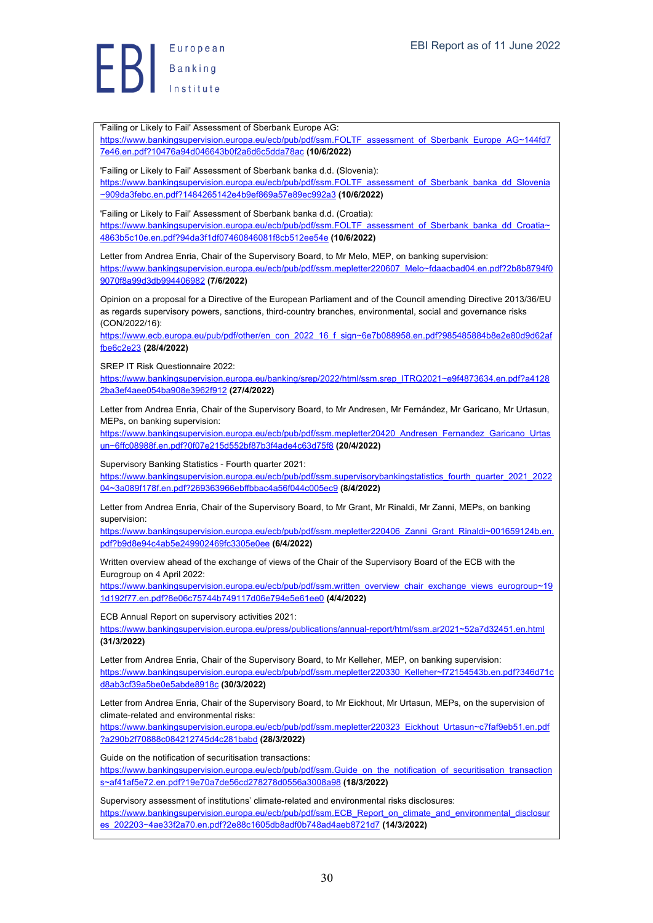'Failing or Likely to Fail' Assessment of Sberbank Europe AG: https://www.bankingsupervision.europa.eu/ecb/pub/pdf/ssm.FOLTF\_assessment\_of\_Sberbank\_Europe\_AG~144fd7 7e46.en.pdf?10476a94d046643b0f2a6d6c5dda78ac **(10/6/2022)** 'Failing or Likely to Fail' Assessment of Sberbank banka d.d. (Slovenia): https://www.bankingsupervision.europa.eu/ecb/pub/pdf/ssm.FOLTF\_assessment\_of\_Sberbank\_banka\_dd\_Slovenia ~909da3febc.en.pdf?1484265142e4b9ef869a57e89ec992a3 **(10/6/2022)** 'Failing or Likely to Fail' Assessment of Sberbank banka d.d. (Croatia): https://www.bankingsupervision.europa.eu/ecb/pub/pdf/ssm.FOLTF\_assessment\_of\_Sberbank\_banka\_dd\_Croatia~ 4863b5c10e.en.pdf?94da3f1df07460846081f8cb512ee54e **(10/6/2022)** Letter from Andrea Enria, Chair of the Supervisory Board, to Mr Melo, MEP, on banking supervision: https://www.bankingsupervision.europa.eu/ecb/pub/pdf/ssm.mepletter220607\_Melo~fdaacbad04.en.pdf?2b8b8794f0 9070f8a99d3db994406982 **(7/6/2022)** Opinion on a proposal for a Directive of the European Parliament and of the Council amending Directive 2013/36/EU as regards supervisory powers, sanctions, third-country branches, environmental, social and governance risks (CON/2022/16): https://www.ecb.europa.eu/pub/pdf/other/en\_con\_2022\_16\_f\_sign~6e7b088958.en.pdf?985485884b8e2e80d9d62af fbe6c2e23 **(28/4/2022)** SREP IT Risk Questionnaire 2022: https://www.bankingsupervision.europa.eu/banking/srep/2022/html/ssm.srep\_ITRQ2021~e9f4873634.en.pdf?a4128 2ba3ef4aee054ba908e3962f912 **(27/4/2022)** Letter from Andrea Enria, Chair of the Supervisory Board, to Mr Andresen, Mr Fernández, Mr Garicano, Mr Urtasun, MEPs, on banking supervision:

https://www.bankingsupervision.europa.eu/ecb/pub/pdf/ssm.mepletter20420\_Andresen\_Fernandez\_Garicano\_Urtas un~6ffc08988f.en.pdf?0f07e215d552bf87b3f4ade4c63d75f8 **(20/4/2022)**

Supervisory Banking Statistics - Fourth quarter 2021:

https://www.bankingsupervision.europa.eu/ecb/pub/pdf/ssm.supervisorybankingstatistics\_fourth\_quarter\_2021\_2022 04~3a089f178f.en.pdf?269363966ebffbbac4a56f044c005ec9 **(8/4/2022)**

Letter from Andrea Enria, Chair of the Supervisory Board, to Mr Grant, Mr Rinaldi, Mr Zanni, MEPs, on banking supervision:

https://www.bankingsupervision.europa.eu/ecb/pub/pdf/ssm.mepletter220406\_Zanni\_Grant\_Rinaldi~001659124b.en. pdf?b9d8e94c4ab5e249902469fc3305e0ee **(6/4/2022)**

Written overview ahead of the exchange of views of the Chair of the Supervisory Board of the ECB with the Eurogroup on 4 April 2022:

https://www.bankingsupervision.europa.eu/ecb/pub/pdf/ssm.written\_overview\_chair\_exchange\_views\_eurogroup~19 1d192f77.en.pdf?8e06c75744b749117d06e794e5e61ee0 **(4/4/2022)**

ECB Annual Report on supervisory activities 2021:

https://www.bankingsupervision.europa.eu/press/publications/annual-report/html/ssm.ar2021~52a7d32451.en.html **(31/3/2022)**

Letter from Andrea Enria, Chair of the Supervisory Board, to Mr Kelleher, MEP, on banking supervision: https://www.bankingsupervision.europa.eu/ecb/pub/pdf/ssm.mepletter220330\_Kelleher~f72154543b.en.pdf?346d71c d8ab3cf39a5be0e5abde8918c **(30/3/2022)**

Letter from Andrea Enria, Chair of the Supervisory Board, to Mr Eickhout, Mr Urtasun, MEPs, on the supervision of climate-related and environmental risks:

https://www.bankingsupervision.europa.eu/ecb/pub/pdf/ssm.mepletter220323\_Eickhout\_Urtasun~c7faf9eb51.en.pdf ?a290b2f70888c084212745d4c281babd **(28/3/2022)**

Guide on the notification of securitisation transactions:

https://www.bankingsupervision.europa.eu/ecb/pub/pdf/ssm.Guide\_on\_the\_notification\_of\_securitisation\_transaction s~af41af5e72.en.pdf?19e70a7de56cd278278d0556a3008a98 **(18/3/2022)**

Supervisory assessment of institutions' climate-related and environmental risks disclosures: https://www.bankingsupervision.europa.eu/ecb/pub/pdf/ssm.ECB\_Report\_on\_climate\_and\_environmental\_disclosur es\_202203~4ae33f2a70.en.pdf?2e88c1605db8adf0b748ad4aeb8721d7 **(14/3/2022)**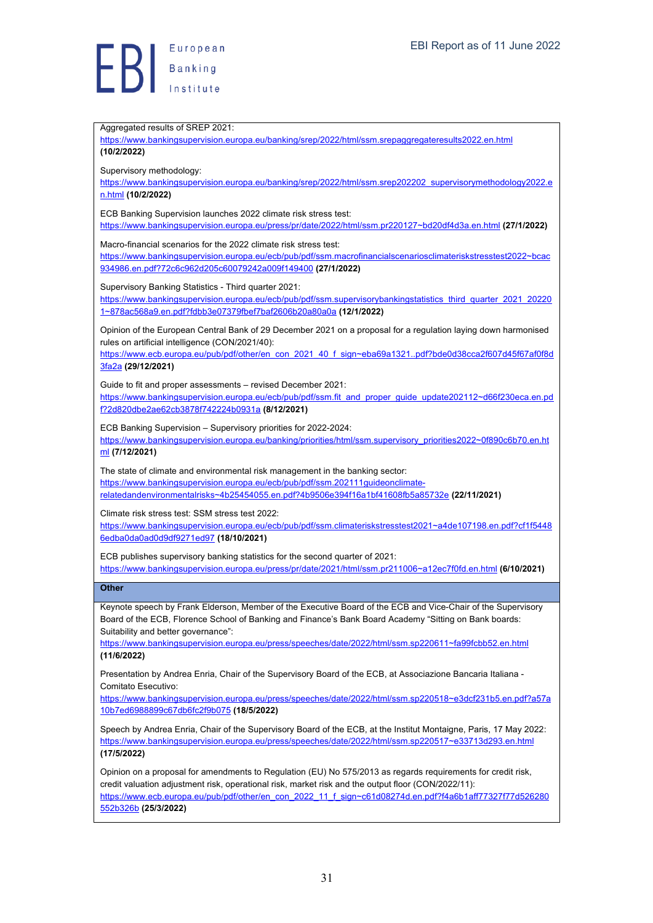Aggregated results of SREP 2021: https://www.bankingsupervision.europa.eu/banking/srep/2022/html/ssm.srepaggregateresults2022.en.html **(10/2/2022)** Supervisory methodology: https://www.bankingsupervision.europa.eu/banking/srep/2022/html/ssm.srep202202\_supervisorymethodology2022.e n.html **(10/2/2022)** ECB Banking Supervision launches 2022 climate risk stress test: https://www.bankingsupervision.europa.eu/press/pr/date/2022/html/ssm.pr220127~bd20df4d3a.en.html **(27/1/2022)** Macro-financial scenarios for the 2022 climate risk stress test: https://www.bankingsupervision.europa.eu/ecb/pub/pdf/ssm.macrofinancialscenariosclimateriskstresstest2022~bcac 934986.en.pdf?72c6c962d205c60079242a009f149400 **(27/1/2022)** Supervisory Banking Statistics - Third quarter 2021: https://www.bankingsupervision.europa.eu/ecb/pub/pdf/ssm.supervisorybankingstatistics\_third\_quarter\_2021\_20220 1~878ac568a9.en.pdf?fdbb3e07379fbef7baf2606b20a80a0a **(12/1/2022)** Opinion of the European Central Bank of 29 December 2021 on a proposal for a regulation laying down harmonised rules on artificial intelligence (CON/2021/40): https://www.ecb.europa.eu/pub/pdf/other/en\_con\_2021\_40\_f\_sign~eba69a1321..pdf?bde0d38cca2f607d45f67af0f8d 3fa2a **(29/12/2021)** Guide to fit and proper assessments – revised December 2021: https://www.bankingsupervision.europa.eu/ecb/pub/pdf/ssm.fit\_and\_proper\_guide\_update202112~d66f230eca.en.pd f?2d820dbe2ae62cb3878f742224b0931a **(8/12/2021)** ECB Banking Supervision – Supervisory priorities for 2022-2024: https://www.bankingsupervision.europa.eu/banking/priorities/html/ssm.supervisory\_priorities2022~0f890c6b70.en.ht ml **(7/12/2021)** The state of climate and environmental risk management in the banking sector: https://www.bankingsupervision.europa.eu/ecb/pub/pdf/ssm.202111guideonclimaterelatedandenvironmentalrisks~4b25454055.en.pdf?4b9506e394f16a1bf41608fb5a85732e **(22/11/2021)** Climate risk stress test: SSM stress test 2022: https://www.bankingsupervision.europa.eu/ecb/pub/pdf/ssm.climateriskstresstest2021~a4de107198.en.pdf?cf1f5448 6edba0da0ad0d9df9271ed97 **(18/10/2021)** ECB publishes supervisory banking statistics for the second quarter of 2021: https://www.bankingsupervision.europa.eu/press/pr/date/2021/html/ssm.pr211006~a12ec7f0fd.en.html **(6/10/2021) Other** Keynote speech by Frank Elderson, Member of the Executive Board of the ECB and Vice-Chair of the Supervisory Board of the ECB, Florence School of Banking and Finance's Bank Board Academy "Sitting on Bank boards: Suitability and better governance": https://www.bankingsupervision.europa.eu/press/speeches/date/2022/html/ssm.sp220611~fa99fcbb52.en.html **(11/6/2022)** Presentation by Andrea Enria, Chair of the Supervisory Board of the ECB, at Associazione Bancaria Italiana - Comitato Esecutivo: https://www.bankingsupervision.europa.eu/press/speeches/date/2022/html/ssm.sp220518~e3dcf231b5.en.pdf?a57a 10b7ed6988899c67db6fc2f9b075 **(18/5/2022)** Speech by Andrea Enria, Chair of the Supervisory Board of the ECB, at the Institut Montaigne, Paris, 17 May 2022: https://www.bankingsupervision.europa.eu/press/speeches/date/2022/html/ssm.sp220517~e33713d293.en.html **(17/5/2022)** Opinion on a proposal for amendments to Regulation (EU) No 575/2013 as regards requirements for credit risk, credit valuation adjustment risk, operational risk, market risk and the output floor (CON/2022/11): https://www.ecb.europa.eu/pub/pdf/other/en\_con\_2022\_11\_f\_sign~c61d08274d.en.pdf?f4a6b1aff77327f77d526280 552b326b **(25/3/2022)**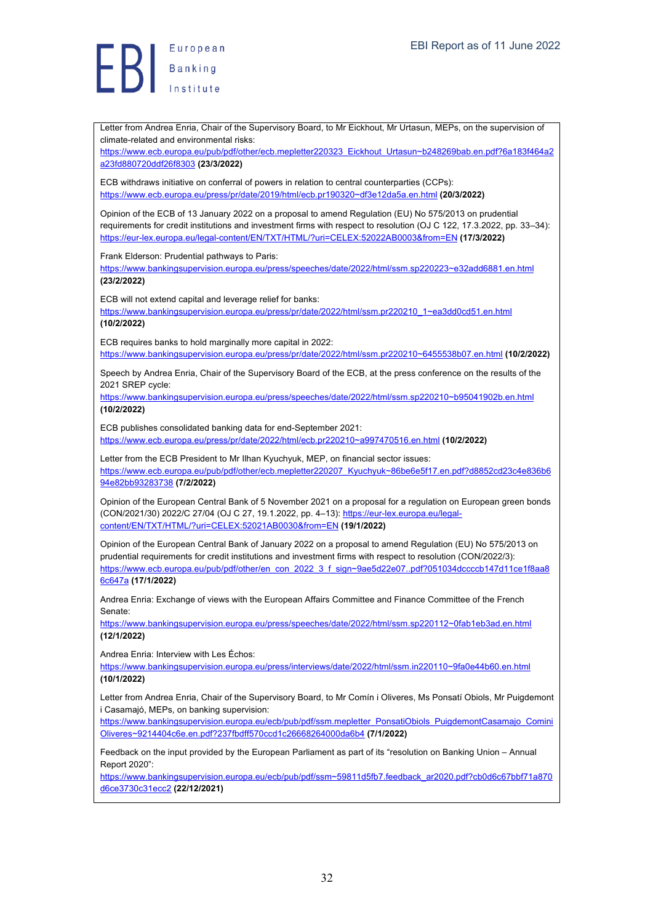Letter from Andrea Enria, Chair of the Supervisory Board, to Mr Eickhout, Mr Urtasun, MEPs, on the supervision of climate-related and environmental risks:

https://www.ecb.europa.eu/pub/pdf/other/ecb.mepletter220323\_Eickhout\_Urtasun~b248269bab.en.pdf?6a183f464a2 a23fd880720ddf26f8303 **(23/3/2022)**

ECB withdraws initiative on conferral of powers in relation to central counterparties (CCPs): https://www.ecb.europa.eu/press/pr/date/2019/html/ecb.pr190320~df3e12da5a.en.html **(20/3/2022)**

Opinion of the ECB of 13 January 2022 on a proposal to amend Regulation (EU) No 575/2013 on prudential requirements for credit institutions and investment firms with respect to resolution (OJ C 122, 17.3.2022, pp. 33–34): https://eur-lex.europa.eu/legal-content/EN/TXT/HTML/?uri=CELEX:52022AB0003&from=EN **(17/3/2022)**

Frank Elderson: Prudential pathways to Paris:

https://www.bankingsupervision.europa.eu/press/speeches/date/2022/html/ssm.sp220223~e32add6881.en.html **(23/2/2022)**

ECB will not extend capital and leverage relief for banks:

https://www.bankingsupervision.europa.eu/press/pr/date/2022/html/ssm.pr220210\_1~ea3dd0cd51.en.html **(10/2/2022)**

ECB requires banks to hold marginally more capital in 2022:

https://www.bankingsupervision.europa.eu/press/pr/date/2022/html/ssm.pr220210~6455538b07.en.html **(10/2/2022)**

Speech by Andrea Enria, Chair of the Supervisory Board of the ECB, at the press conference on the results of the 2021 SREP cycle:

https://www.bankingsupervision.europa.eu/press/speeches/date/2022/html/ssm.sp220210~b95041902b.en.html **(10/2/2022)**

ECB publishes consolidated banking data for end-September 2021: https://www.ecb.europa.eu/press/pr/date/2022/html/ecb.pr220210~a997470516.en.html **(10/2/2022)**

Letter from the ECB President to Mr Ilhan Kyuchyuk, MEP, on financial sector issues: https://www.ecb.europa.eu/pub/pdf/other/ecb.mepletter220207\_Kyuchyuk~86be6e5f17.en.pdf?d8852cd23c4e836b6 94e82bb93283738 **(7/2/2022)**

Opinion of the European Central Bank of 5 November 2021 on a proposal for a regulation on European green bonds (CON/2021/30) 2022/C 27/04 (OJ C 27, 19.1.2022, pp. 4–13): https://eur-lex.europa.eu/legalcontent/EN/TXT/HTML/?uri=CELEX:52021AB0030&from=EN **(19/1/2022)**

Opinion of the European Central Bank of January 2022 on a proposal to amend Regulation (EU) No 575/2013 on prudential requirements for credit institutions and investment firms with respect to resolution (CON/2022/3): https://www.ecb.europa.eu/pub/pdf/other/en\_con\_2022\_3\_f\_sign~9ae5d22e07..pdf?051034dccccb147d11ce1f8aa8 6c647a **(17/1/2022)**

Andrea Enria: Exchange of views with the European Affairs Committee and Finance Committee of the French Senate:

https://www.bankingsupervision.europa.eu/press/speeches/date/2022/html/ssm.sp220112~0fab1eb3ad.en.html **(12/1/2022)**

Andrea Enria: Interview with Les Échos:

https://www.bankingsupervision.europa.eu/press/interviews/date/2022/html/ssm.in220110~9fa0e44b60.en.html **(10/1/2022)**

Letter from Andrea Enria, Chair of the Supervisory Board, to Mr Comín i Oliveres, Ms Ponsatí Obiols, Mr Puigdemont i Casamajó, MEPs, on banking supervision:

https://www.bankingsupervision.europa.eu/ecb/pub/pdf/ssm.mepletter\_PonsatiObiols\_PuigdemontCasamajo\_Comini Oliveres~9214404c6e.en.pdf?237fbdff570ccd1c26668264000da6b4 **(7/1/2022)**

Feedback on the input provided by the European Parliament as part of its "resolution on Banking Union – Annual Report 2020":

https://www.bankingsupervision.europa.eu/ecb/pub/pdf/ssm~59811d5fb7.feedback\_ar2020.pdf?cb0d6c67bbf71a870 d6ce3730c31ecc2 **(22/12/2021)**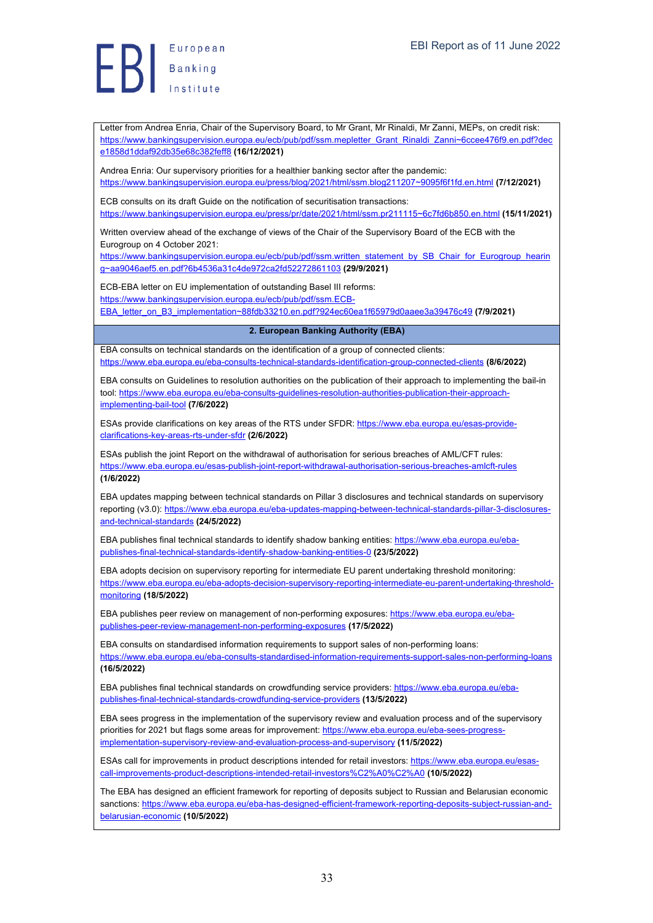Letter from Andrea Enria, Chair of the Supervisory Board, to Mr Grant, Mr Rinaldi, Mr Zanni, MEPs, on credit risk: https://www.bankingsupervision.europa.eu/ecb/pub/pdf/ssm.mepletter\_Grant\_Rinaldi\_Zanni~6ccee476f9.en.pdf?dec e1858d1ddaf92db35e68c382feff8 **(16/12/2021)**

Andrea Enria: Our supervisory priorities for a healthier banking sector after the pandemic: https://www.bankingsupervision.europa.eu/press/blog/2021/html/ssm.blog211207~9095f6f1fd.en.html **(7/12/2021)**

ECB consults on its draft Guide on the notification of securitisation transactions: https://www.bankingsupervision.europa.eu/press/pr/date/2021/html/ssm.pr211115~6c7fd6b850.en.html **(15/11/2021)**

Written overview ahead of the exchange of views of the Chair of the Supervisory Board of the ECB with the Eurogroup on 4 October 2021:

https://www.bankingsupervision.europa.eu/ecb/pub/pdf/ssm.written\_statement\_by\_SB\_Chair\_for\_Eurogroup\_hearin\_ g~aa9046aef5.en.pdf?6b4536a31c4de972ca2fd52272861103 **(29/9/2021)**

ECB-EBA letter on EU implementation of outstanding Basel III reforms: https://www.bankingsupervision.europa.eu/ecb/pub/pdf/ssm.ECB-

EBA\_letter\_on\_B3\_implementation~88fdb33210.en.pdf?924ec60ea1f65979d0aaee3a39476c49 **(7/9/2021)**

#### **2. European Banking Authority (EBA)**

EBA consults on technical standards on the identification of a group of connected clients: https://www.eba.europa.eu/eba-consults-technical-standards-identification-group-connected-clients **(8/6/2022)**

EBA consults on Guidelines to resolution authorities on the publication of their approach to implementing the bail-in tool: https://www.eba.europa.eu/eba-consults-guidelines-resolution-authorities-publication-their-approachimplementing-bail-tool **(7/6/2022)**

ESAs provide clarifications on key areas of the RTS under SFDR: https://www.eba.europa.eu/esas-provideclarifications-key-areas-rts-under-sfdr **(2/6/2022)**

ESAs publish the joint Report on the withdrawal of authorisation for serious breaches of AML/CFT rules: https://www.eba.europa.eu/esas-publish-joint-report-withdrawal-authorisation-serious-breaches-amlcft-rules **(1/6/2022)**

EBA updates mapping between technical standards on Pillar 3 disclosures and technical standards on supervisory reporting (v3.0): https://www.eba.europa.eu/eba-updates-mapping-between-technical-standards-pillar-3-disclosuresand-technical-standards **(24/5/2022)**

EBA publishes final technical standards to identify shadow banking entities: https://www.eba.europa.eu/ebapublishes-final-technical-standards-identify-shadow-banking-entities-0 **(23/5/2022)**

EBA adopts decision on supervisory reporting for intermediate EU parent undertaking threshold monitoring: https://www.eba.europa.eu/eba-adopts-decision-supervisory-reporting-intermediate-eu-parent-undertaking-thresholdmonitoring **(18/5/2022)**

EBA publishes peer review on management of non-performing exposures: https://www.eba.europa.eu/ebapublishes-peer-review-management-non-performing-exposures **(17/5/2022)**

EBA consults on standardised information requirements to support sales of non-performing loans: https://www.eba.europa.eu/eba-consults-standardised-information-requirements-support-sales-non-performing-loans **(16/5/2022)**

EBA publishes final technical standards on crowdfunding service providers: https://www.eba.europa.eu/ebapublishes-final-technical-standards-crowdfunding-service-providers **(13/5/2022)**

EBA sees progress in the implementation of the supervisory review and evaluation process and of the supervisory priorities for 2021 but flags some areas for improvement: https://www.eba.europa.eu/eba-sees-progressimplementation-supervisory-review-and-evaluation-process-and-supervisory **(11/5/2022)**

ESAs call for improvements in product descriptions intended for retail investors: https://www.eba.europa.eu/esascall-improvements-product-descriptions-intended-retail-investors%C2%A0%C2%A0 **(10/5/2022)**

The EBA has designed an efficient framework for reporting of deposits subject to Russian and Belarusian economic sanctions: https://www.eba.europa.eu/eba-has-designed-efficient-framework-reporting-deposits-subject-russian-andbelarusian-economic **(10/5/2022)**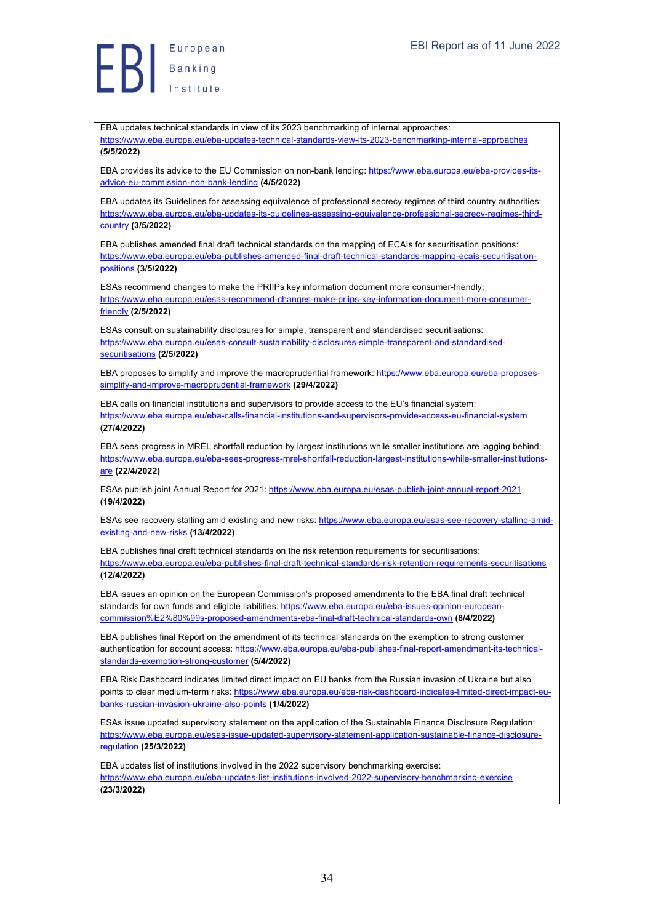Europea<br>Banking<br>Institute European

EBA updates technical standards in view of its 2023 benchmarking of internal approaches: https://www.eba.europa.eu/eba-updates-technical-standards-view-its-2023-benchmarking-internal-approaches **(5/5/2022)**

EBA provides its advice to the EU Commission on non-bank lending: https://www.eba.europa.eu/eba-provides-itsadvice-eu-commission-non-bank-lending **(4/5/2022)**

EBA updates its Guidelines for assessing equivalence of professional secrecy regimes of third country authorities: https://www.eba.europa.eu/eba-updates-its-guidelines-assessing-equivalence-professional-secrecy-regimes-thirdcountry **(3/5/2022)**

EBA publishes amended final draft technical standards on the mapping of ECAIs for securitisation positions: https://www.eba.europa.eu/eba-publishes-amended-final-draft-technical-standards-mapping-ecais-securitisationpositions **(3/5/2022)**

ESAs recommend changes to make the PRIIPs key information document more consumer-friendly: https://www.eba.europa.eu/esas-recommend-changes-make-priips-key-information-document-more-consumerfriendly **(2/5/2022)**

ESAs consult on sustainability disclosures for simple, transparent and standardised securitisations: https://www.eba.europa.eu/esas-consult-sustainability-disclosures-simple-transparent-and-standardisedsecuritisations **(2/5/2022)**

EBA proposes to simplify and improve the macroprudential framework: https://www.eba.europa.eu/eba-proposessimplify-and-improve-macroprudential-framework **(29/4/2022)**

EBA calls on financial institutions and supervisors to provide access to the EU's financial system: https://www.eba.europa.eu/eba-calls-financial-institutions-and-supervisors-provide-access-eu-financial-system **(27/4/2022)**

EBA sees progress in MREL shortfall reduction by largest institutions while smaller institutions are lagging behind: https://www.eba.europa.eu/eba-sees-progress-mrel-shortfall-reduction-largest-institutions-while-smaller-institutionsare **(22/4/2022)**

ESAs publish joint Annual Report for 2021: https://www.eba.europa.eu/esas-publish-joint-annual-report-2021 **(19/4/2022)**

ESAs see recovery stalling amid existing and new risks: https://www.eba.europa.eu/esas-see-recovery-stalling-amidexisting-and-new-risks **(13/4/2022)**

EBA publishes final draft technical standards on the risk retention requirements for securitisations: https://www.eba.europa.eu/eba-publishes-final-draft-technical-standards-risk-retention-requirements-securitisations **(12/4/2022)**

EBA issues an opinion on the European Commission's proposed amendments to the EBA final draft technical standards for own funds and eligible liabilities: https://www.eba.europa.eu/eba-issues-opinion-europeancommission%E2%80%99s-proposed-amendments-eba-final-draft-technical-standards-own **(8/4/2022)**

EBA publishes final Report on the amendment of its technical standards on the exemption to strong customer authentication for account access: https://www.eba.europa.eu/eba-publishes-final-report-amendment-its-technicalstandards-exemption-strong-customer **(5/4/2022)**

EBA Risk Dashboard indicates limited direct impact on EU banks from the Russian invasion of Ukraine but also points to clear medium-term risks: https://www.eba.europa.eu/eba-risk-dashboard-indicates-limited-direct-impact-eubanks-russian-invasion-ukraine-also-points **(1/4/2022)**

ESAs issue updated supervisory statement on the application of the Sustainable Finance Disclosure Regulation: https://www.eba.europa.eu/esas-issue-updated-supervisory-statement-application-sustainable-finance-disclosureregulation **(25/3/2022)**

EBA updates list of institutions involved in the 2022 supervisory benchmarking exercise: https://www.eba.europa.eu/eba-updates-list-institutions-involved-2022-supervisory-benchmarking-exercise **(23/3/2022)**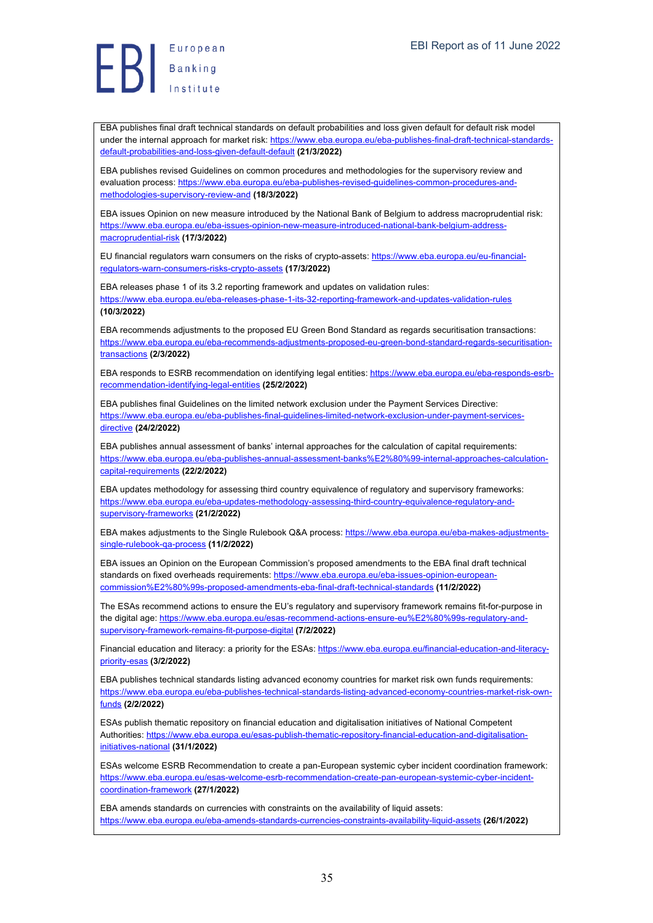Europea<br>Banking<br>Institute

EBA publishes final draft technical standards on default probabilities and loss given default for default risk model under the internal approach for market risk: https://www.eba.europa.eu/eba-publishes-final-draft-technical-standardsdefault-probabilities-and-loss-given-default-default **(21/3/2022)**

EBA publishes revised Guidelines on common procedures and methodologies for the supervisory review and evaluation process: https://www.eba.europa.eu/eba-publishes-revised-guidelines-common-procedures-andmethodologies-supervisory-review-and **(18/3/2022)**

EBA issues Opinion on new measure introduced by the National Bank of Belgium to address macroprudential risk: https://www.eba.europa.eu/eba-issues-opinion-new-measure-introduced-national-bank-belgium-addressmacroprudential-risk **(17/3/2022)**

EU financial regulators warn consumers on the risks of crypto-assets: https://www.eba.europa.eu/eu-financialregulators-warn-consumers-risks-crypto-assets **(17/3/2022)**

EBA releases phase 1 of its 3.2 reporting framework and updates on validation rules: https://www.eba.europa.eu/eba-releases-phase-1-its-32-reporting-framework-and-updates-validation-rules **(10/3/2022)**

EBA recommends adjustments to the proposed EU Green Bond Standard as regards securitisation transactions: https://www.eba.europa.eu/eba-recommends-adjustments-proposed-eu-green-bond-standard-regards-securitisationtransactions **(2/3/2022)**

EBA responds to ESRB recommendation on identifying legal entities: https://www.eba.europa.eu/eba-responds-esrbrecommendation-identifying-legal-entities **(25/2/2022)**

EBA publishes final Guidelines on the limited network exclusion under the Payment Services Directive: https://www.eba.europa.eu/eba-publishes-final-guidelines-limited-network-exclusion-under-payment-servicesdirective **(24/2/2022)**

EBA publishes annual assessment of banks' internal approaches for the calculation of capital requirements: https://www.eba.europa.eu/eba-publishes-annual-assessment-banks%E2%80%99-internal-approaches-calculationcapital-requirements **(22/2/2022)**

EBA updates methodology for assessing third country equivalence of regulatory and supervisory frameworks: https://www.eba.europa.eu/eba-updates-methodology-assessing-third-country-equivalence-regulatory-andsupervisory-frameworks **(21/2/2022)**

EBA makes adjustments to the Single Rulebook Q&A process: https://www.eba.europa.eu/eba-makes-adjustmentssingle-rulebook-qa-process **(11/2/2022)**

EBA issues an Opinion on the European Commission's proposed amendments to the EBA final draft technical standards on fixed overheads requirements: https://www.eba.europa.eu/eba-issues-opinion-europeancommission%E2%80%99s-proposed-amendments-eba-final-draft-technical-standards **(11/2/2022)**

The ESAs recommend actions to ensure the EU's regulatory and supervisory framework remains fit-for-purpose in the digital age: https://www.eba.europa.eu/esas-recommend-actions-ensure-eu%E2%80%99s-requlatory-andsupervisory-framework-remains-fit-purpose-digital **(7/2/2022)**

Financial education and literacy: a priority for the ESAs: https://www.eba.europa.eu/financial-education-and-literacypriority-esas **(3/2/2022)**

EBA publishes technical standards listing advanced economy countries for market risk own funds requirements: https://www.eba.europa.eu/eba-publishes-technical-standards-listing-advanced-economy-countries-market-risk-ownfunds **(2/2/2022)**

ESAs publish thematic repository on financial education and digitalisation initiatives of National Competent Authorities: https://www.eba.europa.eu/esas-publish-thematic-repository-financial-education-and-digitalisationinitiatives-national **(31/1/2022)**

ESAs welcome ESRB Recommendation to create a pan-European systemic cyber incident coordination framework: https://www.eba.europa.eu/esas-welcome-esrb-recommendation-create-pan-european-systemic-cyber-incidentcoordination-framework **(27/1/2022)**

EBA amends standards on currencies with constraints on the availability of liquid assets: https://www.eba.europa.eu/eba-amends-standards-currencies-constraints-availability-liquid-assets **(26/1/2022)**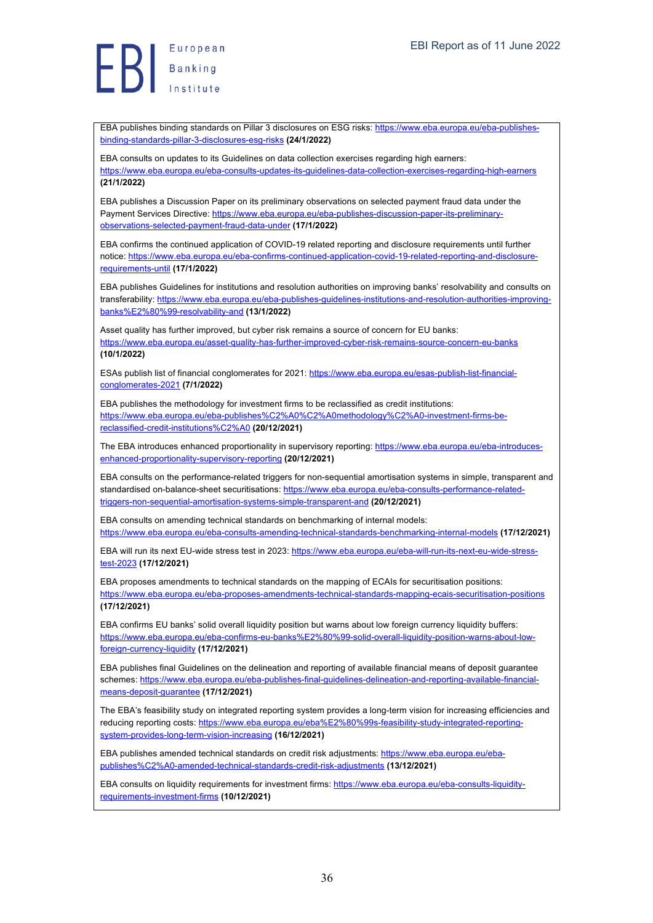European  $\left\{\begin{array}{c} \mathsf{European} \ \mathsf{Banking} \ \mathsf{Banking} \end{array}\right.$ 

EBA publishes binding standards on Pillar 3 disclosures on ESG risks: https://www.eba.europa.eu/eba-publishesbinding-standards-pillar-3-disclosures-esg-risks **(24/1/2022)**

EBA consults on updates to its Guidelines on data collection exercises regarding high earners: https://www.eba.europa.eu/eba-consults-updates-its-guidelines-data-collection-exercises-regarding-high-earners **(21/1/2022)**

EBA publishes a Discussion Paper on its preliminary observations on selected payment fraud data under the Payment Services Directive: https://www.eba.europa.eu/eba-publishes-discussion-paper-its-preliminaryobservations-selected-payment-fraud-data-under **(17/1/2022)**

EBA confirms the continued application of COVID-19 related reporting and disclosure requirements until further notice: https://www.eba.europa.eu/eba-confirms-continued-application-covid-19-related-reporting-and-disclosurerequirements-until **(17/1/2022)**

EBA publishes Guidelines for institutions and resolution authorities on improving banks' resolvability and consults on transferability: https://www.eba.europa.eu/eba-publishes-quidelines-institutions-and-resolution-authorities-improvingbanks%E2%80%99-resolvability-and **(13/1/2022)**

Asset quality has further improved, but cyber risk remains a source of concern for EU banks: https://www.eba.europa.eu/asset-quality-has-further-improved-cyber-risk-remains-source-concern-eu-banks **(10/1/2022)**

ESAs publish list of financial conglomerates for 2021: https://www.eba.europa.eu/esas-publish-list-financialconglomerates-2021 **(7/1/2022)**

EBA publishes the methodology for investment firms to be reclassified as credit institutions: https://www.eba.europa.eu/eba-publishes%C2%A0%C2%A0methodology%C2%A0-investment-firms-bereclassified-credit-institutions%C2%A0 **(20/12/2021)**

The EBA introduces enhanced proportionality in supervisory reporting: https://www.eba.europa.eu/eba-introducesenhanced-proportionality-supervisory-reporting **(20/12/2021)**

EBA consults on the performance-related triggers for non-sequential amortisation systems in simple, transparent and standardised on-balance-sheet securitisations: https://www.eba.europa.eu/eba-consults-performance-relatedtriggers-non-sequential-amortisation-systems-simple-transparent-and **(20/12/2021)**

EBA consults on amending technical standards on benchmarking of internal models: https://www.eba.europa.eu/eba-consults-amending-technical-standards-benchmarking-internal-models **(17/12/2021)**

EBA will run its next EU-wide stress test in 2023: https://www.eba.europa.eu/eba-will-run-its-next-eu-wide-stresstest-2023 **(17/12/2021)**

EBA proposes amendments to technical standards on the mapping of ECAIs for securitisation positions: https://www.eba.europa.eu/eba-proposes-amendments-technical-standards-mapping-ecais-securitisation-positions **(17/12/2021)**

EBA confirms EU banks' solid overall liquidity position but warns about low foreign currency liquidity buffers: https://www.eba.europa.eu/eba-confirms-eu-banks%E2%80%99-solid-overall-liquidity-position-warns-about-lowforeign-currency-liquidity **(17/12/2021)**

EBA publishes final Guidelines on the delineation and reporting of available financial means of deposit guarantee schemes: https://www.eba.europa.eu/eba-publishes-final-guidelines-delineation-and-reporting-available-financialmeans-deposit-guarantee **(17/12/2021)**

The EBA's feasibility study on integrated reporting system provides a long-term vision for increasing efficiencies and reducing reporting costs: https://www.eba.europa.eu/eba%E2%80%99s-feasibility-study-integrated-reportingsystem-provides-long-term-vision-increasing **(16/12/2021)**

EBA publishes amended technical standards on credit risk adjustments: https://www.eba.europa.eu/ebapublishes%C2%A0-amended-technical-standards-credit-risk-adjustments **(13/12/2021)**

EBA consults on liquidity requirements for investment firms: https://www.eba.europa.eu/eba-consults-liquidityrequirements-investment-firms **(10/12/2021)**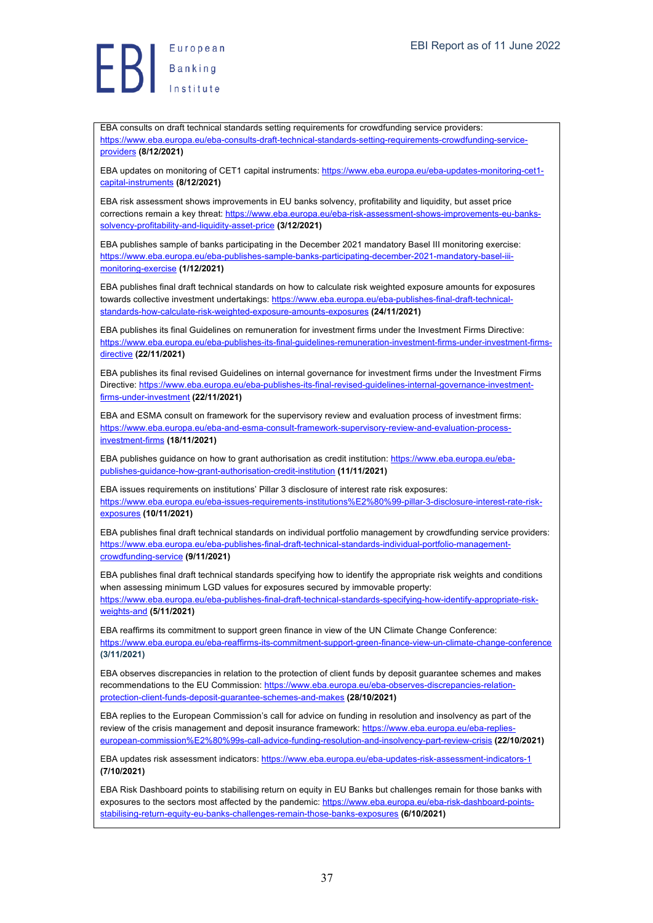European Europea<br>Banking<br>Institute

EBA consults on draft technical standards setting requirements for crowdfunding service providers: https://www.eba.europa.eu/eba-consults-draft-technical-standards-setting-requirements-crowdfunding-serviceproviders **(8/12/2021)**

EBA updates on monitoring of CET1 capital instruments: https://www.eba.europa.eu/eba-updates-monitoring-cet1capital-instruments **(8/12/2021)**

EBA risk assessment shows improvements in EU banks solvency, profitability and liquidity, but asset price corrections remain a key threat: https://www.eba.europa.eu/eba-risk-assessment-shows-improvements-eu-bankssolvency-profitability-and-liquidity-asset-price **(3/12/2021)**

EBA publishes sample of banks participating in the December 2021 mandatory Basel III monitoring exercise: https://www.eba.europa.eu/eba-publishes-sample-banks-participating-december-2021-mandatory-basel-iiimonitoring-exercise **(1/12/2021)**

EBA publishes final draft technical standards on how to calculate risk weighted exposure amounts for exposures towards collective investment undertakings: https://www.eba.europa.eu/eba-publishes-final-draft-technicalstandards-how-calculate-risk-weighted-exposure-amounts-exposures **(24/11/2021)**

EBA publishes its final Guidelines on remuneration for investment firms under the Investment Firms Directive: https://www.eba.europa.eu/eba-publishes-its-final-guidelines-remuneration-investment-firms-under-investment-firmsdirective **(22/11/2021)**

EBA publishes its final revised Guidelines on internal governance for investment firms under the Investment Firms Directive: https://www.eba.europa.eu/eba-publishes-its-final-revised-guidelines-internal-governance-investmentfirms-under-investment **(22/11/2021)**

EBA and ESMA consult on framework for the supervisory review and evaluation process of investment firms: https://www.eba.europa.eu/eba-and-esma-consult-framework-supervisory-review-and-evaluation-processinvestment-firms **(18/11/2021)**

EBA publishes guidance on how to grant authorisation as credit institution: https://www.eba.europa.eu/ebapublishes-guidance-how-grant-authorisation-credit-institution **(11/11/2021)**

EBA issues requirements on institutions' Pillar 3 disclosure of interest rate risk exposures: https://www.eba.europa.eu/eba-issues-requirements-institutions%E2%80%99-pillar-3-disclosure-interest-rate-riskexposures **(10/11/2021)**

EBA publishes final draft technical standards on individual portfolio management by crowdfunding service providers: https://www.eba.europa.eu/eba-publishes-final-draft-technical-standards-individual-portfolio-managementcrowdfunding-service **(9/11/2021)**

EBA publishes final draft technical standards specifying how to identify the appropriate risk weights and conditions when assessing minimum LGD values for exposures secured by immovable property: https://www.eba.europa.eu/eba-publishes-final-draft-technical-standards-specifying-how-identify-appropriate-riskweights-and **(5/11/2021)**

EBA reaffirms its commitment to support green finance in view of the UN Climate Change Conference: https://www.eba.europa.eu/eba-reaffirms-its-commitment-support-green-finance-view-un-climate-change-conference **(3/11/2021)**

EBA observes discrepancies in relation to the protection of client funds by deposit guarantee schemes and makes recommendations to the EU Commission: https://www.eba.europa.eu/eba-observes-discrepancies-relationprotection-client-funds-deposit-guarantee-schemes-and-makes **(28/10/2021)**

EBA replies to the European Commission's call for advice on funding in resolution and insolvency as part of the review of the crisis management and deposit insurance framework: https://www.eba.europa.eu/eba-replies european-commission%E2%80%99s-call-advice-funding-resolution-and-insolvency-part-review-crisis **(22/10/2021)**

EBA updates risk assessment indicators: https://www.eba.europa.eu/eba-updates-risk-assessment-indicators-1 **(7/10/2021)**

EBA Risk Dashboard points to stabilising return on equity in EU Banks but challenges remain for those banks with exposures to the sectors most affected by the pandemic: https://www.eba.europa.eu/eba-risk-dashboard-pointsstabilising-return-equity-eu-banks-challenges-remain-those-banks-exposures **(6/10/2021)**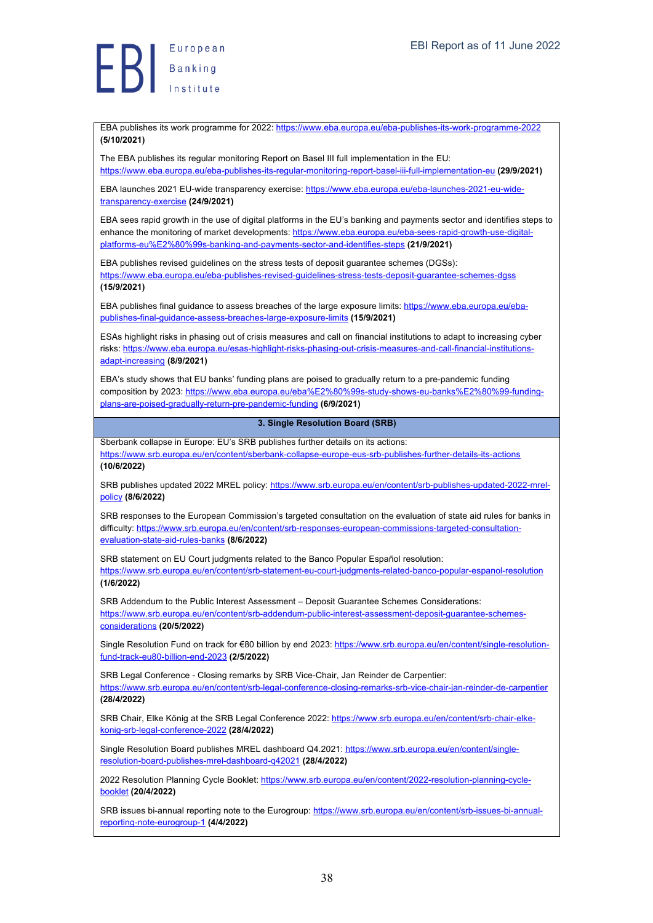European  $\left\{\right\}$   $\left\{\right.$   $\left.\right.$   $\left.\right.$   $\left.\right.$   $\left.\right.$   $\left.\right.$   $\left.\right.$   $\left.\right.$   $\left.\right.$   $\left.\right.$   $\left.\right.$   $\left.\right.$   $\left.\right.$   $\left.\right.$   $\left.\right.$   $\left.\right.$   $\left.\right.$   $\left.\right.$   $\left.\right.$   $\left.\right.$   $\left.\right.$   $\left.\right.$   $\left.\right.$   $\left.\right.$   $\left.\right.$   $\left.\right.$   $\$ 

EBA publishes its work programme for 2022: https://www.eba.europa.eu/eba-publishes-its-work-programme-2022 **(5/10/2021)**

The EBA publishes its regular monitoring Report on Basel III full implementation in the EU: https://www.eba.europa.eu/eba-publishes-its-regular-monitoring-report-basel-iii-full-implementation-eu **(29/9/2021)**

EBA launches 2021 EU-wide transparency exercise: https://www.eba.europa.eu/eba-launches-2021-eu-widetransparency-exercise **(24/9/2021)**

EBA sees rapid growth in the use of digital platforms in the EU's banking and payments sector and identifies steps to enhance the monitoring of market developments: https://www.eba.europa.eu/eba-sees-rapid-growth-use-digitalplatforms-eu%E2%80%99s-banking-and-payments-sector-and-identifies-steps **(21/9/2021)**

EBA publishes revised guidelines on the stress tests of deposit guarantee schemes (DGSs): https://www.eba.europa.eu/eba-publishes-revised-guidelines-stress-tests-deposit-guarantee-schemes-dgss **(15/9/2021)**

EBA publishes final guidance to assess breaches of the large exposure limits: https://www.eba.europa.eu/ebapublishes-final-guidance-assess-breaches-large-exposure-limits **(15/9/2021)**

ESAs highlight risks in phasing out of crisis measures and call on financial institutions to adapt to increasing cyber risks: https://www.eba.europa.eu/esas-highlight-risks-phasing-out-crisis-measures-and-call-financial-institutionsadapt-increasing **(8/9/2021)**

EBA's study shows that EU banks' funding plans are poised to gradually return to a pre-pandemic funding composition by 2023: https://www.eba.europa.eu/eba%E2%80%99s-study-shows-eu-banks%E2%80%99-fundingplans-are-poised-gradually-return-pre-pandemic-funding **(6/9/2021)**

## **3. Single Resolution Board (SRB)**

Sberbank collapse in Europe: EU's SRB publishes further details on its actions: https://www.srb.europa.eu/en/content/sberbank-collapse-europe-eus-srb-publishes-further-details-its-actions **(10/6/2022)**

SRB publishes updated 2022 MREL policy: https://www.srb.europa.eu/en/content/srb-publishes-updated-2022-mrelpolicy **(8/6/2022)**

SRB responses to the European Commission's targeted consultation on the evaluation of state aid rules for banks in difficulty: https://www.srb.europa.eu/en/content/srb-responses-european-commissions-targeted-consultationevaluation-state-aid-rules-banks **(8/6/2022)**

SRB statement on EU Court judgments related to the Banco Popular Español resolution: https://www.srb.europa.eu/en/content/srb-statement-eu-court-judgments-related-banco-popular-espanol-resolution

**(1/6/2022)**

SRB Addendum to the Public Interest Assessment – Deposit Guarantee Schemes Considerations: https://www.srb.europa.eu/en/content/srb-addendum-public-interest-assessment-deposit-guarantee-schemesconsiderations **(20/5/2022)**

Single Resolution Fund on track for €80 billion by end 2023: https://www.srb.europa.eu/en/content/single-resolutionfund-track-eu80-billion-end-2023 **(2/5/2022)**

SRB Legal Conference - Closing remarks by SRB Vice-Chair, Jan Reinder de Carpentier: https://www.srb.europa.eu/en/content/srb-legal-conference-closing-remarks-srb-vice-chair-jan-reinder-de-carpentier **(28/4/2022)**

SRB Chair, Elke König at the SRB Legal Conference 2022: https://www.srb.europa.eu/en/content/srb-chair-elkekonig-srb-legal-conference-2022 **(28/4/2022)**

Single Resolution Board publishes MREL dashboard Q4.2021: https://www.srb.europa.eu/en/content/singleresolution-board-publishes-mrel-dashboard-q42021 **(28/4/2022)**

2022 Resolution Planning Cycle Booklet: https://www.srb.europa.eu/en/content/2022-resolution-planning-cyclebooklet **(20/4/2022)**

SRB issues bi-annual reporting note to the Eurogroup: https://www.srb.europa.eu/en/content/srb-issues-bi-annualreporting-note-eurogroup-1 **(4/4/2022)**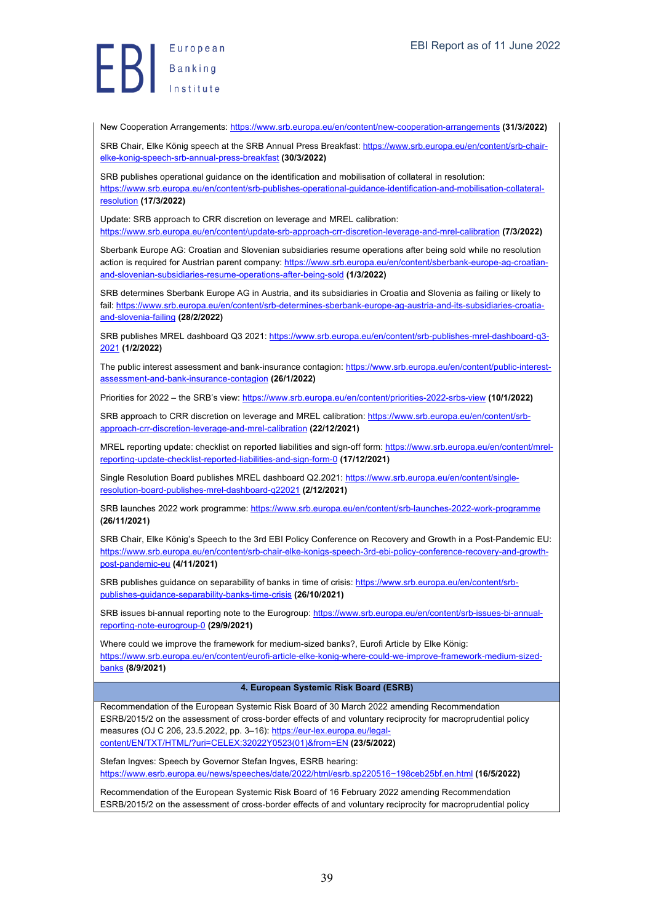New Cooperation Arrangements: https://www.srb.europa.eu/en/content/new-cooperation-arrangements **(31/3/2022)**

SRB Chair, Elke König speech at the SRB Annual Press Breakfast: https://www.srb.europa.eu/en/content/srb-chairelke-konig-speech-srb-annual-press-breakfast **(30/3/2022)**

SRB publishes operational guidance on the identification and mobilisation of collateral in resolution: https://www.srb.europa.eu/en/content/srb-publishes-operational-guidance-identification-and-mobilisation-collateralresolution **(17/3/2022)**

Update: SRB approach to CRR discretion on leverage and MREL calibration: https://www.srb.europa.eu/en/content/update-srb-approach-crr-discretion-leverage-and-mrel-calibration **(7/3/2022)**

Sberbank Europe AG: Croatian and Slovenian subsidiaries resume operations after being sold while no resolution action is required for Austrian parent company: https://www.srb.europa.eu/en/content/sberbank-europe-ag-croatianand-slovenian-subsidiaries-resume-operations-after-being-sold **(1/3/2022)**

SRB determines Sberbank Europe AG in Austria, and its subsidiaries in Croatia and Slovenia as failing or likely to fail: https://www.srb.europa.eu/en/content/srb-determines-sberbank-europe-ag-austria-and-its-subsidiaries-croatiaand-slovenia-failing **(28/2/2022)**

SRB publishes MREL dashboard Q3 2021: https://www.srb.europa.eu/en/content/srb-publishes-mrel-dashboard-q3-2021 **(1/2/2022)**

The public interest assessment and bank-insurance contagion: https://www.srb.europa.eu/en/content/public-interestassessment-and-bank-insurance-contagion **(26/1/2022)**

Priorities for 2022 – the SRB's view: https://www.srb.europa.eu/en/content/priorities-2022-srbs-view **(10/1/2022)**

SRB approach to CRR discretion on leverage and MREL calibration: https://www.srb.europa.eu/en/content/srbapproach-crr-discretion-leverage-and-mrel-calibration **(22/12/2021)**

MREL reporting update: checklist on reported liabilities and sign-off form: https://www.srb.europa.eu/en/content/mrelreporting-update-checklist-reported-liabilities-and-sign-form-0 **(17/12/2021)**

Single Resolution Board publishes MREL dashboard Q2.2021: https://www.srb.europa.eu/en/content/singleresolution-board-publishes-mrel-dashboard-q22021 **(2/12/2021)**

SRB launches 2022 work programme: https://www.srb.europa.eu/en/content/srb-launches-2022-work-programme **(26/11/2021)**

SRB Chair, Elke König's Speech to the 3rd EBI Policy Conference on Recovery and Growth in a Post-Pandemic EU: https://www.srb.europa.eu/en/content/srb-chair-elke-konigs-speech-3rd-ebi-policy-conference-recovery-and-growthpost-pandemic-eu **(4/11/2021)**

SRB publishes guidance on separability of banks in time of crisis: https://www.srb.europa.eu/en/content/srbpublishes-guidance-separability-banks-time-crisis **(26/10/2021)**

SRB issues bi-annual reporting note to the Eurogroup: https://www.srb.europa.eu/en/content/srb-issues-bi-annualreporting-note-eurogroup-0 **(29/9/2021)**

Where could we improve the framework for medium-sized banks?, Furofi Article by Flke König: https://www.srb.europa.eu/en/content/eurofi-article-elke-konig-where-could-we-improve-framework-medium-sizedbanks **(8/9/2021)**

#### **4. European Systemic Risk Board (ESRB)**

Recommendation of the European Systemic Risk Board of 30 March 2022 amending Recommendation ESRB/2015/2 on the assessment of cross-border effects of and voluntary reciprocity for macroprudential policy measures (OJ C 206, 23.5.2022, pp. 3-16): https://eur-lex.europa.eu/legalcontent/EN/TXT/HTML/?uri=CELEX:32022Y0523(01)&from=EN **(23/5/2022)**

Stefan Ingves: Speech by Governor Stefan Ingves, ESRB hearing: https://www.esrb.europa.eu/news/speeches/date/2022/html/esrb.sp220516~198ceb25bf.en.html **(16/5/2022)**

Recommendation of the European Systemic Risk Board of 16 February 2022 amending Recommendation ESRB/2015/2 on the assessment of cross-border effects of and voluntary reciprocity for macroprudential policy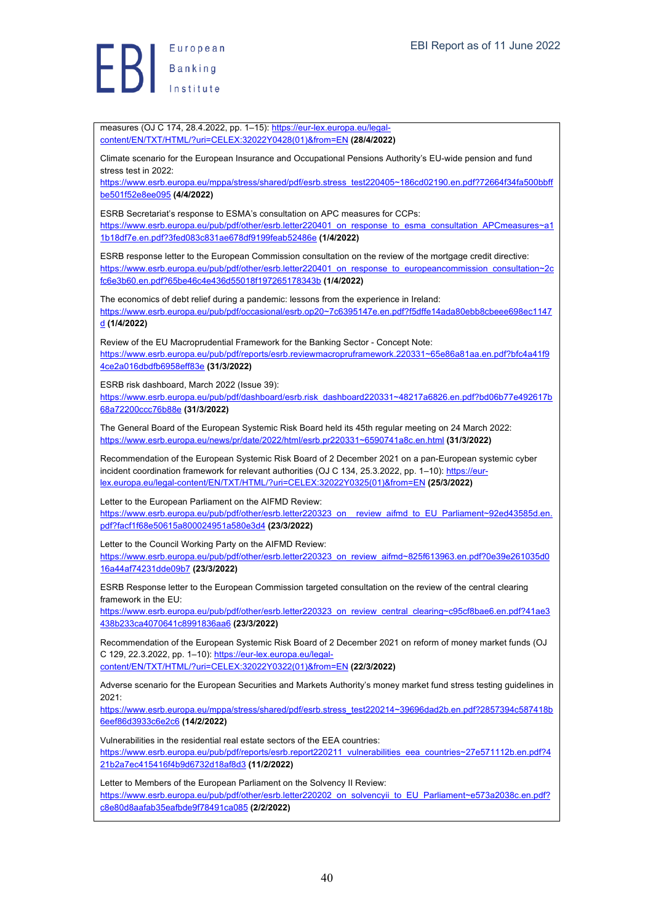European  $\left\{\right\}$   $\left\{\right.$  Banking

measures (OJ C 174, 28.4.2022, pp. 1-15): https://eur-lex.europa.eu/legalcontent/EN/TXT/HTML/?uri=CELEX:32022Y0428(01)&from=EN **(28/4/2022)** Climate scenario for the European Insurance and Occupational Pensions Authority's EU-wide pension and fund stress test in 2022. https://www.esrb.europa.eu/mppa/stress/shared/pdf/esrb.stress\_test220405~186cd02190.en.pdf?72664f34fa500bbff be501f52e8ee095 **(4/4/2022)** ESRB Secretariat's response to ESMA's consultation on APC measures for CCPs: https://www.esrb.europa.eu/pub/pdf/other/esrb.letter220401\_on\_response\_to\_esma\_consultation\_APCmeasures~a1 1b18df7e.en.pdf?3fed083c831ae678df9199feab52486e **(1/4/2022)** ESRB response letter to the European Commission consultation on the review of the mortgage credit directive: https://www.esrb.europa.eu/pub/pdf/other/esrb.letter220401\_on\_response\_to\_europeancommission\_consultation~2c fc6e3b60.en.pdf?65be46c4e436d55018f197265178343b **(1/4/2022)** The economics of debt relief during a pandemic: lessons from the experience in Ireland: https://www.esrb.europa.eu/pub/pdf/occasional/esrb.op20~7c6395147e.en.pdf?f5dffe14ada80ebb8cbeee698ec1147 d **(1/4/2022)** Review of the EU Macroprudential Framework for the Banking Sector - Concept Note: https://www.esrb.europa.eu/pub/pdf/reports/esrb.reviewmacropruframework.220331~65e86a81aa.en.pdf?bfc4a41f9 4ce2a016dbdfb6958eff83e **(31/3/2022)** ESRB risk dashboard, March 2022 (Issue 39): https://www.esrb.europa.eu/pub/pdf/dashboard/esrb.risk\_dashboard220331~48217a6826.en.pdf?bd06b77e492617b 68a72200ccc76b88e **(31/3/2022)** The General Board of the European Systemic Risk Board held its 45th regular meeting on 24 March 2022: https://www.esrb.europa.eu/news/pr/date/2022/html/esrb.pr220331~6590741a8c.en.html **(31/3/2022)** Recommendation of the European Systemic Risk Board of 2 December 2021 on a pan-European systemic cyber incident coordination framework for relevant authorities (OJ C 134, 25.3.2022, pp. 1-10): https://eurlex.europa.eu/legal-content/EN/TXT/HTML/?uri=CELEX:32022Y0325(01)&from=EN **(25/3/2022)** Letter to the European Parliament on the AIFMD Review: https://www.esrb.europa.eu/pub/pdf/other/esrb.letter220323\_on\_\_review\_aifmd\_to\_EU\_Parliament~92ed43585d.en. pdf?facf1f68e50615a800024951a580e3d4 **(23/3/2022)** Letter to the Council Working Party on the AIFMD Review: https://www.esrb.europa.eu/pub/pdf/other/esrb.letter220323\_on\_review\_aifmd~825f613963.en.pdf?0e39e261035d0 16a44af74231dde09b7 **(23/3/2022)** ESRB Response letter to the European Commission targeted consultation on the review of the central clearing framework in the EU: https://www.esrb.europa.eu/pub/pdf/other/esrb.letter220323\_on\_review\_central\_clearing~c95cf8bae6.en.pdf?41ae3 438b233ca4070641c8991836aa6 **(23/3/2022)** Recommendation of the European Systemic Risk Board of 2 December 2021 on reform of money market funds (OJ C 129, 22.3.2022, pp. 1–10): https://eur-lex.europa.eu/legalcontent/EN/TXT/HTML/?uri=CELEX:32022Y0322(01)&from=EN **(22/3/2022)** Adverse scenario for the European Securities and Markets Authority's money market fund stress testing guidelines in 2021: https://www.esrb.europa.eu/mppa/stress/shared/pdf/esrb.stress\_test220214~39696dad2b.en.pdf?2857394c587418b 6eef86d3933c6e2c6 **(14/2/2022)** Vulnerabilities in the residential real estate sectors of the EEA countries: https://www.esrb.europa.eu/pub/pdf/reports/esrb.report220211\_vulnerabilities\_eea\_countries~27e571112b.en.pdf?4 21b2a7ec415416f4b9d6732d18af8d3 **(11/2/2022)** Letter to Members of the European Parliament on the Solvency II Review: https://www.esrb.europa.eu/pub/pdf/other/esrb.letter220202\_on\_solvencyii\_to\_EU\_Parliament~e573a2038c.en.pdf? c8e80d8aafab35eafbde9f78491ca085 **(2/2/2022)**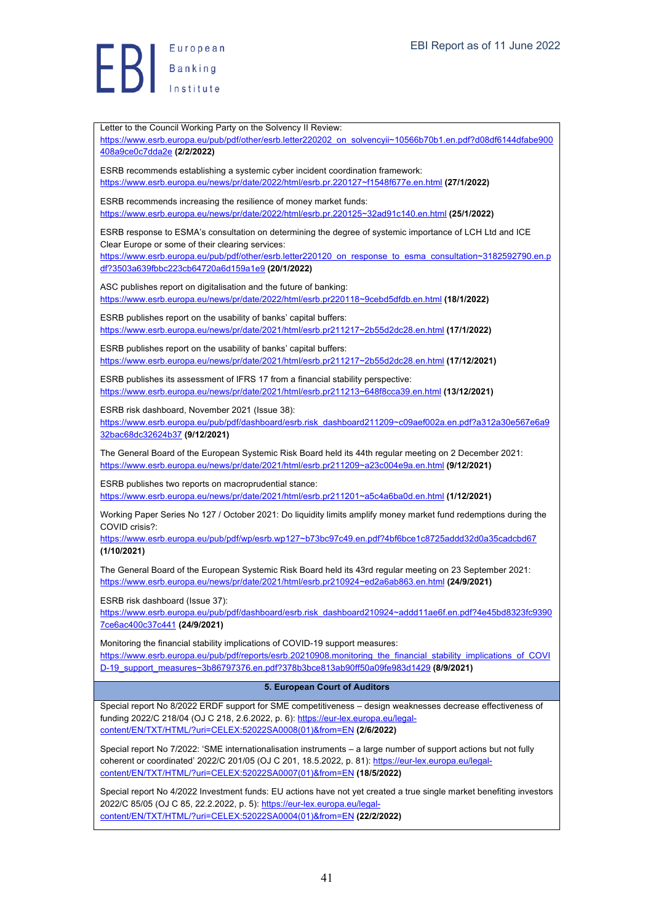Letter to the Council Working Party on the Solvency II Review: https://www.esrb.europa.eu/pub/pdf/other/esrb.letter220202\_on\_solvencyii~10566b70b1.en.pdf?d08df6144dfabe900 408a9ce0c7dda2e **(2/2/2022)** ESRB recommends establishing a systemic cyber incident coordination framework: https://www.esrb.europa.eu/news/pr/date/2022/html/esrb.pr.220127~f1548f677e.en.html **(27/1/2022)** ESRB recommends increasing the resilience of money market funds: https://www.esrb.europa.eu/news/pr/date/2022/html/esrb.pr.220125~32ad91c140.en.html **(25/1/2022)** ESRB response to ESMA's consultation on determining the degree of systemic importance of LCH Ltd and ICE Clear Europe or some of their clearing services: https://www.esrb.europa.eu/pub/pdf/other/esrb.letter220120\_on\_response\_to\_esma\_consultation~3182592790.en.p df?3503a639fbbc223cb64720a6d159a1e9 **(20/1/2022)** ASC publishes report on digitalisation and the future of banking: https://www.esrb.europa.eu/news/pr/date/2022/html/esrb.pr220118~9cebd5dfdb.en.html **(18/1/2022)** ESRB publishes report on the usability of banks' capital buffers: https://www.esrb.europa.eu/news/pr/date/2021/html/esrb.pr211217~2b55d2dc28.en.html **(17/1/2022)** ESRB publishes report on the usability of banks' capital buffers: https://www.esrb.europa.eu/news/pr/date/2021/html/esrb.pr211217~2b55d2dc28.en.html **(17/12/2021)** ESRB publishes its assessment of IFRS 17 from a financial stability perspective: https://www.esrb.europa.eu/news/pr/date/2021/html/esrb.pr211213~648f8cca39.en.html **(13/12/2021)** ESRB risk dashboard, November 2021 (Issue 38): https://www.esrb.europa.eu/pub/pdf/dashboard/esrb.risk\_dashboard211209~c09aef002a.en.pdf?a312a30e567e6a9 32bac68dc32624b37 **(9/12/2021)** The General Board of the European Systemic Risk Board held its 44th regular meeting on 2 December 2021: https://www.esrb.europa.eu/news/pr/date/2021/html/esrb.pr211209~a23c004e9a.en.html **(9/12/2021)** ESRB publishes two reports on macroprudential stance: https://www.esrb.europa.eu/news/pr/date/2021/html/esrb.pr211201~a5c4a6ba0d.en.html **(1/12/2021)** Working Paper Series No 127 / October 2021: Do liquidity limits amplify money market fund redemptions during the COVID crisis?: https://www.esrb.europa.eu/pub/pdf/wp/esrb.wp127~b73bc97c49.en.pdf?4bf6bce1c8725addd32d0a35cadcbd67 **(1/10/2021)** The General Board of the European Systemic Risk Board held its 43rd regular meeting on 23 September 2021: https://www.esrb.europa.eu/news/pr/date/2021/html/esrb.pr210924~ed2a6ab863.en.html **(24/9/2021)** ESRB risk dashboard (Issue 37): https://www.esrb.europa.eu/pub/pdf/dashboard/esrb.risk\_dashboard210924~addd11ae6f.en.pdf?4e45bd8323fc9390 7ce6ac400c37c441 **(24/9/2021)** Monitoring the financial stability implications of COVID-19 support measures: https://www.esrb.europa.eu/pub/pdf/reports/esrb.20210908.monitoring\_the\_financial\_stability\_implications\_of\_COVI D-19\_support\_measures~3b86797376.en.pdf?378b3bce813ab90ff50a09fe983d1429 **(8/9/2021) 5. European Court of Auditors** Special report No 8/2022 ERDF support for SME competitiveness – design weaknesses decrease effectiveness of funding 2022/C 218/04 (OJ C 218, 2.6.2022, p. 6): https://eur-lex.europa.eu/legalcontent/EN/TXT/HTML/?uri=CELEX:52022SA0008(01)&from=EN **(2/6/2022)** Special report No 7/2022: 'SME internationalisation instruments – a large number of support actions but not fully coherent or coordinated' 2022/C 201/05 (OJ C 201, 18.5.2022, p. 81): https://eur-lex.europa.eu/legalcontent/EN/TXT/HTML/?uri=CELEX:52022SA0007(01)&from=EN **(18/5/2022)** Special report No 4/2022 Investment funds: EU actions have not yet created a true single market benefiting investors 2022/C 85/05 (OJ C 85, 22.2.2022, p. 5): https://eur-lex.europa.eu/legalcontent/EN/TXT/HTML/?uri=CELEX:52022SA0004(01)&from=EN **(22/2/2022)**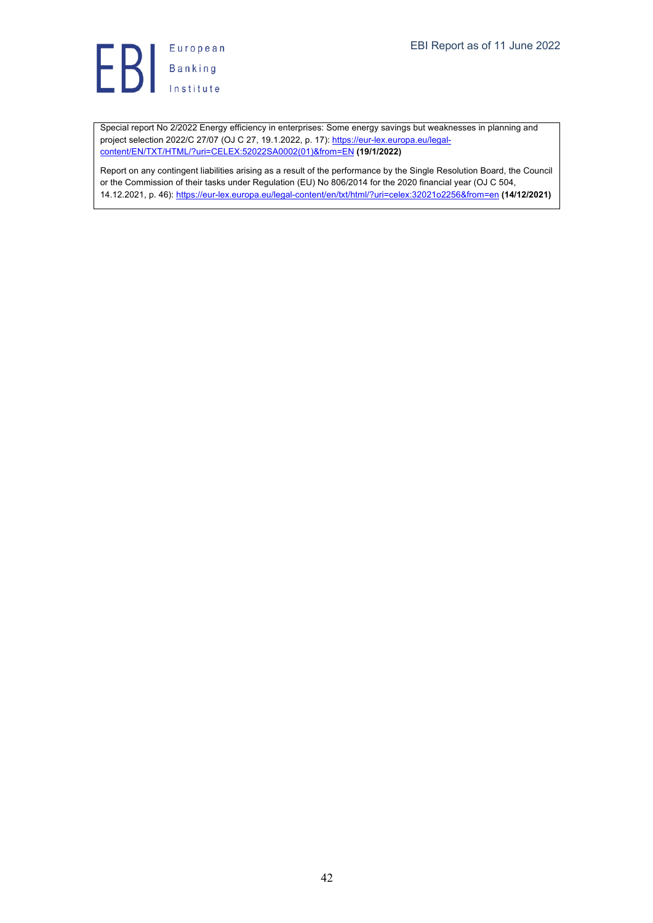Special report No 2/2022 Energy efficiency in enterprises: Some energy savings but weaknesses in planning and project selection 2022/C 27/07 (OJ C 27, 19.1.2022, p. 17): https://eur-lex.europa.eu/legalcontent/EN/TXT/HTML/?uri=CELEX:52022SA0002(01)&from=EN **(19/1/2022)**

Report on any contingent liabilities arising as a result of the performance by the Single Resolution Board, the Council or the Commission of their tasks under Regulation (EU) No 806/2014 for the 2020 financial year (OJ C 504, 14.12.2021, p. 46): https://eur-lex.europa.eu/legal-content/en/txt/html/?uri=celex:32021o2256&from=en **(14/12/2021)**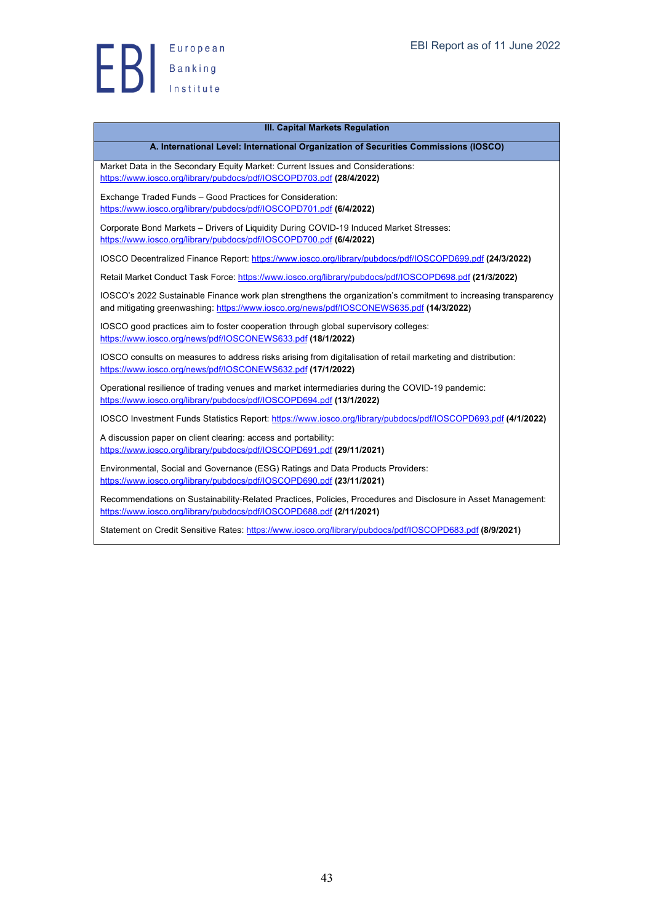

#### **III. Capital Markets Regulation**

#### **A. International Level: International Organization of Securities Commissions (IOSCO)**

Market Data in the Secondary Equity Market: Current Issues and Considerations: https://www.iosco.org/library/pubdocs/pdf/IOSCOPD703.pdf **(28/4/2022)**

Exchange Traded Funds – Good Practices for Consideration: https://www.iosco.org/library/pubdocs/pdf/IOSCOPD701.pdf **(6/4/2022)**

Corporate Bond Markets – Drivers of Liquidity During COVID-19 Induced Market Stresses: https://www.iosco.org/library/pubdocs/pdf/IOSCOPD700.pdf **(6/4/2022)**

IOSCO Decentralized Finance Report: https://www.iosco.org/library/pubdocs/pdf/IOSCOPD699.pdf **(24/3/2022)**

Retail Market Conduct Task Force: https://www.iosco.org/library/pubdocs/pdf/IOSCOPD698.pdf **(21/3/2022)**

IOSCO's 2022 Sustainable Finance work plan strengthens the organization's commitment to increasing transparency and mitigating greenwashing: https://www.iosco.org/news/pdf/IOSCONEWS635.pdf **(14/3/2022)**

IOSCO good practices aim to foster cooperation through global supervisory colleges: https://www.iosco.org/news/pdf/IOSCONEWS633.pdf **(18/1/2022)**

IOSCO consults on measures to address risks arising from digitalisation of retail marketing and distribution: https://www.iosco.org/news/pdf/IOSCONEWS632.pdf **(17/1/2022)**

Operational resilience of trading venues and market intermediaries during the COVID-19 pandemic: https://www.iosco.org/library/pubdocs/pdf/IOSCOPD694.pdf **(13/1/2022)**

IOSCO Investment Funds Statistics Report: https://www.iosco.org/library/pubdocs/pdf/IOSCOPD693.pdf **(4/1/2022)**

A discussion paper on client clearing: access and portability: https://www.iosco.org/library/pubdocs/pdf/IOSCOPD691.pdf **(29/11/2021)**

Environmental, Social and Governance (ESG) Ratings and Data Products Providers: https://www.iosco.org/library/pubdocs/pdf/IOSCOPD690.pdf **(23/11/2021)**

Recommendations on Sustainability-Related Practices, Policies, Procedures and Disclosure in Asset Management: https://www.iosco.org/library/pubdocs/pdf/IOSCOPD688.pdf **(2/11/2021)**

Statement on Credit Sensitive Rates: https://www.iosco.org/library/pubdocs/pdf/IOSCOPD683.pdf **(8/9/2021)**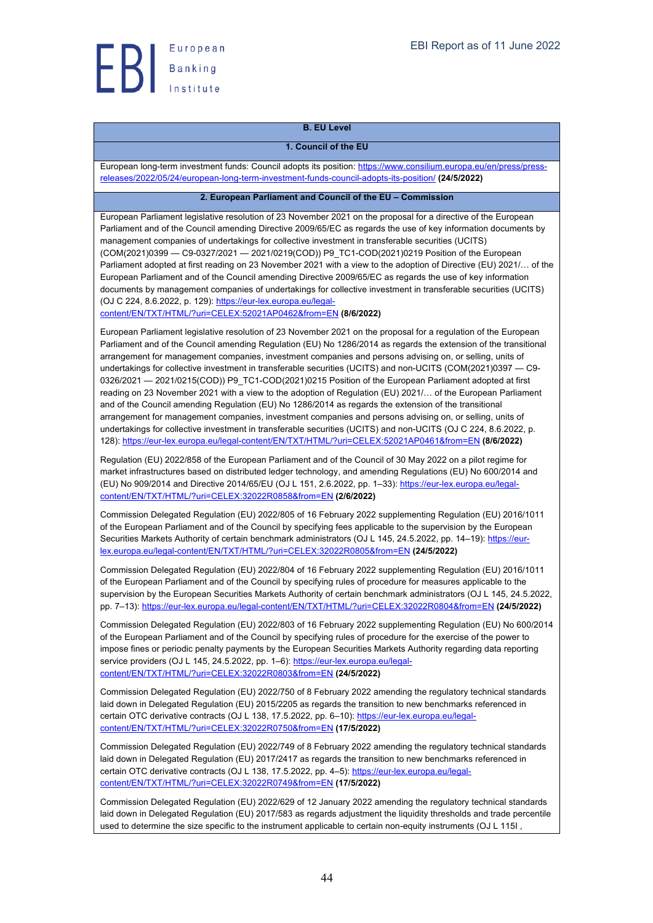

# **B. EU Level**

#### **1. Council of the EU**

European long-term investment funds: Council adopts its position: https://www.consilium.europa.eu/en/press/pressreleases/2022/05/24/european-long-term-investment-funds-council-adopts-its-position/ **(24/5/2022)**

#### **2. European Parliament and Council of the EU – Commission**

European Parliament legislative resolution of 23 November 2021 on the proposal for a directive of the European Parliament and of the Council amending Directive 2009/65/EC as regards the use of key information documents by management companies of undertakings for collective investment in transferable securities (UCITS) (COM(2021)0399 — C9-0327/2021 — 2021/0219(COD)) P9\_TC1-COD(2021)0219 Position of the European Parliament adopted at first reading on 23 November 2021 with a view to the adoption of Directive (EU) 2021/… of the European Parliament and of the Council amending Directive 2009/65/EC as regards the use of key information documents by management companies of undertakings for collective investment in transferable securities (UCITS) (OJ C 224, 8.6.2022, p. 129): https://eur-lex.europa.eu/legal-

content/EN/TXT/HTML/?uri=CELEX:52021AP0462&from=EN **(8/6/2022)**

European Parliament legislative resolution of 23 November 2021 on the proposal for a regulation of the European Parliament and of the Council amending Regulation (EU) No 1286/2014 as regards the extension of the transitional arrangement for management companies, investment companies and persons advising on, or selling, units of undertakings for collective investment in transferable securities (UCITS) and non-UCITS (COM(2021)0397 — C9- 0326/2021 - 2021/0215(COD)) P9\_TC1-COD(2021)0215 Position of the European Parliament adopted at first reading on 23 November 2021 with a view to the adoption of Regulation (EU) 2021/… of the European Parliament and of the Council amending Regulation (EU) No 1286/2014 as regards the extension of the transitional arrangement for management companies, investment companies and persons advising on, or selling, units of undertakings for collective investment in transferable securities (UCITS) and non-UCITS (OJ C 224, 8.6.2022, p. 128): https://eur-lex.europa.eu/legal-content/EN/TXT/HTML/?uri=CELEX:52021AP0461&from=EN **(8/6/2022)**

Regulation (EU) 2022/858 of the European Parliament and of the Council of 30 May 2022 on a pilot regime for market infrastructures based on distributed ledger technology, and amending Regulations (EU) No 600/2014 and (EU) No 909/2014 and Directive 2014/65/EU (OJ L 151, 2.6.2022, pp. 1–33): https://eur-lex.europa.eu/legalcontent/EN/TXT/HTML/?uri=CELEX:32022R0858&from=EN **(2/6/2022)**

Commission Delegated Regulation (EU) 2022/805 of 16 February 2022 supplementing Regulation (EU) 2016/1011 of the European Parliament and of the Council by specifying fees applicable to the supervision by the European Securities Markets Authority of certain benchmark administrators (OJ L 145, 24.5.2022, pp. 14–19): https://eurlex.europa.eu/legal-content/EN/TXT/HTML/?uri=CELEX:32022R0805&from=EN **(24/5/2022)**

Commission Delegated Regulation (EU) 2022/804 of 16 February 2022 supplementing Regulation (EU) 2016/1011 of the European Parliament and of the Council by specifying rules of procedure for measures applicable to the supervision by the European Securities Markets Authority of certain benchmark administrators (OJ L 145, 24.5.2022, pp. 7–13): https://eur-lex.europa.eu/legal-content/EN/TXT/HTML/?uri=CELEX:32022R0804&from=EN **(24/5/2022)**

Commission Delegated Regulation (EU) 2022/803 of 16 February 2022 supplementing Regulation (EU) No 600/2014 of the European Parliament and of the Council by specifying rules of procedure for the exercise of the power to impose fines or periodic penalty payments by the European Securities Markets Authority regarding data reporting service providers (OJ L 145, 24.5.2022, pp. 1–6): https://eur-lex.europa.eu/legalcontent/EN/TXT/HTML/?uri=CELEX:32022R0803&from=EN **(24/5/2022)**

Commission Delegated Regulation (EU) 2022/750 of 8 February 2022 amending the regulatory technical standards laid down in Delegated Regulation (EU) 2015/2205 as regards the transition to new benchmarks referenced in certain OTC derivative contracts (OJ L 138, 17.5.2022, pp. 6–10): https://eur-lex.europa.eu/legalcontent/EN/TXT/HTML/?uri=CELEX:32022R0750&from=EN **(17/5/2022)**

Commission Delegated Regulation (EU) 2022/749 of 8 February 2022 amending the regulatory technical standards laid down in Delegated Regulation (EU) 2017/2417 as regards the transition to new benchmarks referenced in certain OTC derivative contracts (OJ L 138, 17.5.2022, pp. 4-5): https://eur-lex.europa.eu/legalcontent/EN/TXT/HTML/?uri=CELEX:32022R0749&from=EN **(17/5/2022)**

Commission Delegated Regulation (EU) 2022/629 of 12 January 2022 amending the regulatory technical standards laid down in Delegated Regulation (EU) 2017/583 as regards adjustment the liquidity thresholds and trade percentile used to determine the size specific to the instrument applicable to certain non-equity instruments (OJ L 115I ,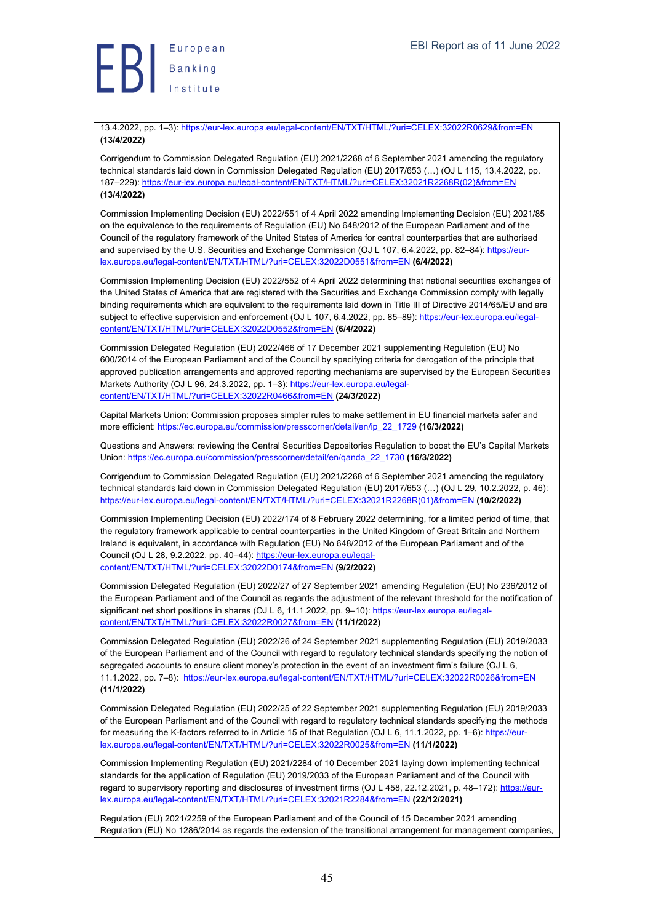

13.4.2022, pp. 1–3): https://eur-lex.europa.eu/legal-content/EN/TXT/HTML/?uri=CELEX:32022R0629&from=EN **(13/4/2022)**

Corrigendum to Commission Delegated Regulation (EU) 2021/2268 of 6 September 2021 amending the regulatory technical standards laid down in Commission Delegated Regulation (EU) 2017/653 (…) (OJ L 115, 13.4.2022, pp. 187–229): https://eur-lex.europa.eu/legal-content/EN/TXT/HTML/?uri=CELEX:32021R2268R(02)&from=EN **(13/4/2022)**

Commission Implementing Decision (EU) 2022/551 of 4 April 2022 amending Implementing Decision (EU) 2021/85 on the equivalence to the requirements of Regulation (EU) No 648/2012 of the European Parliament and of the Council of the regulatory framework of the United States of America for central counterparties that are authorised and supervised by the U.S. Securities and Exchange Commission (OJ L 107, 6.4.2022, pp. 82–84); https://eurlex.europa.eu/legal-content/EN/TXT/HTML/?uri=CELEX:32022D0551&from=EN **(6/4/2022)**

Commission Implementing Decision (EU) 2022/552 of 4 April 2022 determining that national securities exchanges of the United States of America that are registered with the Securities and Exchange Commission comply with legally binding requirements which are equivalent to the requirements laid down in Title III of Directive 2014/65/EU and are subject to effective supervision and enforcement (OJ L 107, 6.4.2022, pp. 85-89): https://eur-lex.europa.eu/legalcontent/EN/TXT/HTML/?uri=CELEX:32022D0552&from=EN **(6/4/2022)**

Commission Delegated Regulation (EU) 2022/466 of 17 December 2021 supplementing Regulation (EU) No 600/2014 of the European Parliament and of the Council by specifying criteria for derogation of the principle that approved publication arrangements and approved reporting mechanisms are supervised by the European Securities Markets Authority (OJ L 96, 24.3.2022, pp. 1-3): https://eur-lex.europa.eu/legalcontent/EN/TXT/HTML/?uri=CELEX:32022R0466&from=EN **(24/3/2022)**

Capital Markets Union: Commission proposes simpler rules to make settlement in EU financial markets safer and more efficient: https://ec.europa.eu/commission/presscorner/detail/en/ip\_22\_1729 **(16/3/2022)**

Questions and Answers: reviewing the Central Securities Depositories Regulation to boost the EU's Capital Markets Union: https://ec.europa.eu/commission/presscorner/detail/en/qanda\_22\_1730 **(16/3/2022)**

Corrigendum to Commission Delegated Regulation (EU) 2021/2268 of 6 September 2021 amending the regulatory technical standards laid down in Commission Delegated Regulation (EU) 2017/653 (…) (OJ L 29, 10.2.2022, p. 46): https://eur-lex.europa.eu/legal-content/EN/TXT/HTML/?uri=CELEX:32021R2268R(01)&from=EN **(10/2/2022)**

Commission Implementing Decision (EU) 2022/174 of 8 February 2022 determining, for a limited period of time, that the regulatory framework applicable to central counterparties in the United Kingdom of Great Britain and Northern Ireland is equivalent, in accordance with Regulation (EU) No 648/2012 of the European Parliament and of the Council (OJ L 28, 9.2.2022, pp. 40–44): https://eur-lex.europa.eu/legalcontent/EN/TXT/HTML/?uri=CELEX:32022D0174&from=EN **(9/2/2022)**

Commission Delegated Regulation (EU) 2022/27 of 27 September 2021 amending Regulation (EU) No 236/2012 of the European Parliament and of the Council as regards the adjustment of the relevant threshold for the notification of significant net short positions in shares (OJ L 6, 11.1.2022, pp. 9-10): https://eur-lex.europa.eu/legalcontent/EN/TXT/HTML/?uri=CELEX:32022R0027&from=EN **(11/1/2022)**

Commission Delegated Regulation (EU) 2022/26 of 24 September 2021 supplementing Regulation (EU) 2019/2033 of the European Parliament and of the Council with regard to regulatory technical standards specifying the notion of segregated accounts to ensure client money's protection in the event of an investment firm's failure (OJ L 6, 11.1.2022, pp. 7–8): https://eur-lex.europa.eu/legal-content/EN/TXT/HTML/?uri=CELEX:32022R0026&from=EN **(11/1/2022)**

Commission Delegated Regulation (EU) 2022/25 of 22 September 2021 supplementing Regulation (EU) 2019/2033 of the European Parliament and of the Council with regard to regulatory technical standards specifying the methods for measuring the K-factors referred to in Article 15 of that Regulation (OJ L 6, 11.1.2022, pp. 1–6): https://eurlex.europa.eu/legal-content/EN/TXT/HTML/?uri=CELEX:32022R0025&from=EN **(11/1/2022)**

Commission Implementing Regulation (EU) 2021/2284 of 10 December 2021 laying down implementing technical standards for the application of Regulation (EU) 2019/2033 of the European Parliament and of the Council with regard to supervisory reporting and disclosures of investment firms (OJ L 458, 22.12.2021, p. 48–172): https://eurlex.europa.eu/legal-content/EN/TXT/HTML/?uri=CELEX:32021R2284&from=EN **(22/12/2021)**

Regulation (EU) 2021/2259 of the European Parliament and of the Council of 15 December 2021 amending Regulation (EU) No 1286/2014 as regards the extension of the transitional arrangement for management companies,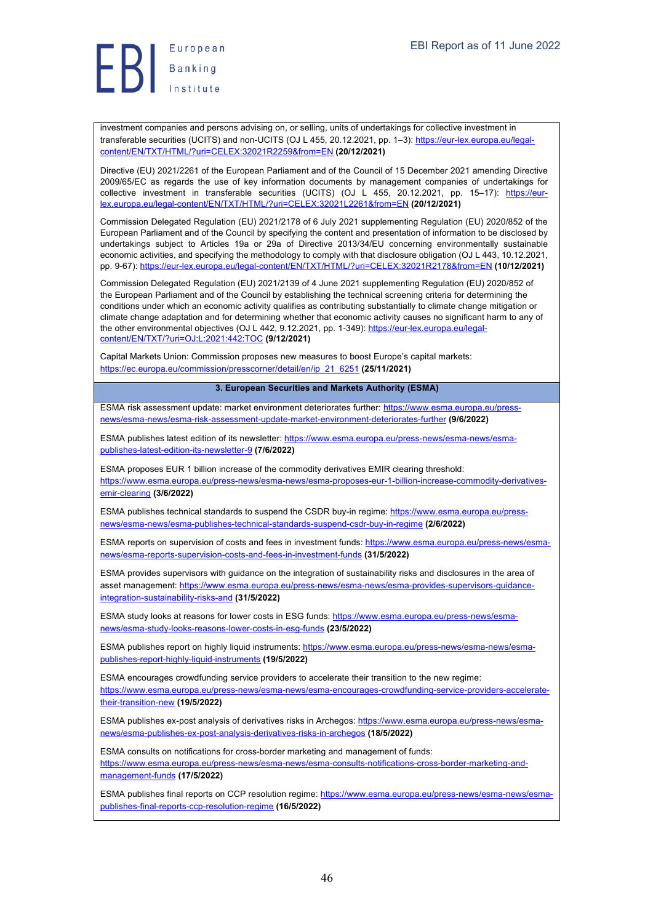

investment companies and persons advising on, or selling, units of undertakings for collective investment in transferable securities (UCITS) and non-UCITS (OJ L 455, 20.12.2021, pp. 1–3): https://eur-lex.europa.eu/legalcontent/EN/TXT/HTML/?uri=CELEX:32021R2259&from=EN **(20/12/2021)**

Directive (EU) 2021/2261 of the European Parliament and of the Council of 15 December 2021 amending Directive 2009/65/EC as regards the use of key information documents by management companies of undertakings for collective investment in transferable securities (UCITS) (OJ L 455, 20.12.2021, pp. 15–17): https://eurlex.europa.eu/legal-content/EN/TXT/HTML/?uri=CELEX:32021L2261&from=EN **(20/12/2021)**

Commission Delegated Regulation (EU) 2021/2178 of 6 July 2021 supplementing Regulation (EU) 2020/852 of the European Parliament and of the Council by specifying the content and presentation of information to be disclosed by undertakings subject to Articles 19a or 29a of Directive 2013/34/EU concerning environmentally sustainable economic activities, and specifying the methodology to comply with that disclosure obligation (OJ L 443, 10.12.2021, pp. 9-67): https://eur-lex.europa.eu/legal-content/EN/TXT/HTML/?uri=CELEX:32021R2178&from=EN **(10/12/2021)**

Commission Delegated Regulation (EU) 2021/2139 of 4 June 2021 supplementing Regulation (EU) 2020/852 of the European Parliament and of the Council by establishing the technical screening criteria for determining the conditions under which an economic activity qualifies as contributing substantially to climate change mitigation or climate change adaptation and for determining whether that economic activity causes no significant harm to any of the other environmental objectives (OJ L 442, 9.12.2021, pp. 1-349): https://eur-lex.europa.eu/legalcontent/EN/TXT/?uri=OJ:L:2021:442:TOC **(9/12/2021)**

Capital Markets Union: Commission proposes new measures to boost Europe's capital markets: https://ec.europa.eu/commission/presscorner/detail/en/ip\_21\_6251 **(25/11/2021)**

#### **3. European Securities and Markets Authority (ESMA)**

ESMA risk assessment update: market environment deteriorates further: https://www.esma.europa.eu/pressnews/esma-news/esma-risk-assessment-update-market-environment-deteriorates-further **(9/6/2022)**

ESMA publishes latest edition of its newsletter: https://www.esma.europa.eu/press-news/esma-news/esmapublishes-latest-edition-its-newsletter-9 **(7/6/2022)**

ESMA proposes EUR 1 billion increase of the commodity derivatives EMIR clearing threshold: https://www.esma.europa.eu/press-news/esma-news/esma-proposes-eur-1-billion-increase-commodity-derivativesemir-clearing **(3/6/2022)**

ESMA publishes technical standards to suspend the CSDR buy-in regime: https://www.esma.europa.eu/pressnews/esma-news/esma-publishes-technical-standards-suspend-csdr-buy-in-regime **(2/6/2022)**

ESMA reports on supervision of costs and fees in investment funds: https://www.esma.europa.eu/press-news/esmanews/esma-reports-supervision-costs-and-fees-in-investment-funds **(31/5/2022)**

ESMA provides supervisors with guidance on the integration of sustainability risks and disclosures in the area of asset management: https://www.esma.europa.eu/press-news/esma-news/esma-provides-supervisors-guidanceintegration-sustainability-risks-and **(31/5/2022)**

ESMA study looks at reasons for lower costs in ESG funds: https://www.esma.europa.eu/press-news/esmanews/esma-study-looks-reasons-lower-costs-in-esg-funds **(23/5/2022)**

ESMA publishes report on highly liquid instruments: https://www.esma.europa.eu/press-news/esma-news/esmapublishes-report-highly-liquid-instruments **(19/5/2022)**

ESMA encourages crowdfunding service providers to accelerate their transition to the new regime: https://www.esma.europa.eu/press-news/esma-news/esma-encourages-crowdfunding-service-providers-acceleratetheir-transition-new **(19/5/2022)**

ESMA publishes ex-post analysis of derivatives risks in Archegos: https://www.esma.europa.eu/press-news/esmanews/esma-publishes-ex-post-analysis-derivatives-risks-in-archegos **(18/5/2022)**

ESMA consults on notifications for cross-border marketing and management of funds: https://www.esma.europa.eu/press-news/esma-news/esma-consults-notifications-cross-border-marketing-andmanagement-funds **(17/5/2022)**

ESMA publishes final reports on CCP resolution regime: https://www.esma.europa.eu/press-news/esma-news/esmapublishes-final-reports-ccp-resolution-regime **(16/5/2022)**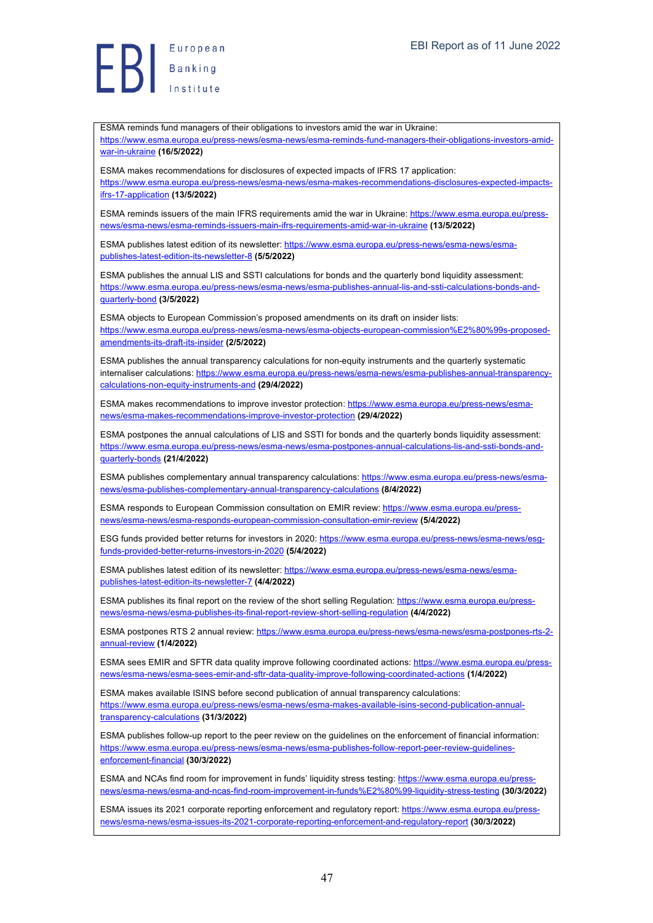European  $\left\{ \begin{array}{ll} \texttt{\tiny Europea} \ \texttt{\tiny Banking} \ \texttt{\tiny Insstitute} \end{array} \right.$ 

ESMA reminds fund managers of their obligations to investors amid the war in Ukraine: https://www.esma.europa.eu/press-news/esma-news/esma-reminds-fund-managers-their-obligations-investors-amidwar-in-ukraine **(16/5/2022)** ESMA makes recommendations for disclosures of expected impacts of IFRS 17 application: https://www.esma.europa.eu/press-news/esma-news/esma-makes-recommendations-disclosures-expected-impactsifrs-17-application **(13/5/2022)** ESMA reminds issuers of the main IFRS requirements amid the war in Ukraine: https://www.esma.europa.eu/pressnews/esma-news/esma-reminds-issuers-main-ifrs-requirements-amid-war-in-ukraine **(13/5/2022)** ESMA publishes latest edition of its newsletter: https://www.esma.europa.eu/press-news/esma-news/esmapublishes-latest-edition-its-newsletter-8 **(5/5/2022)** ESMA publishes the annual LIS and SSTI calculations for bonds and the quarterly bond liquidity assessment: https://www.esma.europa.eu/press-news/esma-news/esma-publishes-annual-lis-and-ssti-calculations-bonds-andquarterly-bond **(3/5/2022)** ESMA objects to European Commission's proposed amendments on its draft on insider lists: https://www.esma.europa.eu/press-news/esma-news/esma-objects-european-commission%E2%80%99s-proposedamendments-its-draft-its-insider **(2/5/2022)** ESMA publishes the annual transparency calculations for non-equity instruments and the quarterly systematic internaliser calculations: https://www.esma.europa.eu/press-news/esma-news/esma-publishes-annual-transparencycalculations-non-equity-instruments-and **(29/4/2022)** ESMA makes recommendations to improve investor protection: https://www.esma.europa.eu/press-news/esmanews/esma-makes-recommendations-improve-investor-protection **(29/4/2022)** ESMA postpones the annual calculations of LIS and SSTI for bonds and the quarterly bonds liquidity assessment: https://www.esma.europa.eu/press-news/esma-news/esma-postpones-annual-calculations-lis-and-ssti-bonds-andquarterly-bonds **(21/4/2022)** ESMA publishes complementary annual transparency calculations: https://www.esma.europa.eu/press-news/esmanews/esma-publishes-complementary-annual-transparency-calculations **(8/4/2022)** ESMA responds to European Commission consultation on EMIR review: https://www.esma.europa.eu/pressnews/esma-news/esma-responds-european-commission-consultation-emir-review **(5/4/2022)** ESG funds provided better returns for investors in 2020: https://www.esma.europa.eu/press-news/esma-news/esqfunds-provided-better-returns-investors-in-2020 **(5/4/2022)** ESMA publishes latest edition of its newsletter: https://www.esma.europa.eu/press-news/esma-news/esmapublishes-latest-edition-its-newsletter-7 **(4/4/2022)** ESMA publishes its final report on the review of the short selling Regulation: https://www.esma.europa.eu/pressnews/esma-news/esma-publishes-its-final-report-review-short-selling-regulation **(4/4/2022)** ESMA postpones RTS 2 annual review: https://www.esma.europa.eu/press-news/esma-news/esma-postpones-rts-2annual-review **(1/4/2022)** ESMA sees EMIR and SFTR data quality improve following coordinated actions: https://www.esma.europa.eu/pressnews/esma-news/esma-sees-emir-and-sftr-data-quality-improve-following-coordinated-actions **(1/4/2022)** ESMA makes available ISINS before second publication of annual transparency calculations: https://www.esma.europa.eu/press-news/esma-news/esma-makes-available-isins-second-publication-annualtransparency-calculations **(31/3/2022)** ESMA publishes follow-up report to the peer review on the guidelines on the enforcement of financial information: https://www.esma.europa.eu/press-news/esma-news/esma-publishes-follow-report-peer-review-guidelinesenforcement-financial **(30/3/2022)** ESMA and NCAs find room for improvement in funds' liquidity stress testing: https://www.esma.europa.eu/pressnews/esma-news/esma-and-ncas-find-room-improvement-in-funds%E2%80%99-liquidity-stress-testing **(30/3/2022)** ESMA issues its 2021 corporate reporting enforcement and regulatory report: https://www.esma.europa.eu/pressnews/esma-news/esma-issues-its-2021-corporate-reporting-enforcement-and-regulatory-report **(30/3/2022)**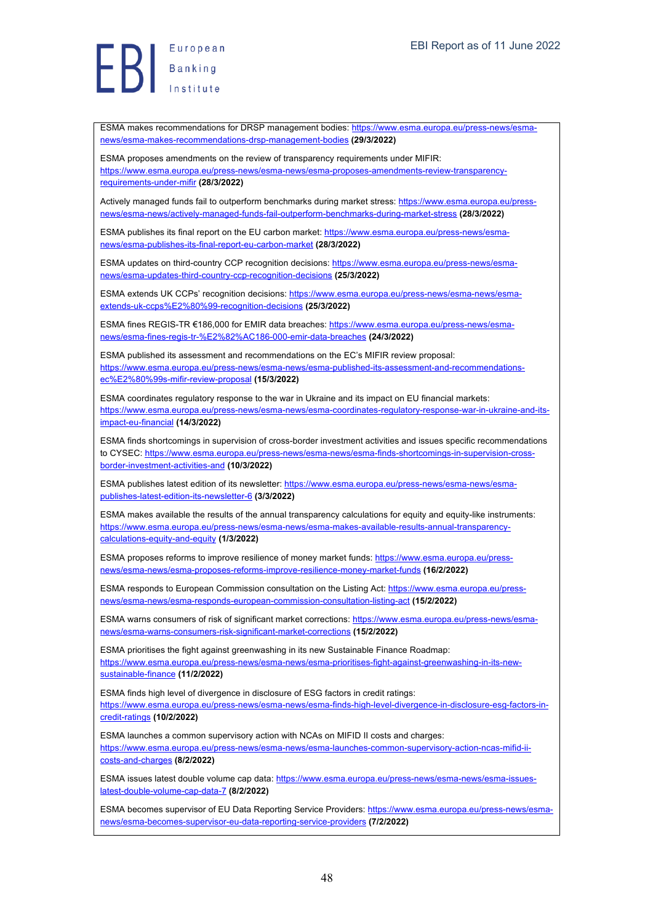ESMA makes recommendations for DRSP management bodies: https://www.esma.europa.eu/press-news/esmanews/esma-makes-recommendations-drsp-management-bodies **(29/3/2022)**

ESMA proposes amendments on the review of transparency requirements under MIFIR: https://www.esma.europa.eu/press-news/esma-news/esma-proposes-amendments-review-transparencyrequirements-under-mifir **(28/3/2022)**

Actively managed funds fail to outperform benchmarks during market stress: https://www.esma.europa.eu/pressnews/esma-news/actively-managed-funds-fail-outperform-benchmarks-during-market-stress **(28/3/2022)**

ESMA publishes its final report on the EU carbon market: https://www.esma.europa.eu/press-news/esmanews/esma-publishes-its-final-report-eu-carbon-market **(28/3/2022)**

ESMA updates on third-country CCP recognition decisions: https://www.esma.europa.eu/press-news/esmanews/esma-updates-third-country-ccp-recognition-decisions **(25/3/2022)**

ESMA extends UK CCPs' recognition decisions: https://www.esma.europa.eu/press-news/esma-news/esmaextends-uk-ccps%E2%80%99-recognition-decisions **(25/3/2022)**

ESMA fines REGIS-TR €186,000 for EMIR data breaches: https://www.esma.europa.eu/press-news/esmanews/esma-fines-regis-tr-%E2%82%AC186-000-emir-data-breaches **(24/3/2022)**

ESMA published its assessment and recommendations on the EC's MIFIR review proposal: https://www.esma.europa.eu/press-news/esma-news/esma-published-its-assessment-and-recommendationsec%E2%80%99s-mifir-review-proposal **(15/3/2022)**

ESMA coordinates regulatory response to the war in Ukraine and its impact on EU financial markets: https://www.esma.europa.eu/press-news/esma-news/esma-coordinates-regulatory-response-war-in-ukraine-and-itsimpact-eu-financial **(14/3/2022)**

ESMA finds shortcomings in supervision of cross-border investment activities and issues specific recommendations to CYSEC: https://www.esma.europa.eu/press-news/esma-news/esma-finds-shortcomings-in-supervision-crossborder-investment-activities-and **(10/3/2022)**

ESMA publishes latest edition of its newsletter: https://www.esma.europa.eu/press-news/esma-news/esmapublishes-latest-edition-its-newsletter-6 **(3/3/2022)**

ESMA makes available the results of the annual transparency calculations for equity and equity-like instruments: https://www.esma.europa.eu/press-news/esma-news/esma-makes-available-results-annual-transparencycalculations-equity-and-equity **(1/3/2022)**

ESMA proposes reforms to improve resilience of money market funds: https://www.esma.europa.eu/pressnews/esma-news/esma-proposes-reforms-improve-resilience-money-market-funds **(16/2/2022)**

ESMA responds to European Commission consultation on the Listing Act: https://www.esma.europa.eu/pressnews/esma-news/esma-responds-european-commission-consultation-listing-act **(15/2/2022)**

ESMA warns consumers of risk of significant market corrections: https://www.esma.europa.eu/press-news/esmanews/esma-warns-consumers-risk-significant-market-corrections **(15/2/2022)**

ESMA prioritises the fight against greenwashing in its new Sustainable Finance Roadmap: https://www.esma.europa.eu/press-news/esma-news/esma-prioritises-fight-against-greenwashing-in-its-newsustainable-finance **(11/2/2022)**

ESMA finds high level of divergence in disclosure of ESG factors in credit ratings: https://www.esma.europa.eu/press-news/esma-news/esma-finds-high-level-divergence-in-disclosure-esg-factors-incredit-ratings **(10/2/2022)**

ESMA launches a common supervisory action with NCAs on MIFID II costs and charges: https://www.esma.europa.eu/press-news/esma-news/esma-launches-common-supervisory-action-ncas-mifid-iicosts-and-charges **(8/2/2022)**

ESMA issues latest double volume cap data: https://www.esma.europa.eu/press-news/esma-news/esma-issueslatest-double-volume-cap-data-7 **(8/2/2022)**

ESMA becomes supervisor of EU Data Reporting Service Providers: https://www.esma.europa.eu/press-news/esmanews/esma-becomes-supervisor-eu-data-reporting-service-providers **(7/2/2022)**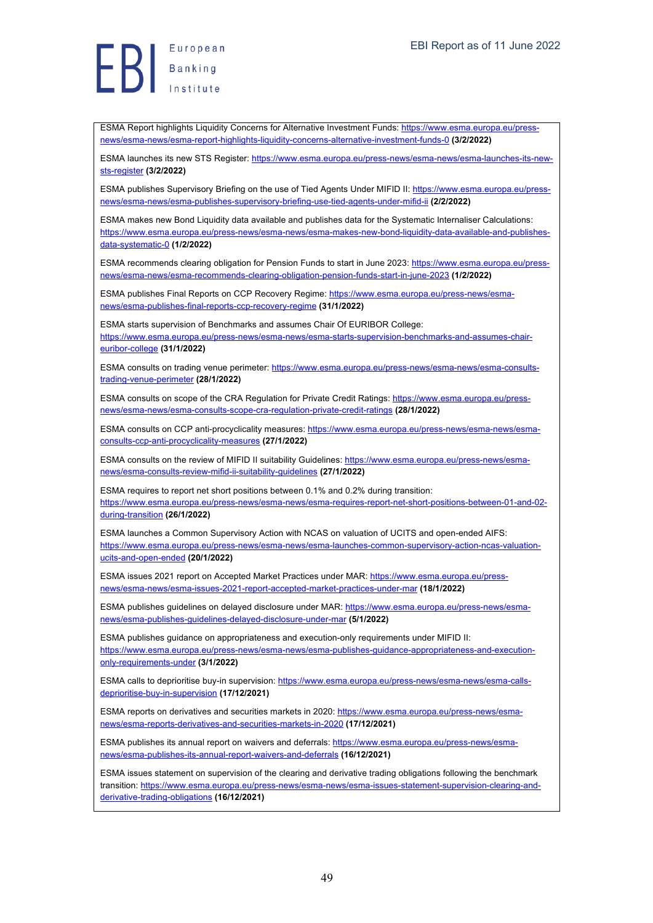Banking<br>Banking<br>Institute European

ESMA Report highlights Liquidity Concerns for Alternative Investment Funds: https://www.esma.europa.eu/pressnews/esma-news/esma-report-highlights-liquidity-concerns-alternative-investment-funds-0 **(3/2/2022)**

ESMA launches its new STS Register: https://www.esma.europa.eu/press-news/esma-news/esma-launches-its-newsts-register **(3/2/2022)**

ESMA publishes Supervisory Briefing on the use of Tied Agents Under MIFID II: https://www.esma.europa.eu/pressnews/esma-news/esma-publishes-supervisory-briefing-use-tied-agents-under-mifid-ii **(2/2/2022)**

ESMA makes new Bond Liquidity data available and publishes data for the Systematic Internaliser Calculations: https://www.esma.europa.eu/press-news/esma-news/esma-makes-new-bond-liquidity-data-available-and-publishesdata-systematic-0 **(1/2/2022)**

ESMA recommends clearing obligation for Pension Funds to start in June 2023: https://www.esma.europa.eu/pressnews/esma-news/esma-recommends-clearing-obligation-pension-funds-start-in-june-2023 **(1/2/2022)**

ESMA publishes Final Reports on CCP Recovery Regime: https://www.esma.europa.eu/press-news/esmanews/esma-publishes-final-reports-ccp-recovery-regime **(31/1/2022)**

ESMA starts supervision of Benchmarks and assumes Chair Of EURIBOR College: https://www.esma.europa.eu/press-news/esma-news/esma-starts-supervision-benchmarks-and-assumes-chaireuribor-college **(31/1/2022)**

ESMA consults on trading venue perimeter: https://www.esma.europa.eu/press-news/esma-news/esma-consultstrading-venue-perimeter **(28/1/2022)**

ESMA consults on scope of the CRA Regulation for Private Credit Ratings: https://www.esma.europa.eu/pressnews/esma-news/esma-consults-scope-cra-regulation-private-credit-ratings **(28/1/2022)**

ESMA consults on CCP anti-procyclicality measures: https://www.esma.europa.eu/press-news/esma-news/esmaconsults-ccp-anti-procyclicality-measures **(27/1/2022)**

ESMA consults on the review of MIFID II suitability Guidelines: https://www.esma.europa.eu/press-news/esmanews/esma-consults-review-mifid-ii-suitability-guidelines **(27/1/2022)**

ESMA requires to report net short positions between 0.1% and 0.2% during transition: https://www.esma.europa.eu/press-news/esma-news/esma-requires-report-net-short-positions-between-01-and-02 during-transition **(26/1/2022)**

ESMA launches a Common Supervisory Action with NCAS on valuation of UCITS and open-ended AIFS: https://www.esma.europa.eu/press-news/esma-news/esma-launches-common-supervisory-action-ncas-valuationucits-and-open-ended **(20/1/2022)**

ESMA issues 2021 report on Accepted Market Practices under MAR: https://www.esma.europa.eu/pressnews/esma-news/esma-issues-2021-report-accepted-market-practices-under-mar **(18/1/2022)**

ESMA publishes guidelines on delayed disclosure under MAR: https://www.esma.europa.eu/press-news/esmanews/esma-publishes-guidelines-delayed-disclosure-under-mar **(5/1/2022)**

ESMA publishes guidance on appropriateness and execution-only requirements under MIFID II: https://www.esma.europa.eu/press-news/esma-news/esma-publishes-guidance-appropriateness-and-executiononly-requirements-under **(3/1/2022)**

ESMA calls to deprioritise buy-in supervision: https://www.esma.europa.eu/press-news/esma-news/esma-callsdeprioritise-buy-in-supervision **(17/12/2021)**

ESMA reports on derivatives and securities markets in 2020: https://www.esma.europa.eu/press-news/esmanews/esma-reports-derivatives-and-securities-markets-in-2020 **(17/12/2021)**

ESMA publishes its annual report on waivers and deferrals: https://www.esma.europa.eu/press-news/esmanews/esma-publishes-its-annual-report-waivers-and-deferrals **(16/12/2021)**

ESMA issues statement on supervision of the clearing and derivative trading obligations following the benchmark transition: https://www.esma.europa.eu/press-news/esma-news/esma-issues-statement-supervision-clearing-andderivative-trading-obligations **(16/12/2021)**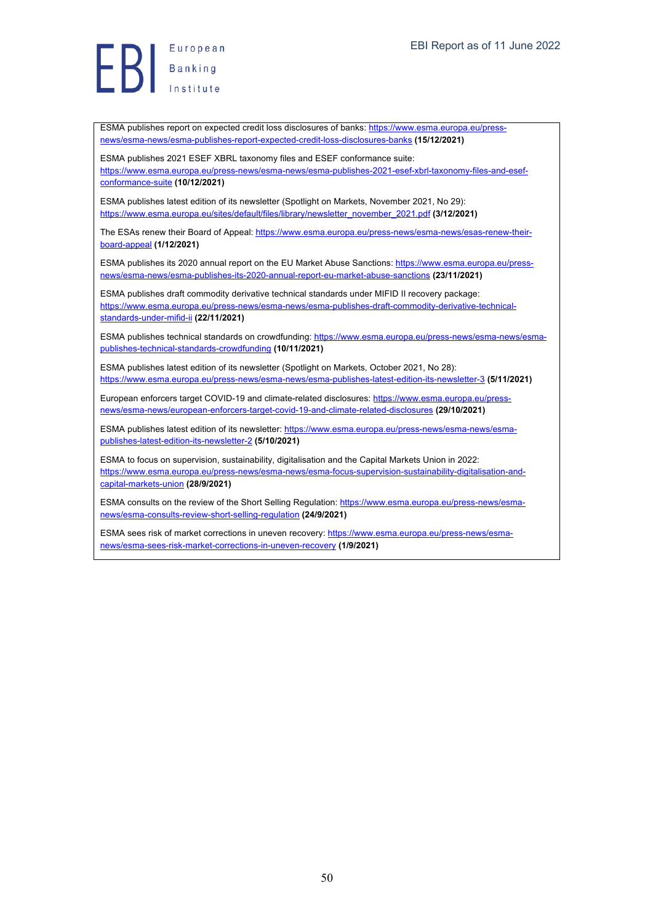ESMA publishes report on expected credit loss disclosures of banks: https://www.esma.europa.eu/pressnews/esma-news/esma-publishes-report-expected-credit-loss-disclosures-banks **(15/12/2021)**

ESMA publishes 2021 ESEF XBRL taxonomy files and ESEF conformance suite: https://www.esma.europa.eu/press-news/esma-news/esma-publishes-2021-esef-xbrl-taxonomy-files-and-esefconformance-suite **(10/12/2021)**

ESMA publishes latest edition of its newsletter (Spotlight on Markets, November 2021, No 29): https://www.esma.europa.eu/sites/default/files/library/newsletter\_november\_2021.pdf **(3/12/2021)**

The ESAs renew their Board of Appeal: https://www.esma.europa.eu/press-news/esma-news/esas-renew-theirboard-appeal **(1/12/2021)**

ESMA publishes its 2020 annual report on the EU Market Abuse Sanctions: https://www.esma.europa.eu/pressnews/esma-news/esma-publishes-its-2020-annual-report-eu-market-abuse-sanctions **(23/11/2021)**

ESMA publishes draft commodity derivative technical standards under MIFID II recovery package: https://www.esma.europa.eu/press-news/esma-news/esma-publishes-draft-commodity-derivative-technicalstandards-under-mifid-ii **(22/11/2021)**

ESMA publishes technical standards on crowdfunding: https://www.esma.europa.eu/press-news/esma-news/esmapublishes-technical-standards-crowdfunding **(10/11/2021)**

ESMA publishes latest edition of its newsletter (Spotlight on Markets, October 2021, No 28): https://www.esma.europa.eu/press-news/esma-news/esma-publishes-latest-edition-its-newsletter-3 **(5/11/2021)**

European enforcers target COVID-19 and climate-related disclosures: https://www.esma.europa.eu/pressnews/esma-news/european-enforcers-target-covid-19-and-climate-related-disclosures **(29/10/2021)**

ESMA publishes latest edition of its newsletter: https://www.esma.europa.eu/press-news/esma-news/esmapublishes-latest-edition-its-newsletter-2 **(5/10/2021)**

ESMA to focus on supervision, sustainability, digitalisation and the Capital Markets Union in 2022: https://www.esma.europa.eu/press-news/esma-news/esma-focus-supervision-sustainability-digitalisation-andcapital-markets-union **(28/9/2021)**

ESMA consults on the review of the Short Selling Regulation: https://www.esma.europa.eu/press-news/esmanews/esma-consults-review-short-selling-regulation **(24/9/2021)**

ESMA sees risk of market corrections in uneven recovery: https://www.esma.europa.eu/press-news/esmanews/esma-sees-risk-market-corrections-in-uneven-recovery **(1/9/2021)**